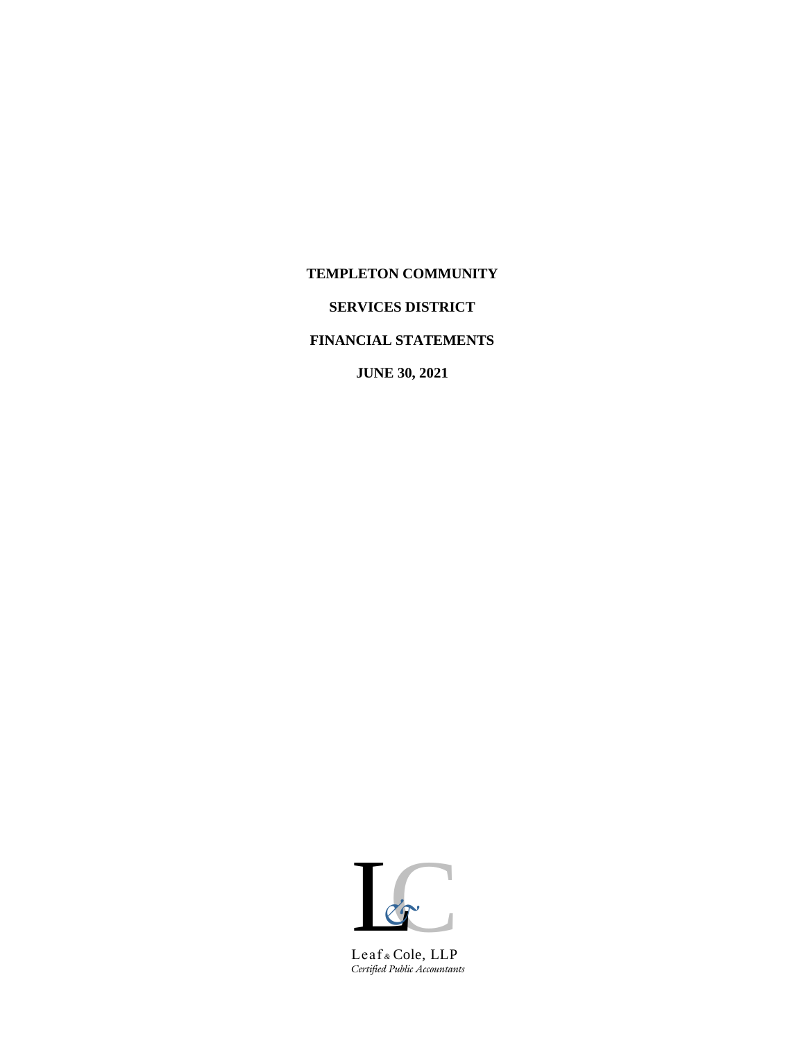### **TEMPLETON COMMUNITY**

# **SERVICES DISTRICT**

# **FINANCIAL STATEMENTS**

**JUNE 30, 2021**



*Certified Public Accountants* Leaf *&* Cole, LLP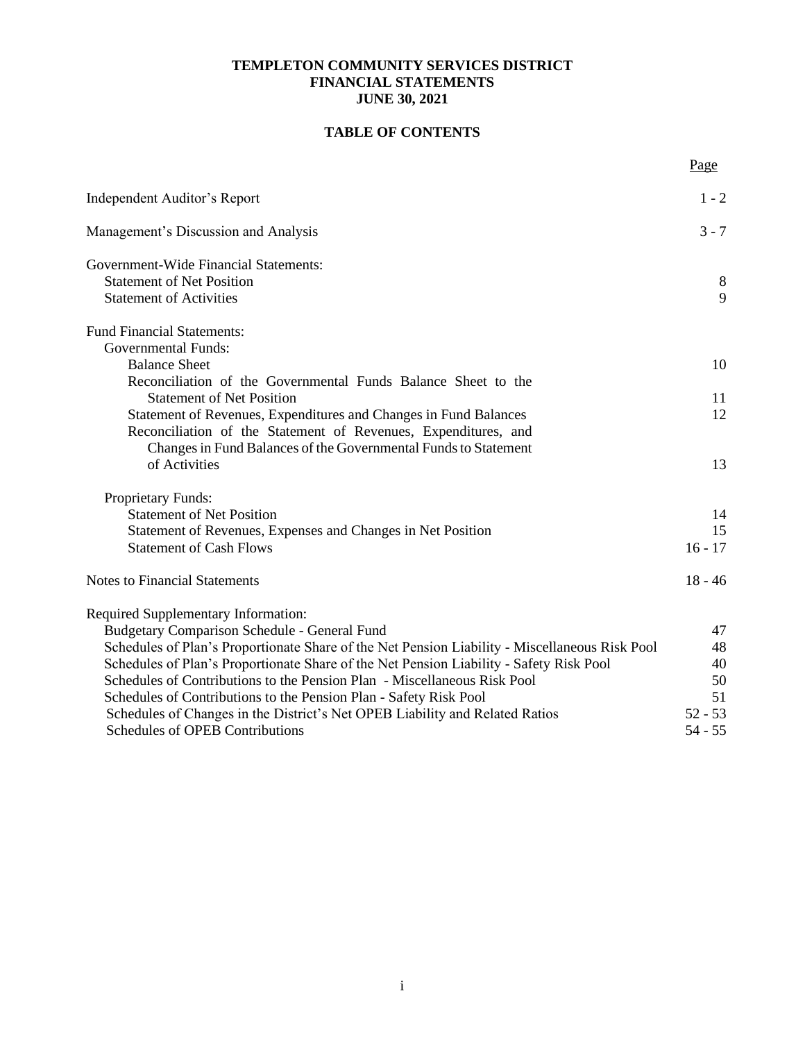# **TABLE OF CONTENTS**

Page

| Independent Auditor's Report                                                                   | $1 - 2$   |
|------------------------------------------------------------------------------------------------|-----------|
| Management's Discussion and Analysis                                                           | $3 - 7$   |
| <b>Government-Wide Financial Statements:</b>                                                   |           |
| <b>Statement of Net Position</b>                                                               | 8         |
| <b>Statement of Activities</b>                                                                 | 9         |
| <b>Fund Financial Statements:</b>                                                              |           |
| <b>Governmental Funds:</b>                                                                     |           |
| <b>Balance Sheet</b>                                                                           | 10        |
| Reconciliation of the Governmental Funds Balance Sheet to the                                  |           |
| <b>Statement of Net Position</b>                                                               | 11        |
| Statement of Revenues, Expenditures and Changes in Fund Balances                               | 12        |
| Reconciliation of the Statement of Revenues, Expenditures, and                                 |           |
| Changes in Fund Balances of the Governmental Funds to Statement                                |           |
| of Activities                                                                                  | 13        |
| Proprietary Funds:                                                                             |           |
| <b>Statement of Net Position</b>                                                               | 14        |
| Statement of Revenues, Expenses and Changes in Net Position                                    | 15        |
| <b>Statement of Cash Flows</b>                                                                 | $16 - 17$ |
| <b>Notes to Financial Statements</b>                                                           | $18 - 46$ |
| Required Supplementary Information:                                                            |           |
| Budgetary Comparison Schedule - General Fund                                                   | 47        |
| Schedules of Plan's Proportionate Share of the Net Pension Liability - Miscellaneous Risk Pool | 48        |
| Schedules of Plan's Proportionate Share of the Net Pension Liability - Safety Risk Pool        | 40        |
| Schedules of Contributions to the Pension Plan - Miscellaneous Risk Pool                       | 50        |
| Schedules of Contributions to the Pension Plan - Safety Risk Pool                              | 51        |
| Schedules of Changes in the District's Net OPEB Liability and Related Ratios                   | $52 - 53$ |
| Schedules of OPEB Contributions                                                                | $54 - 55$ |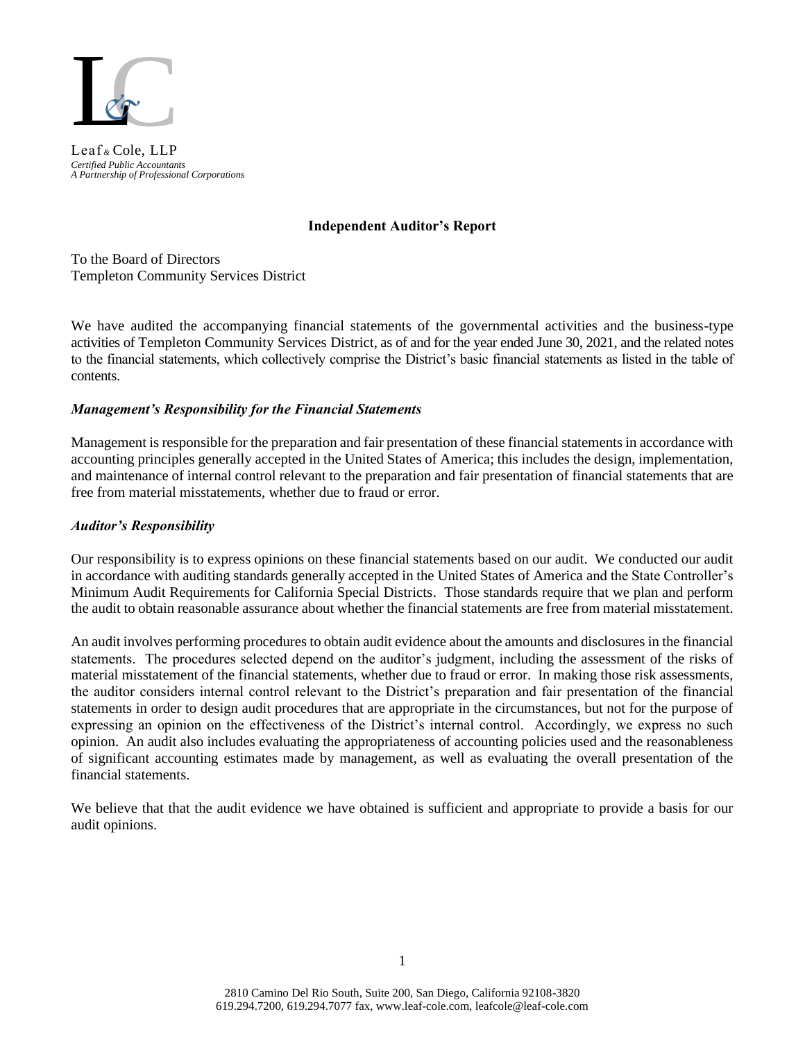

*Certified Public Accountants A Partnership of Professional Corporations* Leaf *&* Cole, LLP

### **Independent Auditor's Report**

To the Board of Directors Templeton Community Services District

We have audited the accompanying financial statements of the governmental activities and the business-type activities of Templeton Community Services District, as of and for the year ended June 30, 2021, and the related notes to the financial statements, which collectively comprise the District's basic financial statements as listed in the table of contents.

### *Management's Responsibility for the Financial Statements*

Management is responsible for the preparation and fair presentation of these financial statements in accordance with accounting principles generally accepted in the United States of America; this includes the design, implementation, and maintenance of internal control relevant to the preparation and fair presentation of financial statements that are free from material misstatements, whether due to fraud or error.

### *Auditor's Responsibility*

Our responsibility is to express opinions on these financial statements based on our audit. We conducted our audit in accordance with auditing standards generally accepted in the United States of America and the State Controller's Minimum Audit Requirements for California Special Districts. Those standards require that we plan and perform the audit to obtain reasonable assurance about whether the financial statements are free from material misstatement.

An audit involves performing procedures to obtain audit evidence about the amounts and disclosures in the financial statements. The procedures selected depend on the auditor's judgment, including the assessment of the risks of material misstatement of the financial statements, whether due to fraud or error. In making those risk assessments, the auditor considers internal control relevant to the District's preparation and fair presentation of the financial statements in order to design audit procedures that are appropriate in the circumstances, but not for the purpose of expressing an opinion on the effectiveness of the District's internal control. Accordingly, we express no such opinion. An audit also includes evaluating the appropriateness of accounting policies used and the reasonableness of significant accounting estimates made by management, as well as evaluating the overall presentation of the financial statements.

We believe that that the audit evidence we have obtained is sufficient and appropriate to provide a basis for our audit opinions.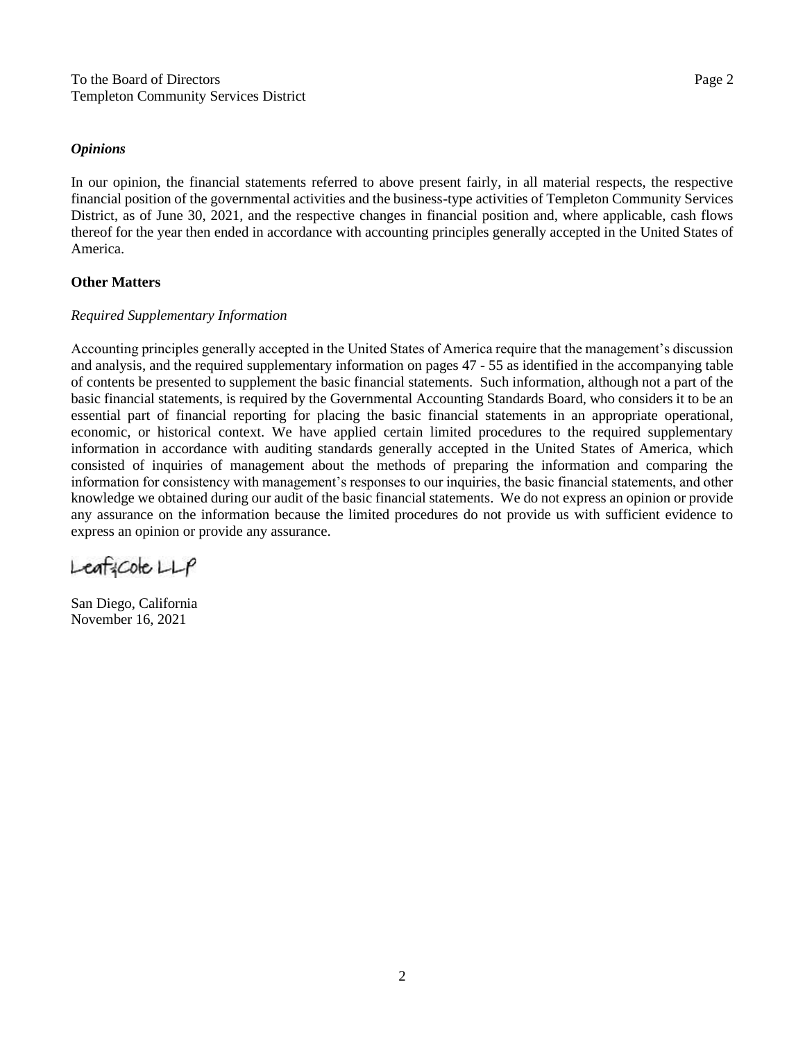### *Opinions*

In our opinion, the financial statements referred to above present fairly, in all material respects, the respective financial position of the governmental activities and the business-type activities of Templeton Community Services District, as of June 30, 2021, and the respective changes in financial position and, where applicable, cash flows thereof for the year then ended in accordance with accounting principles generally accepted in the United States of America.

### **Other Matters**

### *Required Supplementary Information*

Accounting principles generally accepted in the United States of America require that the management's discussion and analysis, and the required supplementary information on pages 47 - 55 as identified in the accompanying table of contents be presented to supplement the basic financial statements. Such information, although not a part of the basic financial statements, is required by the Governmental Accounting Standards Board, who considers it to be an essential part of financial reporting for placing the basic financial statements in an appropriate operational, economic, or historical context. We have applied certain limited procedures to the required supplementary information in accordance with auditing standards generally accepted in the United States of America, which consisted of inquiries of management about the methods of preparing the information and comparing the information for consistency with management's responses to our inquiries, the basic financial statements, and other knowledge we obtained during our audit of the basic financial statements. We do not express an opinion or provide any assurance on the information because the limited procedures do not provide us with sufficient evidence to express an opinion or provide any assurance.

 $L$ eaf: $C$ ole $L$  $L$  $P$ 

San Diego, California November 16, 2021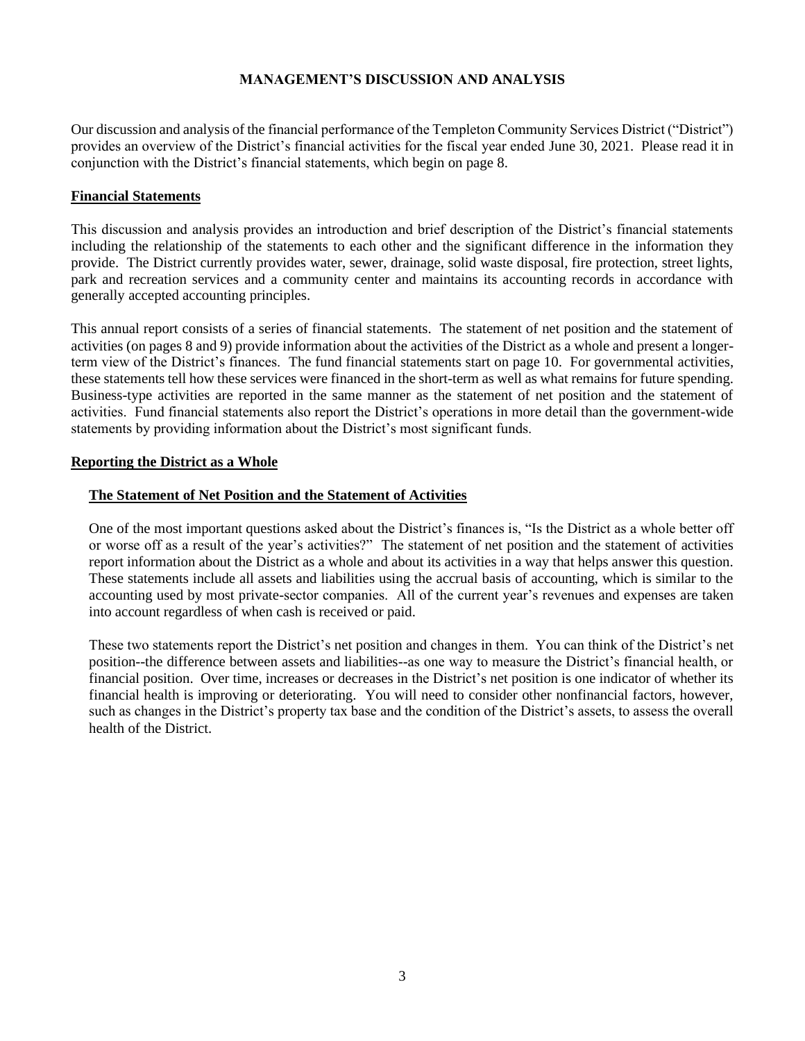Our discussion and analysis of the financial performance of the Templeton Community Services District ("District") provides an overview of the District's financial activities for the fiscal year ended June 30, 2021. Please read it in conjunction with the District's financial statements, which begin on page 8.

### **Financial Statements**

This discussion and analysis provides an introduction and brief description of the District's financial statements including the relationship of the statements to each other and the significant difference in the information they provide. The District currently provides water, sewer, drainage, solid waste disposal, fire protection, street lights, park and recreation services and a community center and maintains its accounting records in accordance with generally accepted accounting principles.

This annual report consists of a series of financial statements. The statement of net position and the statement of activities (on pages 8 and 9) provide information about the activities of the District as a whole and present a longerterm view of the District's finances. The fund financial statements start on page 10. For governmental activities, these statements tell how these services were financed in the short-term as well as what remains for future spending. Business-type activities are reported in the same manner as the statement of net position and the statement of activities. Fund financial statements also report the District's operations in more detail than the government-wide statements by providing information about the District's most significant funds.

### **Reporting the District as a Whole**

### **The Statement of Net Position and the Statement of Activities**

One of the most important questions asked about the District's finances is, "Is the District as a whole better off or worse off as a result of the year's activities?" The statement of net position and the statement of activities report information about the District as a whole and about its activities in a way that helps answer this question. These statements include all assets and liabilities using the accrual basis of accounting, which is similar to the accounting used by most private-sector companies. All of the current year's revenues and expenses are taken into account regardless of when cash is received or paid.

These two statements report the District's net position and changes in them. You can think of the District's net position--the difference between assets and liabilities--as one way to measure the District's financial health, or financial position. Over time, increases or decreases in the District's net position is one indicator of whether its financial health is improving or deteriorating. You will need to consider other nonfinancial factors, however, such as changes in the District's property tax base and the condition of the District's assets, to assess the overall health of the District.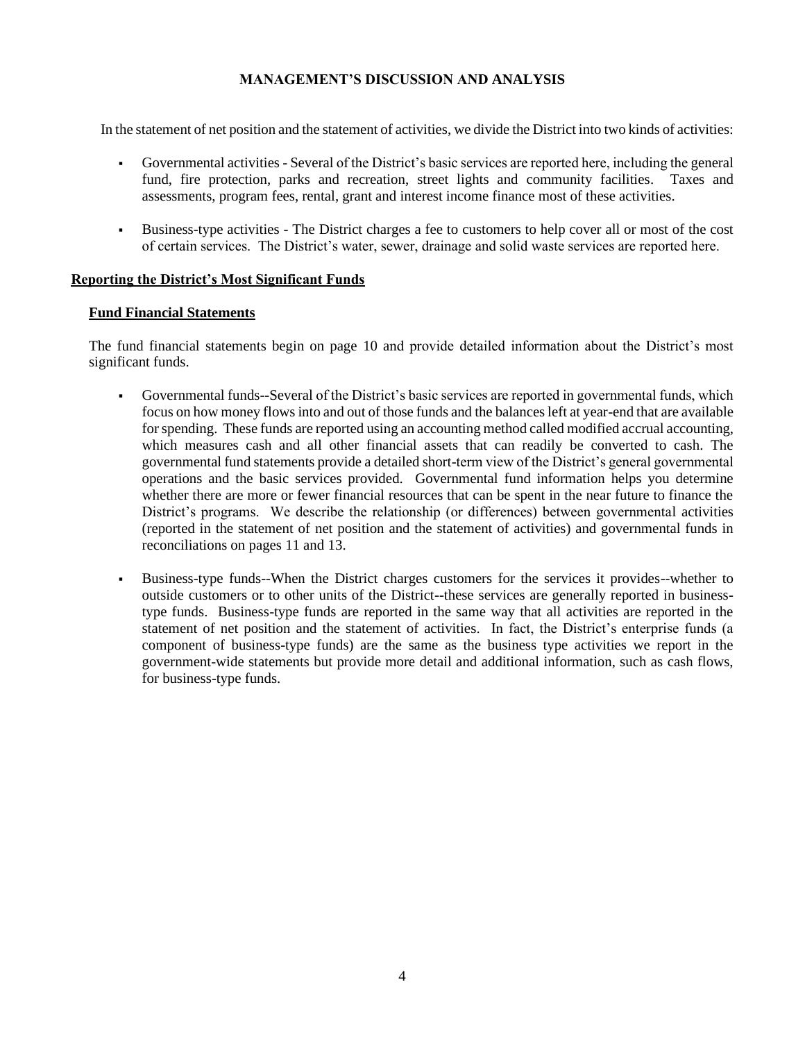In the statement of net position and the statement of activities, we divide the District into two kinds of activities:

- Governmental activities Several of the District's basic services are reported here, including the general fund, fire protection, parks and recreation, street lights and community facilities. Taxes and assessments, program fees, rental, grant and interest income finance most of these activities.
- Business-type activities The District charges a fee to customers to help cover all or most of the cost of certain services. The District's water, sewer, drainage and solid waste services are reported here.

### **Reporting the District's Most Significant Funds**

#### **Fund Financial Statements**

The fund financial statements begin on page 10 and provide detailed information about the District's most significant funds.

- Governmental funds--Several of the District's basic services are reported in governmental funds, which focus on how money flows into and out of those funds and the balances left at year-end that are available for spending. These funds are reported using an accounting method called modified accrual accounting, which measures cash and all other financial assets that can readily be converted to cash. The governmental fund statements provide a detailed short-term view of the District's general governmental operations and the basic services provided. Governmental fund information helps you determine whether there are more or fewer financial resources that can be spent in the near future to finance the District's programs. We describe the relationship (or differences) between governmental activities (reported in the statement of net position and the statement of activities) and governmental funds in reconciliations on pages 11 and 13.
- Business-type funds--When the District charges customers for the services it provides--whether to outside customers or to other units of the District--these services are generally reported in businesstype funds. Business-type funds are reported in the same way that all activities are reported in the statement of net position and the statement of activities. In fact, the District's enterprise funds (a component of business-type funds) are the same as the business type activities we report in the government-wide statements but provide more detail and additional information, such as cash flows, for business-type funds.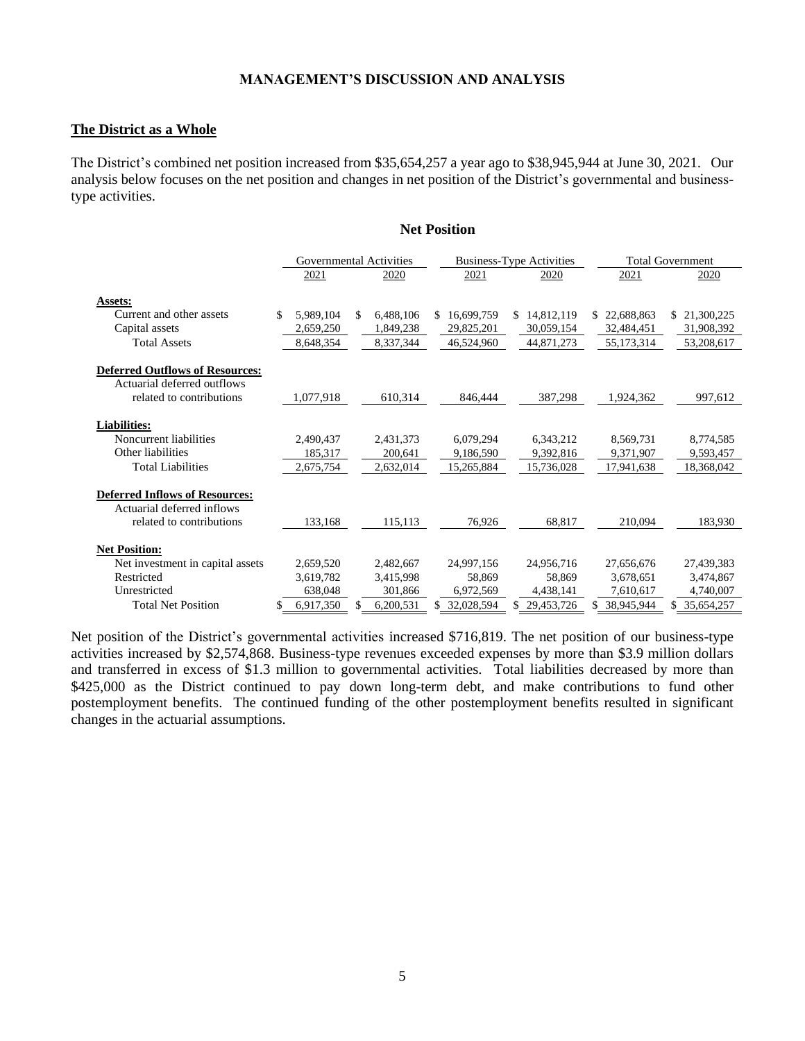### **The District as a Whole**

The District's combined net position increased from \$35,654,257 a year ago to \$38,945,944 at June 30, 2021. Our analysis below focuses on the net position and changes in net position of the District's governmental and businesstype activities.

#### **Net Position**

|                                        |    | Governmental Activities |     |           |                  | <b>Business-Type Activities</b> | <b>Total Government</b> |                   |  |  |
|----------------------------------------|----|-------------------------|-----|-----------|------------------|---------------------------------|-------------------------|-------------------|--|--|
|                                        |    | 2021                    |     | 2020      | 2021             | 2020                            | 2021                    | 2020              |  |  |
|                                        |    |                         |     |           |                  |                                 |                         |                   |  |  |
| Assets:                                |    |                         |     |           |                  |                                 |                         |                   |  |  |
| Current and other assets               | \$ | 5,989,104               | \$. | 6,488,106 | \$<br>16,699,759 | 14,812,119<br>\$.               | 22,688,863              | 21,300,225<br>\$. |  |  |
| Capital assets                         |    | 2,659,250               |     | 1,849,238 | 29,825,201       | 30,059,154                      | 32,484,451              | 31,908,392        |  |  |
| <b>Total Assets</b>                    |    | 8,648,354               |     | 8,337,344 | 46,524,960       | 44,871,273                      | 55,173,314              | 53,208,617        |  |  |
| <b>Deferred Outflows of Resources:</b> |    |                         |     |           |                  |                                 |                         |                   |  |  |
| Actuarial deferred outflows            |    |                         |     |           |                  |                                 |                         |                   |  |  |
| related to contributions               |    | 1,077,918               |     | 610,314   | 846,444          | 387,298                         | 1,924,362               | 997,612           |  |  |
|                                        |    |                         |     |           |                  |                                 |                         |                   |  |  |
| <b>Liabilities:</b>                    |    |                         |     |           |                  |                                 |                         |                   |  |  |
| Noncurrent liabilities                 |    | 2,490,437               |     | 2,431,373 | 6,079,294        | 6,343,212                       | 8,569,731               | 8,774,585         |  |  |
| Other liabilities                      |    | 185,317                 |     | 200,641   | 9,186,590        | 9,392,816                       | 9,371,907               | 9,593,457         |  |  |
| <b>Total Liabilities</b>               |    | 2,675,754               |     | 2,632,014 | 15,265,884       | 15,736,028                      | 17,941,638              | 18,368,042        |  |  |
|                                        |    |                         |     |           |                  |                                 |                         |                   |  |  |
| <b>Deferred Inflows of Resources:</b>  |    |                         |     |           |                  |                                 |                         |                   |  |  |
| Actuarial deferred inflows             |    |                         |     |           |                  |                                 |                         |                   |  |  |
| related to contributions               |    | 133,168                 |     | 115,113   | 76,926           | 68,817                          | 210,094                 | 183,930           |  |  |
| <b>Net Position:</b>                   |    |                         |     |           |                  |                                 |                         |                   |  |  |
| Net investment in capital assets       |    | 2,659,520               |     | 2,482,667 | 24,997,156       | 24,956,716                      | 27,656,676              | 27,439,383        |  |  |
| Restricted                             |    | 3,619,782               |     | 3,415,998 | 58,869           | 58,869                          | 3,678,651               | 3,474,867         |  |  |
| Unrestricted                           |    | 638,048                 |     | 301,866   | 6,972,569        | 4,438,141                       | 7,610,617               | 4,740,007         |  |  |
| <b>Total Net Position</b>              | S  | 6,917,350               |     | 6,200,531 | 32,028,594       | 29,453,726                      | 38,945,944              | 35,654,257        |  |  |

Net position of the District's governmental activities increased \$716,819. The net position of our business-type activities increased by \$2,574,868. Business-type revenues exceeded expenses by more than \$3.9 million dollars and transferred in excess of \$1.3 million to governmental activities. Total liabilities decreased by more than \$425,000 as the District continued to pay down long-term debt, and make contributions to fund other postemployment benefits. The continued funding of the other postemployment benefits resulted in significant changes in the actuarial assumptions.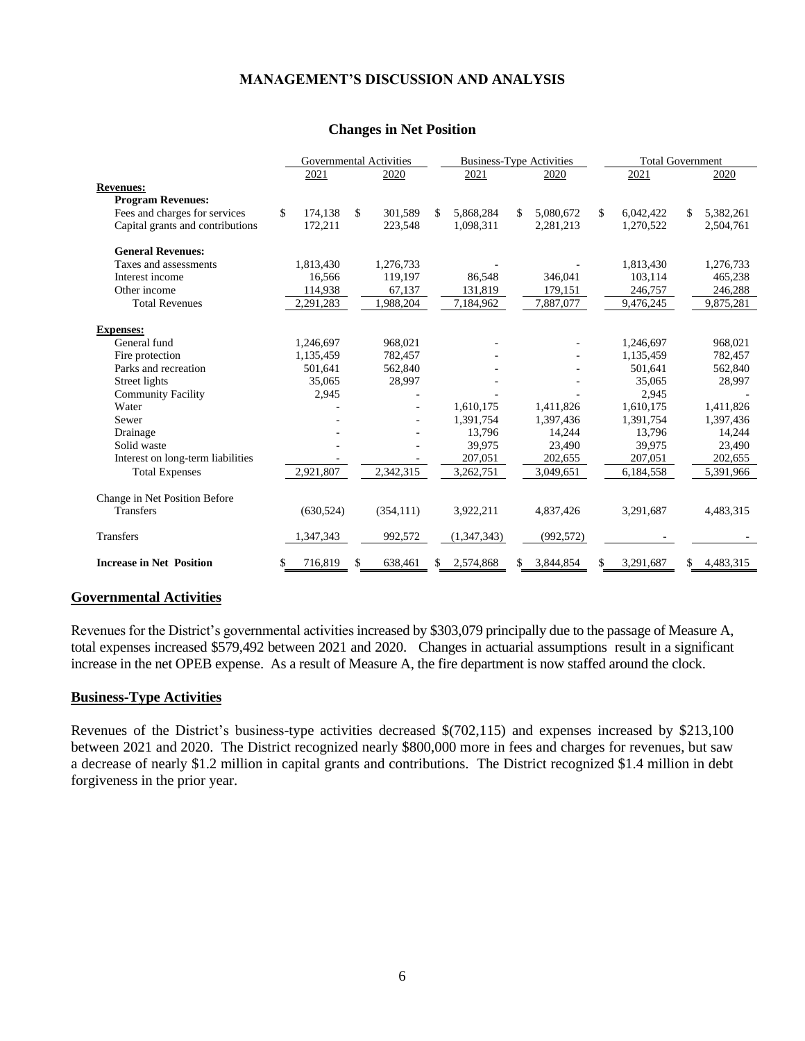### **Changes in Net Position**

|                                   | Governmental Activities |     |            |    | <b>Business-Type Activities</b> |     |            |              | <b>Total Government</b> |     |           |  |
|-----------------------------------|-------------------------|-----|------------|----|---------------------------------|-----|------------|--------------|-------------------------|-----|-----------|--|
|                                   | 2021                    |     | 2020       |    | 2021                            |     | 2020       |              | 2021                    |     | 2020      |  |
| <b>Revenues:</b>                  |                         |     |            |    |                                 |     |            |              |                         |     |           |  |
| <b>Program Revenues:</b>          |                         |     |            |    |                                 |     |            |              |                         |     |           |  |
| Fees and charges for services     | \$<br>174.138           | \$  | 301,589    | \$ | 5,868,284                       | \$  | 5,080,672  | $\mathbb{S}$ | 6,042,422               | \$. | 5,382,261 |  |
| Capital grants and contributions  | 172.211                 |     | 223.548    |    | 1,098,311                       |     | 2,281,213  |              | 1,270,522               |     | 2,504,761 |  |
| <b>General Revenues:</b>          |                         |     |            |    |                                 |     |            |              |                         |     |           |  |
| Taxes and assessments             | 1,813,430               |     | 1,276,733  |    |                                 |     |            |              | 1,813,430               |     | 1,276,733 |  |
| Interest income                   | 16.566                  |     | 119,197    |    | 86.548                          |     | 346.041    |              | 103.114                 |     | 465.238   |  |
| Other income                      | 114,938                 |     | 67,137     |    | 131,819                         |     | 179,151    |              | 246,757                 |     | 246,288   |  |
| <b>Total Revenues</b>             | 2,291,283               |     | 1,988,204  |    | 7,184,962                       |     | 7,887,077  |              | 9,476,245               |     | 9,875,281 |  |
|                                   |                         |     |            |    |                                 |     |            |              |                         |     |           |  |
| <b>Expenses:</b>                  |                         |     |            |    |                                 |     |            |              |                         |     |           |  |
| General fund                      | 1,246,697               |     | 968,021    |    |                                 |     |            |              | 1,246,697               |     | 968,021   |  |
| Fire protection                   | 1,135,459               |     | 782,457    |    |                                 |     |            |              | 1,135,459               |     | 782,457   |  |
| Parks and recreation              | 501,641                 |     | 562,840    |    |                                 |     |            |              | 501.641                 |     | 562,840   |  |
| Street lights                     | 35,065                  |     | 28,997     |    |                                 |     |            |              | 35,065                  |     | 28,997    |  |
| <b>Community Facility</b>         | 2,945                   |     |            |    |                                 |     |            |              | 2,945                   |     |           |  |
| Water                             |                         |     |            |    | 1,610,175                       |     | 1,411,826  |              | 1,610,175               |     | 1,411,826 |  |
| Sewer                             |                         |     |            |    | 1,391,754                       |     | 1,397,436  |              | 1,391,754               |     | 1,397,436 |  |
| Drainage                          |                         |     |            |    | 13,796                          |     | 14.244     |              | 13.796                  |     | 14,244    |  |
| Solid waste                       |                         |     |            |    | 39,975                          |     | 23,490     |              | 39,975                  |     | 23,490    |  |
| Interest on long-term liabilities |                         |     |            |    | 207,051                         |     | 202,655    |              | 207,051                 |     | 202,655   |  |
| <b>Total Expenses</b>             | 2,921,807               |     | 2,342,315  |    | 3,262,751                       |     | 3,049,651  |              | 6,184,558               |     | 5,391,966 |  |
| Change in Net Position Before     |                         |     |            |    |                                 |     |            |              |                         |     |           |  |
| <b>Transfers</b>                  | (630, 524)              |     | (354, 111) |    | 3,922,211                       |     | 4,837,426  |              | 3,291,687               |     | 4,483,315 |  |
| <b>Transfers</b>                  | 1,347,343               |     | 992,572    |    | (1,347,343)                     |     | (992, 572) |              |                         |     |           |  |
| <b>Increase in Net Position</b>   | \$<br>716,819           | \$. | 638,461    |    | 2,574,868                       | \$. | 3,844,854  | \$.          | 3,291,687               | \$  | 4,483,315 |  |

#### **Governmental Activities**

Revenues for the District's governmental activities increased by \$303,079 principally due to the passage of Measure A, total expenses increased \$579,492 between 2021 and 2020. Changes in actuarial assumptions result in a significant increase in the net OPEB expense. As a result of Measure A, the fire department is now staffed around the clock.

#### **Business-Type Activities**

Revenues of the District's business-type activities decreased \$(702,115) and expenses increased by \$213,100 between 2021 and 2020. The District recognized nearly \$800,000 more in fees and charges for revenues, but saw a decrease of nearly \$1.2 million in capital grants and contributions. The District recognized \$1.4 million in debt forgiveness in the prior year.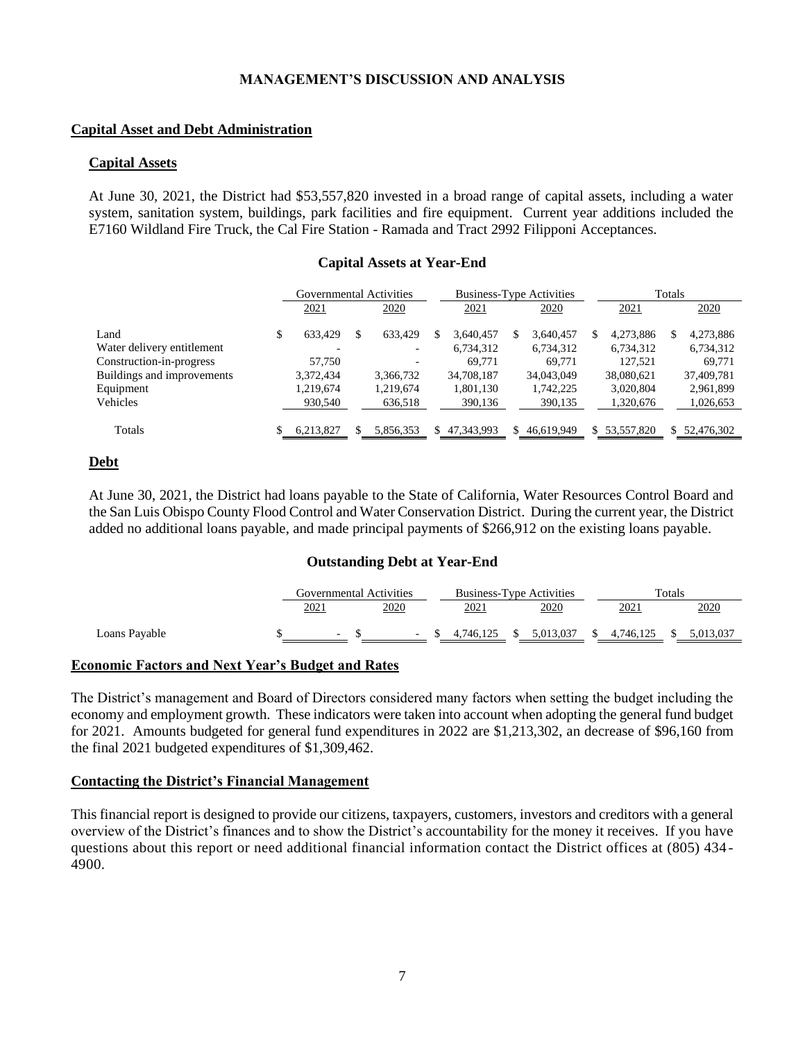#### **Capital Asset and Debt Administration**

#### **Capital Assets**

At June 30, 2021, the District had \$53,557,820 invested in a broad range of capital assets, including a water system, sanitation system, buildings, park facilities and fire equipment. Current year additions included the E7160 Wildland Fire Truck, the Cal Fire Station - Ramada and Tract 2992 Filipponi Acceptances.

### **Capital Assets at Year-End**

|                            |    | Governmental Activities |     |           | <b>Business-Type Activities</b> |            |   |              | Totals |               |    |            |
|----------------------------|----|-------------------------|-----|-----------|---------------------------------|------------|---|--------------|--------|---------------|----|------------|
|                            |    | 2021                    |     | 2020      |                                 | 2021       |   | 2020         |        | 2021          |    | 2020       |
| Land                       | S. | 633.429                 | \$. | 633,429   | S.                              | 3.640.457  | S | 3,640,457    | S      | 4.273.886     |    | 4,273,886  |
| Water delivery entitlement |    |                         |     | -         |                                 | 6,734,312  |   | 6,734,312    |        | 6,734,312     |    | 6,734,312  |
| Construction-in-progress   |    | 57.750                  |     | ۰         |                                 | 69.771     |   | 69.771       |        | 127.521       |    | 69,771     |
| Buildings and improvements |    | 3,372,434               |     | 3,366,732 |                                 | 34,708,187 |   | 34,043,049   |        | 38,080,621    |    | 37,409,781 |
| Equipment                  |    | 1,219,674               |     | 1,219,674 |                                 | 1,801,130  |   | 1,742,225    |        | 3,020,804     |    | 2,961,899  |
| Vehicles                   |    | 930,540                 |     | 636,518   |                                 | 390,136    |   | 390,135      |        | 1,320,676     |    | 1,026,653  |
| Totals                     |    | 6,213,827               |     | 5,856,353 |                                 | 47,343,993 |   | \$46,619,949 |        | \$ 53,557,820 | S. | 52,476,302 |
|                            |    |                         |     |           |                                 |            |   |              |        |               |    |            |

### **Debt**

At June 30, 2021, the District had loans payable to the State of California, Water Resources Control Board and the San Luis Obispo County Flood Control and Water Conservation District. During the current year, the District added no additional loans payable, and made principal payments of \$266,912 on the existing loans payable.

### **Outstanding Debt at Year-End**

|               |      | <b>Governmental Activities</b> |      |     | <b>Business-Type Activities</b> |  |           | Totals |           |  |           |
|---------------|------|--------------------------------|------|-----|---------------------------------|--|-----------|--------|-----------|--|-----------|
|               | 2021 |                                | 2020 |     | 2021                            |  | 2020      |        | 2021      |  | 2020      |
| Loans Payable |      | $\sim$                         |      | - 5 | 4.746.125                       |  | 5.013.037 | S.     | 4,746,125 |  | 5.013.037 |

### **Economic Factors and Next Year's Budget and Rates**

The District's management and Board of Directors considered many factors when setting the budget including the economy and employment growth. These indicators were taken into account when adopting the general fund budget for 2021. Amounts budgeted for general fund expenditures in 2022 are \$1,213,302, an decrease of \$96,160 from the final 2021 budgeted expenditures of \$1,309,462.

#### **Contacting the District's Financial Management**

This financial report is designed to provide our citizens, taxpayers, customers, investors and creditors with a general overview of the District's finances and to show the District's accountability for the money it receives. If you have questions about this report or need additional financial information contact the District offices at (805) 434 - 4900.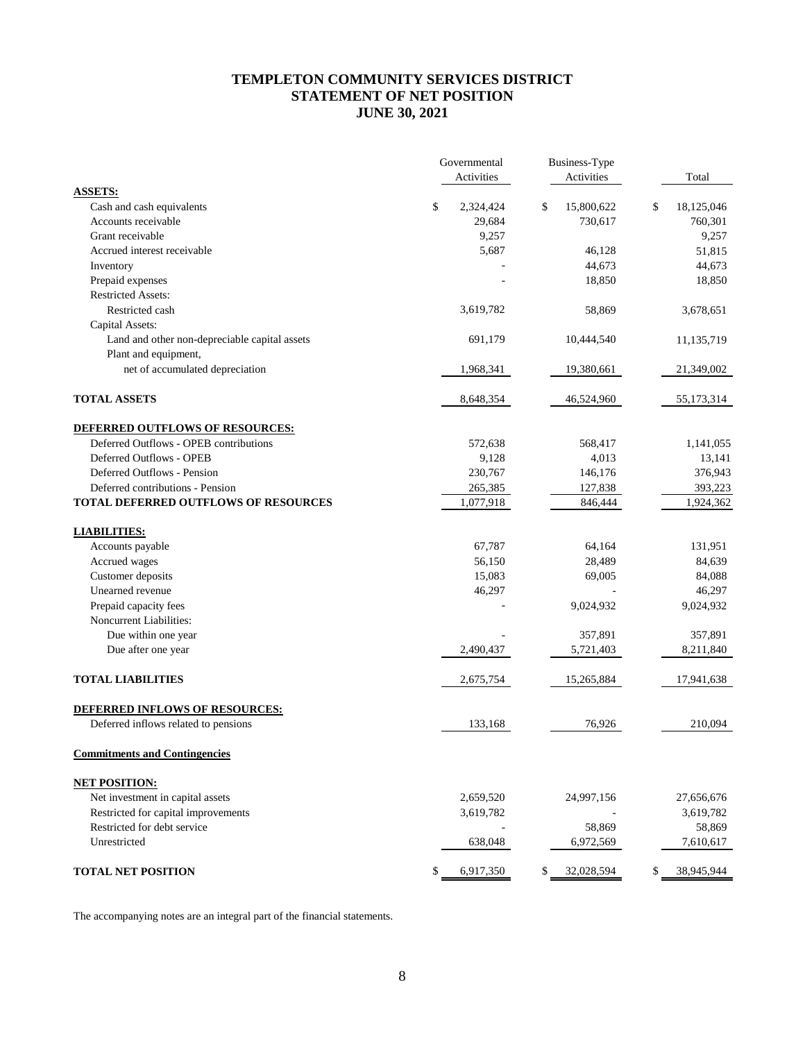## **TEMPLETON COMMUNITY SERVICES DISTRICT STATEMENT OF NET POSITION JUNE 30, 2021**

|                                               | Governmental    |        | Business-Type |                  |
|-----------------------------------------------|-----------------|--------|---------------|------------------|
|                                               | Activities      |        | Activities    | Total            |
| <b>ASSETS:</b>                                |                 |        |               |                  |
| Cash and cash equivalents                     | \$<br>2,324,424 | \$     | 15,800,622    | \$<br>18,125,046 |
| Accounts receivable                           |                 | 29,684 | 730,617       | 760,301          |
| Grant receivable                              |                 | 9,257  |               | 9,257            |
| Accrued interest receivable                   |                 | 5,687  | 46,128        | 51,815           |
| Inventory                                     |                 |        | 44,673        | 44,673           |
| Prepaid expenses                              |                 |        | 18,850        | 18,850           |
| <b>Restricted Assets:</b>                     |                 |        |               |                  |
| Restricted cash                               | 3,619,782       |        | 58,869        | 3,678,651        |
| Capital Assets:                               |                 |        |               |                  |
| Land and other non-depreciable capital assets | 691,179         |        | 10,444,540    | 11,135,719       |
| Plant and equipment,                          |                 |        |               |                  |
| net of accumulated depreciation               | 1,968,341       |        | 19,380,661    | 21,349,002       |
| <b>TOTAL ASSETS</b>                           | 8,648,354       |        | 46,524,960    | 55,173,314       |
| DEFERRED OUTFLOWS OF RESOURCES:               |                 |        |               |                  |
| Deferred Outflows - OPEB contributions        | 572,638         |        | 568,417       | 1,141,055        |
| Deferred Outflows - OPEB                      |                 | 9,128  | 4,013         | 13,141           |
| Deferred Outflows - Pension                   | 230,767         |        | 146,176       | 376,943          |
| Deferred contributions - Pension              | 265,385         |        | 127,838       | 393,223          |
| TOTAL DEFERRED OUTFLOWS OF RESOURCES          | 1,077,918       |        | 846,444       | 1,924,362        |
| <b>LIABILITIES:</b>                           |                 |        |               |                  |
| Accounts payable                              |                 | 67,787 | 64,164        | 131,951          |
| Accrued wages                                 |                 | 56,150 | 28,489        | 84,639           |
| Customer deposits                             |                 | 15,083 | 69,005        | 84,088           |
| Unearned revenue                              |                 | 46,297 |               | 46,297           |
| Prepaid capacity fees                         |                 |        | 9,024,932     | 9,024,932        |
| Noncurrent Liabilities:                       |                 |        |               |                  |
| Due within one year                           |                 |        | 357,891       | 357,891          |
| Due after one year                            | 2,490,437       |        | 5,721,403     | 8,211,840        |
| <b>TOTAL LIABILITIES</b>                      | 2,675,754       |        | 15,265,884    | 17,941,638       |
| DEFERRED INFLOWS OF RESOURCES:                |                 |        |               |                  |
| Deferred inflows related to pensions          | 133,168         |        | 76,926        | 210,094          |
| <b>Commitments and Contingencies</b>          |                 |        |               |                  |
| <b>NET POSITION:</b>                          |                 |        |               |                  |
| Net investment in capital assets              | 2,659,520       |        | 24,997,156    | 27,656,676       |
| Restricted for capital improvements           | 3,619,782       |        |               | 3,619,782        |
| Restricted for debt service                   |                 |        | 58,869        | 58,869           |
| Unrestricted                                  | 638,048         |        | 6,972,569     | 7,610,617        |
| <b>TOTAL NET POSITION</b>                     | 6,917,350<br>\$ | \$     | 32,028,594    | \$<br>38,945,944 |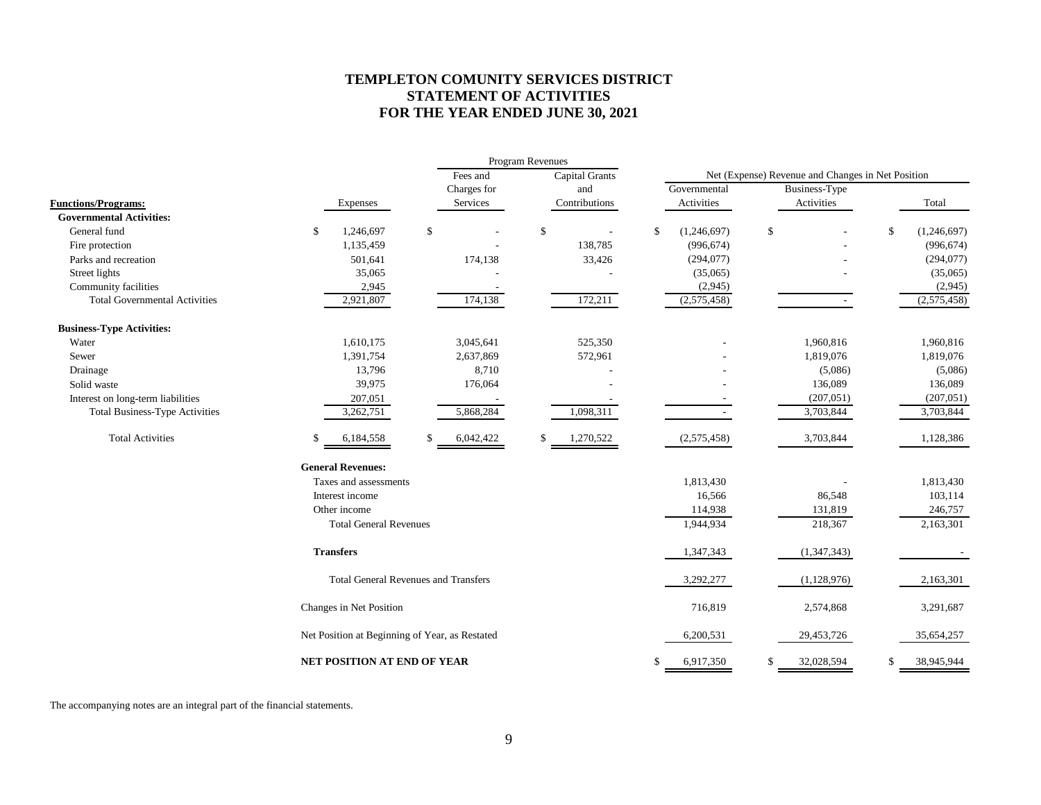## **TEMPLETON COMUNITY SERVICES DISTRICT STATEMENT OF ACTIVITIES FOR THE YEAR ENDED JUNE 30, 2021**

|                                       |              |                                                |                 | Program Revenues |                |    |              |                                                   |                   |
|---------------------------------------|--------------|------------------------------------------------|-----------------|------------------|----------------|----|--------------|---------------------------------------------------|-------------------|
|                                       |              |                                                | Fees and        |                  | Capital Grants |    |              | Net (Expense) Revenue and Changes in Net Position |                   |
|                                       |              |                                                | Charges for     |                  | and            |    | Governmental | Business-Type                                     |                   |
| <b>Functions/Programs:</b>            |              | Expenses                                       | Services        |                  | Contributions  |    | Activities   | Activities                                        | Total             |
| <b>Governmental Activities:</b>       |              |                                                |                 |                  |                |    |              |                                                   |                   |
| General fund                          | $\mathbb{S}$ | 1,246,697                                      | \$              | \$               |                | \$ | (1,246,697)  | \$                                                | \$<br>(1,246,697) |
| Fire protection                       |              | 1,135,459                                      |                 |                  | 138,785        |    | (996, 674)   |                                                   | (996, 674)        |
| Parks and recreation                  |              | 501,641                                        | 174,138         |                  | 33,426         |    | (294, 077)   |                                                   | (294, 077)        |
| Street lights                         |              | 35,065                                         |                 |                  |                |    | (35,065)     |                                                   | (35,065)          |
| Community facilities                  |              | 2,945                                          |                 |                  |                |    | (2,945)      |                                                   | (2,945)           |
| <b>Total Governmental Activities</b>  |              | 2,921,807                                      | 174,138         |                  | 172,211        |    | (2,575,458)  |                                                   | (2,575,458)       |
| <b>Business-Type Activities:</b>      |              |                                                |                 |                  |                |    |              |                                                   |                   |
| Water                                 |              | 1,610,175                                      | 3,045,641       |                  | 525,350        |    |              | 1,960,816                                         | 1,960,816         |
| Sewer                                 |              | 1,391,754                                      | 2,637,869       |                  | 572,961        |    |              | 1,819,076                                         | 1,819,076         |
| Drainage                              |              | 13,796                                         | 8,710           |                  |                |    |              | (5,086)                                           | (5,086)           |
| Solid waste                           |              | 39,975                                         | 176,064         |                  |                |    |              | 136,089                                           | 136,089           |
| Interest on long-term liabilities     |              | 207,051                                        |                 |                  |                |    |              | (207, 051)                                        | (207, 051)        |
| <b>Total Business-Type Activities</b> |              | 3,262,751                                      | 5,868,284       |                  | 1,098,311      |    |              | 3,703,844                                         | 3,703,844         |
| <b>Total Activities</b>               |              | 6,184,558                                      | \$<br>6,042,422 | \$               | 1,270,522      |    | (2,575,458)  | 3,703,844                                         | 1,128,386         |
|                                       |              | <b>General Revenues:</b>                       |                 |                  |                |    |              |                                                   |                   |
|                                       |              | Taxes and assessments                          |                 |                  |                |    | 1,813,430    |                                                   | 1,813,430         |
|                                       |              | Interest income                                |                 |                  |                |    | 16,566       | 86,548                                            | 103,114           |
|                                       |              | Other income                                   |                 |                  |                |    | 114,938      | 131,819                                           | 246,757           |
|                                       |              | <b>Total General Revenues</b>                  |                 |                  |                |    | 1,944,934    | 218,367                                           | 2,163,301         |
|                                       |              | <b>Transfers</b>                               |                 |                  |                |    | 1,347,343    | (1,347,343)                                       |                   |
|                                       |              | <b>Total General Revenues and Transfers</b>    |                 |                  |                |    | 3,292,277    | (1,128,976)                                       | 2,163,301         |
|                                       |              | Changes in Net Position                        |                 |                  |                |    | 716,819      | 2,574,868                                         | 3,291,687         |
|                                       |              | Net Position at Beginning of Year, as Restated |                 |                  |                |    | 6,200,531    | 29,453,726                                        | 35,654,257        |
|                                       |              | NET POSITION AT END OF YEAR                    |                 |                  |                | S  | 6,917,350    | \$<br>32,028,594                                  | \$<br>38,945,944  |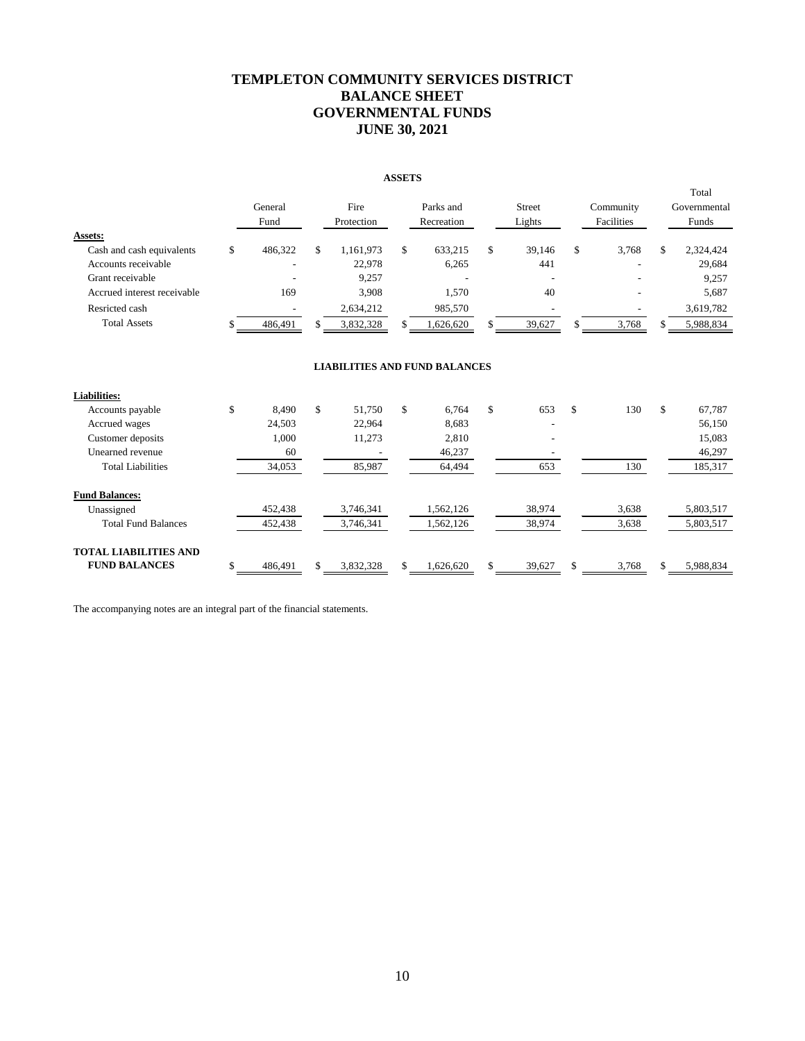### **TEMPLETON COMMUNITY SERVICES DISTRICT BALANCE SHEET GOVERNMENTAL FUNDS JUNE 30, 2021**

#### **ASSETS**

|                             | General<br>Fund          |    | Fire<br>Protection |   | Parks and<br>Recreation |   | <b>Street</b><br>Lights  | Community<br>Facilities |                          |   | Total<br>Governmental<br>Funds |
|-----------------------------|--------------------------|----|--------------------|---|-------------------------|---|--------------------------|-------------------------|--------------------------|---|--------------------------------|
| <b>Assets:</b>              |                          |    |                    |   |                         |   |                          |                         |                          |   |                                |
| Cash and cash equivalents   | \$<br>486,322            | \$ | 1,161,973          | S | 633.215                 | S | 39,146                   | S                       | 3,768                    | S | 2,324,424                      |
| Accounts receivable         | -                        |    | 22,978             |   | 6,265                   |   | 441                      |                         | $\overline{\phantom{0}}$ |   | 29,684                         |
| Grant receivable            |                          |    | 9,257              |   |                         |   | $\overline{\phantom{0}}$ |                         |                          |   | 9,257                          |
| Accrued interest receivable | 169                      |    | 3.908              |   | 1,570                   |   | 40                       |                         | $\overline{\phantom{0}}$ |   | 5,687                          |
| Resricted cash              | $\overline{\phantom{a}}$ |    | 2,634,212          |   | 985,570                 |   | $\overline{\phantom{a}}$ |                         | $\qquad \qquad$          |   | 3,619,782                      |
| <b>Total Assets</b>         | 486,491                  |    | 3,832,328          |   | .626,620                |   | 39,627                   |                         | 3,768                    |   | 5,988,834                      |

#### **LIABILITIES AND FUND BALANCES**

| <b>Liabilities:</b>                                  |             |     |           |   |           |                          |           |   |           |
|------------------------------------------------------|-------------|-----|-----------|---|-----------|--------------------------|-----------|---|-----------|
| Accounts payable                                     | \$<br>8.490 | \$  | 51,750    | S | 6.764     | \$<br>653                | \$<br>130 | S | 67,787    |
| Accrued wages                                        | 24,503      |     | 22,964    |   | 8,683     | $\overline{\phantom{a}}$ |           |   | 56,150    |
| Customer deposits                                    | 1.000       |     | 11,273    |   | 2,810     | ۰                        |           |   | 15,083    |
| Unearned revenue                                     | 60          |     |           |   | 46,237    |                          |           |   | 46,297    |
| <b>Total Liabilities</b>                             | 34,053      |     | 85,987    |   | 64,494    | 653                      | 130       |   | 185,317   |
| <b>Fund Balances:</b>                                |             |     |           |   |           |                          |           |   |           |
| Unassigned                                           | 452,438     |     | 3,746,341 |   | 1,562,126 | 38,974                   | 3,638     |   | 5,803,517 |
| <b>Total Fund Balances</b>                           | 452,438     |     | 3,746,341 |   | 1,562,126 | 38,974                   | 3,638     |   | 5,803,517 |
| <b>TOTAL LIABILITIES AND</b><br><b>FUND BALANCES</b> | 486,491     | \$. | 3,832,328 |   | 1,626,620 | 39,627                   | 3,768     |   | 5,988,834 |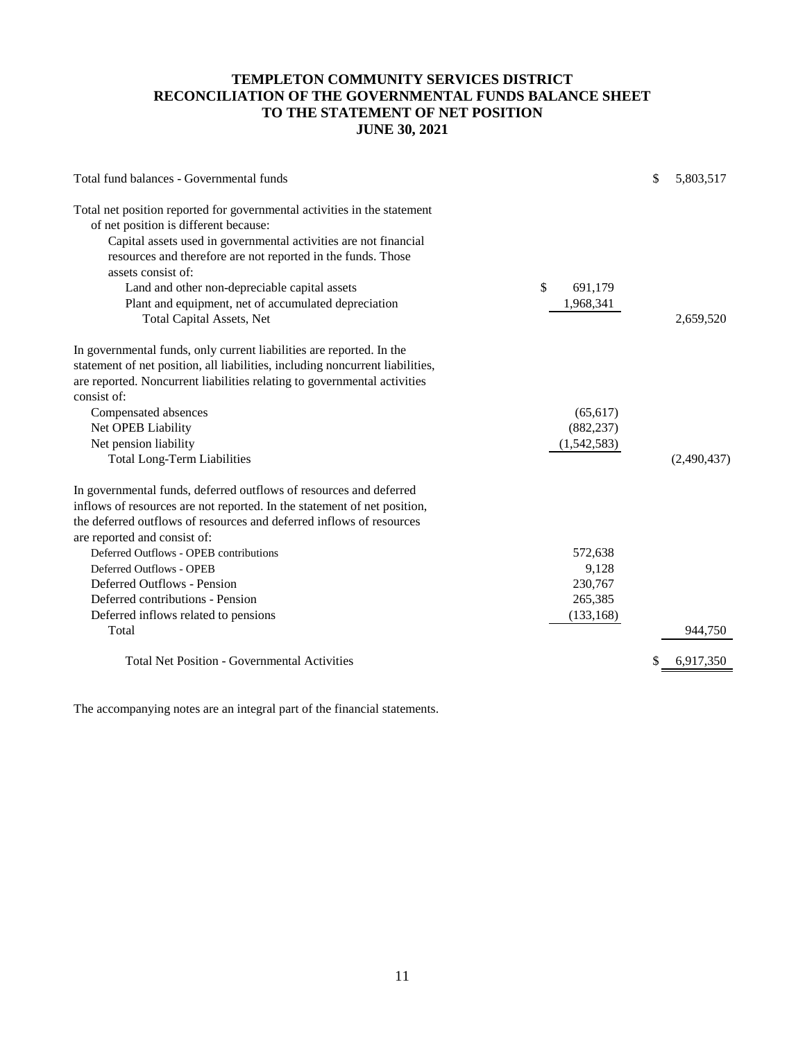## **TEMPLETON COMMUNITY SERVICES DISTRICT RECONCILIATION OF THE GOVERNMENTAL FUNDS BALANCE SHEET TO THE STATEMENT OF NET POSITION JUNE 30, 2021**

| Total fund balances - Governmental funds                                                                                                                                                                                                                                    |               | \$<br>5,803,517 |
|-----------------------------------------------------------------------------------------------------------------------------------------------------------------------------------------------------------------------------------------------------------------------------|---------------|-----------------|
| Total net position reported for governmental activities in the statement<br>of net position is different because:<br>Capital assets used in governmental activities are not financial<br>resources and therefore are not reported in the funds. Those<br>assets consist of: |               |                 |
| Land and other non-depreciable capital assets                                                                                                                                                                                                                               | \$<br>691,179 |                 |
| Plant and equipment, net of accumulated depreciation<br><b>Total Capital Assets, Net</b>                                                                                                                                                                                    | 1,968,341     | 2,659,520       |
| In governmental funds, only current liabilities are reported. In the<br>statement of net position, all liabilities, including noncurrent liabilities,<br>are reported. Noncurrent liabilities relating to governmental activities<br>consist of:                            |               |                 |
| Compensated absences                                                                                                                                                                                                                                                        | (65, 617)     |                 |
| Net OPEB Liability                                                                                                                                                                                                                                                          | (882, 237)    |                 |
| Net pension liability                                                                                                                                                                                                                                                       | (1,542,583)   |                 |
| <b>Total Long-Term Liabilities</b>                                                                                                                                                                                                                                          |               | (2,490,437)     |
| In governmental funds, deferred outflows of resources and deferred<br>inflows of resources are not reported. In the statement of net position,<br>the deferred outflows of resources and deferred inflows of resources<br>are reported and consist of:                      |               |                 |
| Deferred Outflows - OPEB contributions                                                                                                                                                                                                                                      | 572,638       |                 |
| Deferred Outflows - OPEB                                                                                                                                                                                                                                                    | 9,128         |                 |
| Deferred Outflows - Pension                                                                                                                                                                                                                                                 | 230,767       |                 |
| Deferred contributions - Pension                                                                                                                                                                                                                                            | 265,385       |                 |
| Deferred inflows related to pensions                                                                                                                                                                                                                                        | (133, 168)    |                 |
| Total                                                                                                                                                                                                                                                                       |               | 944,750         |
| <b>Total Net Position - Governmental Activities</b>                                                                                                                                                                                                                         |               | 6,917,350       |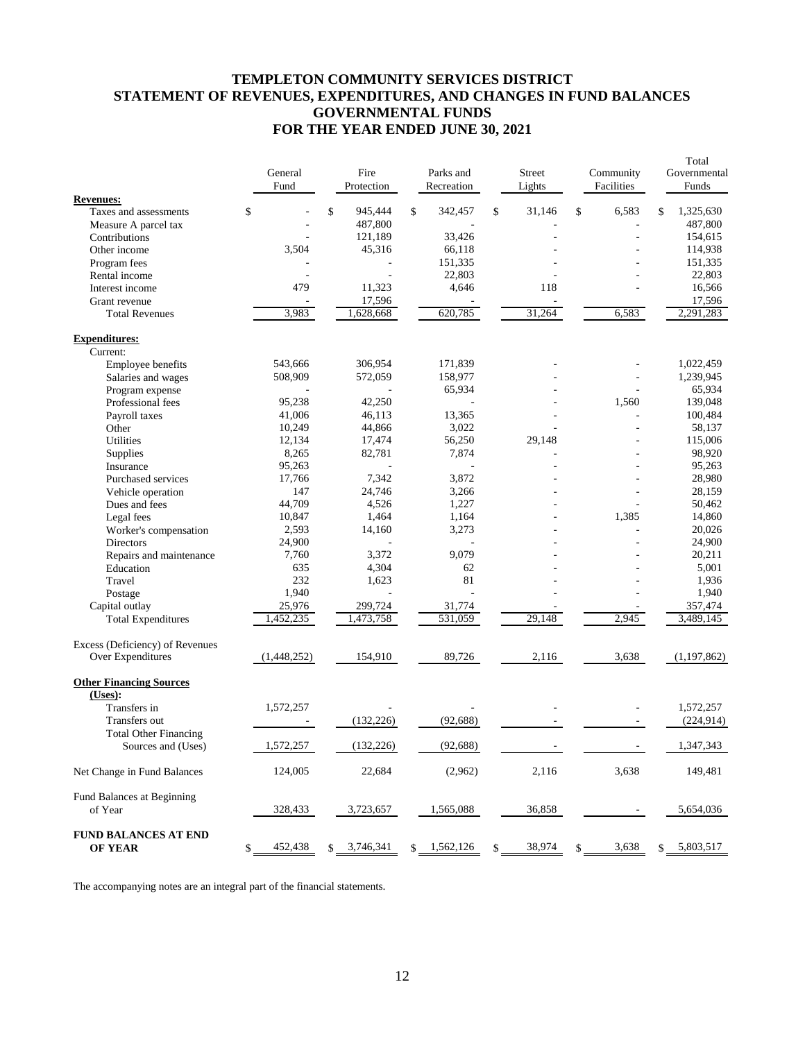## **TEMPLETON COMMUNITY SERVICES DISTRICT STATEMENT OF REVENUES, EXPENDITURES, AND CHANGES IN FUND BALANCES GOVERNMENTAL FUNDS FOR THE YEAR ENDED JUNE 30, 2021**

|                                 |     | General<br>Fund |              | Fire<br>Protection | Parks and<br>Recreation |                | Street<br>Lights |               | Community<br>Facilities | Total<br>Governmental<br>Funds |
|---------------------------------|-----|-----------------|--------------|--------------------|-------------------------|----------------|------------------|---------------|-------------------------|--------------------------------|
| <b>Revenues:</b>                |     |                 |              |                    |                         |                |                  |               |                         |                                |
| Taxes and assessments           | \$  |                 | \$           | 945,444            | \$<br>342,457           | \$             | 31,146           | $\mathcal{S}$ | 6,583                   | \$<br>1,325,630                |
| Measure A parcel tax            |     |                 |              | 487.800            |                         |                |                  |               |                         | 487,800                        |
| Contributions                   |     |                 |              | 121,189            | 33,426                  |                |                  |               |                         | 154,615                        |
| Other income                    |     | 3,504           |              | 45,316             | 66,118                  |                |                  |               |                         | 114,938                        |
| Program fees                    |     |                 |              |                    | 151,335                 |                |                  |               |                         | 151,335                        |
| Rental income                   |     |                 |              |                    | 22,803                  |                |                  |               |                         | 22,803                         |
| Interest income                 |     | 479             |              | 11,323             | 4,646                   |                | 118              |               |                         | 16,566                         |
| Grant revenue                   |     |                 |              | 17,596             |                         |                |                  |               |                         | 17,596                         |
| <b>Total Revenues</b>           |     | 3,983           |              | 1,628,668          | 620,785                 |                | 31,264           |               | 6,583                   | 2,291,283                      |
| <b>Expenditures:</b>            |     |                 |              |                    |                         |                |                  |               |                         |                                |
| Current:                        |     |                 |              |                    |                         |                |                  |               |                         |                                |
| Employee benefits               |     | 543,666         |              | 306,954            | 171,839                 |                |                  |               |                         | 1,022,459                      |
| Salaries and wages              |     | 508,909         |              | 572,059            | 158,977                 |                |                  |               |                         | 1,239,945                      |
| Program expense                 |     |                 |              |                    | 65,934                  |                |                  |               |                         | 65,934                         |
| Professional fees               |     | 95,238          |              | 42,250             |                         |                |                  |               | 1,560                   | 139,048                        |
| Payroll taxes                   |     | 41,006          |              | 46,113             | 13,365                  |                |                  |               |                         | 100,484                        |
| Other                           |     | 10,249          |              | 44,866             | 3,022                   |                |                  |               |                         | 58,137                         |
| Utilities                       |     | 12,134          |              | 17,474             | 56,250                  |                | 29,148           |               |                         | 115,006                        |
| Supplies                        |     | 8,265           |              | 82,781             | 7,874                   |                |                  |               |                         | 98,920                         |
| Insurance                       |     | 95,263          |              |                    |                         |                |                  |               |                         | 95,263                         |
| Purchased services              |     | 17,766          |              | 7,342              | 3,872                   |                |                  |               |                         | 28,980                         |
| Vehicle operation               |     | 147             |              | 24,746             | 3,266                   |                |                  |               |                         | 28,159                         |
| Dues and fees                   |     | 44,709          |              | 4,526              | 1,227                   |                |                  |               |                         | 50,462                         |
| Legal fees                      |     | 10,847          |              | 1,464              | 1,164                   |                |                  |               | 1,385                   | 14,860                         |
| Worker's compensation           |     | 2,593           |              | 14,160             | 3,273                   |                |                  |               |                         | 20,026                         |
| Directors                       |     | 24,900          |              |                    |                         |                |                  |               |                         | 24,900                         |
| Repairs and maintenance         |     | 7,760           |              | 3,372              | 9,079                   |                |                  |               |                         | 20,211                         |
| Education                       |     | 635             |              | 4,304              | 62                      |                |                  |               |                         | 5,001                          |
| Travel                          |     | 232             |              | 1,623              | 81                      |                |                  |               |                         | 1,936                          |
|                                 |     | 1,940           |              |                    | ÷,                      |                |                  |               |                         | 1,940                          |
| Postage                         |     |                 |              |                    |                         |                |                  |               |                         |                                |
| Capital outlay                  |     | 25,976          |              | 299,724            | 31,774                  |                | 29,148           |               |                         | 357,474                        |
| <b>Total Expenditures</b>       |     | 1,452,235       |              | 1,473,758          | 531,059                 |                |                  |               | 2,945                   | 3,489,145                      |
| Excess (Deficiency) of Revenues |     |                 |              |                    |                         |                |                  |               |                         |                                |
| Over Expenditures               |     | (1,448,252)     |              | 154,910            | 89,726                  |                | 2,116            |               | 3,638                   | (1, 197, 862)                  |
| <b>Other Financing Sources</b>  |     |                 |              |                    |                         |                |                  |               |                         |                                |
| (Users):                        |     |                 |              |                    |                         |                |                  |               |                         |                                |
| Transfers in                    |     | 1,572,257       |              |                    |                         |                |                  |               |                         | 1,572,257                      |
| Transfers out                   |     |                 |              | (132, 226)         | (92, 688)               |                |                  |               |                         | (224, 914)                     |
| <b>Total Other Financing</b>    |     |                 |              |                    |                         |                |                  |               |                         |                                |
| Sources and (Uses)              |     | 1,572,257       |              | (132, 226)         | (92, 688)               |                |                  |               |                         | 1,347,343                      |
| Net Change in Fund Balances     |     | 124,005         |              | 22,684             | (2,962)                 |                | 2,116            |               | 3,638                   | 149,481                        |
| Fund Balances at Beginning      |     |                 |              |                    |                         |                |                  |               |                         |                                |
| of Year                         |     | 328,433         |              | 3,723,657          | 1,565,088               |                | 36,858           |               |                         | 5,654,036                      |
| <b>FUND BALANCES AT END</b>     |     | 452,438         |              |                    |                         |                | 38,974           |               | 3,638                   | \$ 5,803,517                   |
| <b>OF YEAR</b>                  | \$. |                 | $\mathbb{S}$ | 3,746,341          | $\frac{1,562,126}{2}$   | $\mathbb{S}$ . |                  | \$_           |                         |                                |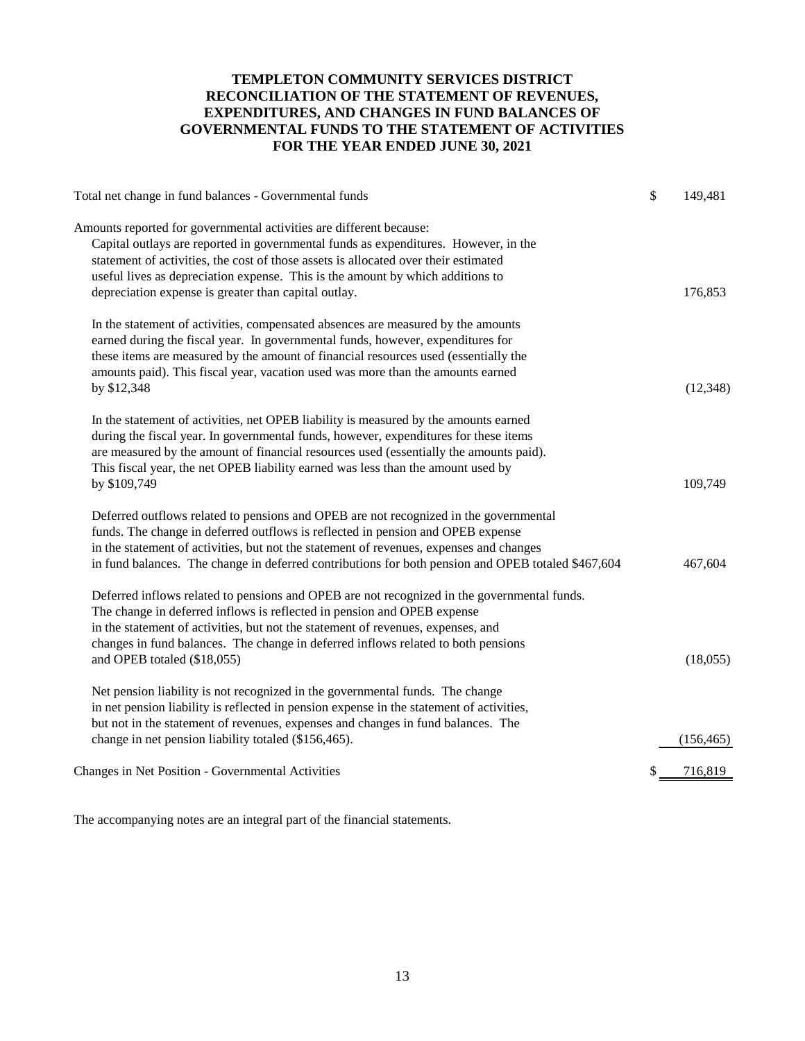## **TEMPLETON COMMUNITY SERVICES DISTRICT RECONCILIATION OF THE STATEMENT OF REVENUES, EXPENDITURES, AND CHANGES IN FUND BALANCES OF GOVERNMENTAL FUNDS TO THE STATEMENT OF ACTIVITIES FOR THE YEAR ENDED JUNE 30, 2021**

| Total net change in fund balances - Governmental funds                                                                                                                                                                                                                                                                                                                                      | \$<br>149,481 |
|---------------------------------------------------------------------------------------------------------------------------------------------------------------------------------------------------------------------------------------------------------------------------------------------------------------------------------------------------------------------------------------------|---------------|
| Amounts reported for governmental activities are different because:<br>Capital outlays are reported in governmental funds as expenditures. However, in the<br>statement of activities, the cost of those assets is allocated over their estimated<br>useful lives as depreciation expense. This is the amount by which additions to<br>depreciation expense is greater than capital outlay. | 176,853       |
| In the statement of activities, compensated absences are measured by the amounts<br>earned during the fiscal year. In governmental funds, however, expenditures for<br>these items are measured by the amount of financial resources used (essentially the<br>amounts paid). This fiscal year, vacation used was more than the amounts earned<br>by \$12,348                                | (12, 348)     |
| In the statement of activities, net OPEB liability is measured by the amounts earned<br>during the fiscal year. In governmental funds, however, expenditures for these items<br>are measured by the amount of financial resources used (essentially the amounts paid).<br>This fiscal year, the net OPEB liability earned was less than the amount used by<br>by \$109,749                  | 109,749       |
| Deferred outflows related to pensions and OPEB are not recognized in the governmental<br>funds. The change in deferred outflows is reflected in pension and OPEB expense<br>in the statement of activities, but not the statement of revenues, expenses and changes<br>in fund balances. The change in deferred contributions for both pension and OPEB totaled \$467,604                   | 467,604       |
| Deferred inflows related to pensions and OPEB are not recognized in the governmental funds.<br>The change in deferred inflows is reflected in pension and OPEB expense<br>in the statement of activities, but not the statement of revenues, expenses, and<br>changes in fund balances. The change in deferred inflows related to both pensions<br>and OPEB totaled (\$18,055)              | (18,055)      |
| Net pension liability is not recognized in the governmental funds. The change<br>in net pension liability is reflected in pension expense in the statement of activities,<br>but not in the statement of revenues, expenses and changes in fund balances. The<br>change in net pension liability totaled (\$156,465).                                                                       | (156, 465)    |
| Changes in Net Position - Governmental Activities                                                                                                                                                                                                                                                                                                                                           | 716,819       |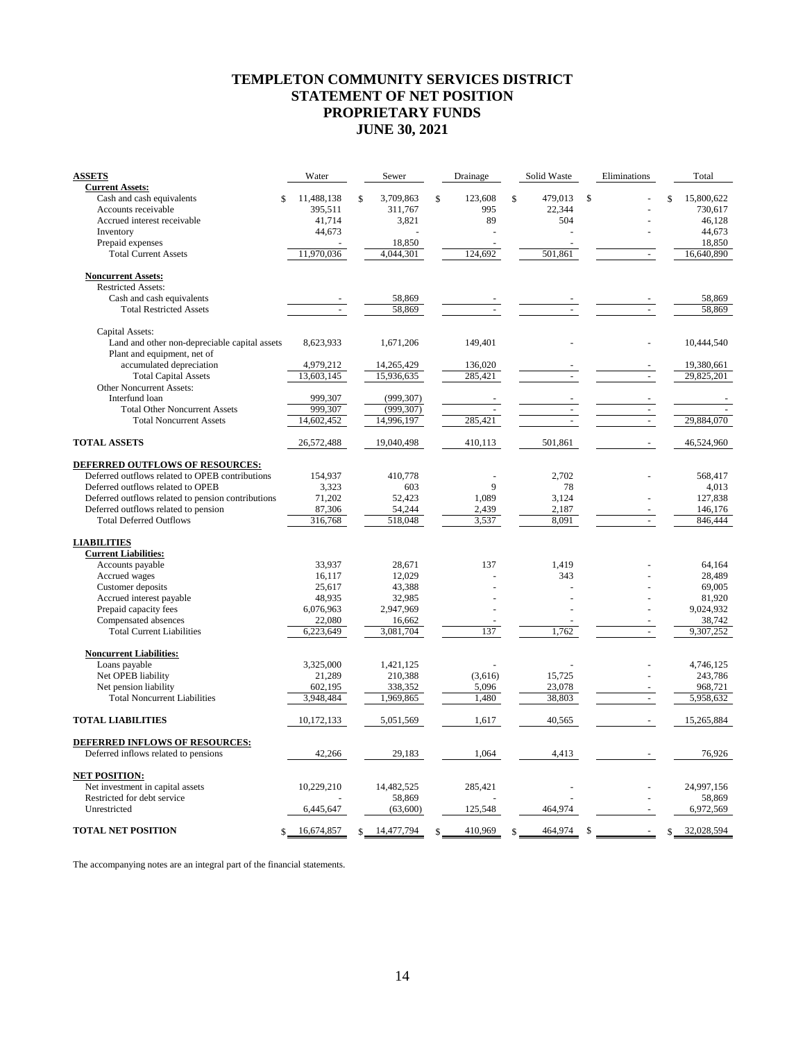## **TEMPLETON COMMUNITY SERVICES DISTRICT STATEMENT OF NET POSITION PROPRIETARY FUNDS JUNE 30, 2021**

| <b>ASSETS</b>                                              | Water      | Sewer           | Drainage       |                    | Solid Waste | Eliminations | Total            |
|------------------------------------------------------------|------------|-----------------|----------------|--------------------|-------------|--------------|------------------|
| <b>Current Assets:</b><br>Cash and cash equivalents<br>\$. | 11,488,138 | \$<br>3,709,863 | \$<br>123,608  | $\mathbf{\hat{S}}$ | 479,013     | \$           | \$<br>15,800,622 |
| Accounts receivable                                        | 395,511    | 311,767         | 995            |                    | 22,344      |              | 730,617          |
| Accrued interest receivable                                | 41,714     | 3,821           | 89             |                    | 504         |              | 46,128           |
| Inventory                                                  | 44,673     |                 |                |                    |             |              | 44,673           |
| Prepaid expenses                                           |            | 18,850          |                |                    |             |              | 18,850           |
| <b>Total Current Assets</b>                                | 11,970,036 | 4,044,301       | 124,692        |                    | 501,861     |              | 16,640,890       |
|                                                            |            |                 |                |                    |             |              |                  |
| <b>Noncurrent Assets:</b><br><b>Restricted Assets:</b>     |            |                 |                |                    |             |              |                  |
| Cash and cash equivalents                                  |            | 58,869          |                |                    |             |              | 58,869           |
| <b>Total Restricted Assets</b>                             |            | 58,869          | $\bar{a}$      |                    |             |              | 58,869           |
|                                                            |            |                 |                |                    |             |              |                  |
| Capital Assets:                                            |            |                 |                |                    |             |              |                  |
| Land and other non-depreciable capital assets              | 8,623,933  | 1,671,206       | 149,401        |                    |             |              | 10,444,540       |
| Plant and equipment, net of                                |            |                 |                |                    |             |              |                  |
| accumulated depreciation                                   | 4,979,212  | 14,265,429      | 136,020        |                    |             |              | 19,380,661       |
| <b>Total Capital Assets</b>                                | 13,603,145 | 15,936,635      | 285,421        |                    |             |              | 29,825,201       |
| Other Noncurrent Assets:                                   |            |                 |                |                    |             |              |                  |
| Interfund loan                                             | 999,307    | (999, 307)      |                |                    |             |              |                  |
| <b>Total Other Noncurrent Assets</b>                       | 999,307    | (999, 307)      | $\sim$         |                    | $\omega$    | $\omega$     |                  |
| <b>Total Noncurrent Assets</b>                             | 14,602,452 | 14,996,197      | 285,421        |                    | $\equiv$    | $\sim$       | 29,884,070       |
| <b>TOTAL ASSETS</b>                                        | 26,572,488 | 19,040,498      | 410,113        |                    | 501,861     |              | 46,524,960       |
| DEFERRED OUTFLOWS OF RESOURCES:                            |            |                 |                |                    |             |              |                  |
| Deferred outflows related to OPEB contributions            | 154,937    | 410,778         | $\overline{a}$ |                    | 2,702       |              | 568,417          |
| Deferred outflows related to OPEB                          | 3,323      | 603             | $\mathbf{Q}$   |                    | 78          |              | 4.013            |
| Deferred outflows related to pension contributions         | 71,202     | 52,423          | 1,089          |                    | 3,124       |              | 127,838          |
| Deferred outflows related to pension                       | 87,306     | 54,244          | 2,439          |                    | 2,187       |              | 146,176          |
| <b>Total Deferred Outflows</b>                             | 316,768    | 518,048         | 3,537          |                    | 8.091       | $\omega$     | 846,444          |
| <b>LIABILITIES</b>                                         |            |                 |                |                    |             |              |                  |
| <b>Current Liabilities:</b>                                |            |                 |                |                    |             |              |                  |
| Accounts payable                                           | 33,937     | 28,671          | 137            |                    | 1,419       |              | 64.164           |
| Accrued wages                                              | 16,117     | 12,029          |                |                    | 343         |              | 28,489           |
| Customer deposits                                          | 25,617     | 43,388          |                |                    |             |              | 69.005           |
| Accrued interest payable                                   | 48,935     | 32,985          |                |                    |             |              | 81,920           |
| Prepaid capacity fees                                      | 6,076,963  | 2,947,969       |                |                    |             |              | 9,024,932        |
| Compensated absences                                       | 22,080     | 16,662          |                |                    |             |              | 38,742           |
| <b>Total Current Liabilities</b>                           | 6,223,649  | 3,081,704       | 137            |                    | 1,762       |              | 9,307,252        |
| <b>Noncurrent Liabilities:</b>                             |            |                 |                |                    |             |              |                  |
| Loans payable                                              | 3,325,000  | 1,421,125       |                |                    |             |              | 4,746,125        |
| Net OPEB liability                                         | 21,289     | 210,388         | (3,616)        |                    | 15,725      |              | 243,786          |
| Net pension liability                                      | 602,195    | 338,352         | 5,096          |                    | 23,078      |              | 968,721          |
| <b>Total Noncurrent Liabilities</b>                        | 3,948,484  | 1,969,865       | 1,480          |                    | 38,803      |              | 5,958,632        |
| <b>TOTAL LIABILITIES</b>                                   | 10,172,133 | 5,051,569       | 1,617          |                    | 40,565      |              | 15,265,884       |
| DEFERRED INFLOWS OF RESOURCES:                             |            |                 |                |                    |             |              |                  |
| Deferred inflows related to pensions                       | 42,266     | 29,183          | 1,064          |                    | 4,413       |              | 76,926           |
| <b>NET POSITION:</b>                                       |            |                 |                |                    |             |              |                  |
| Net investment in capital assets                           | 10,229,210 | 14,482,525      | 285,421        |                    |             |              | 24,997,156       |
| Restricted for debt service                                |            | 58,869          |                |                    |             |              | 58,869           |
| Unrestricted                                               | 6,445,647  | (63,600)        | 125,548        |                    | 464,974     |              | 6,972,569        |
| <b>TOTAL NET POSITION</b>                                  | 16,674,857 | 14,477,794      | 410,969        |                    | 464,974     | \$           | \$<br>32,028,594 |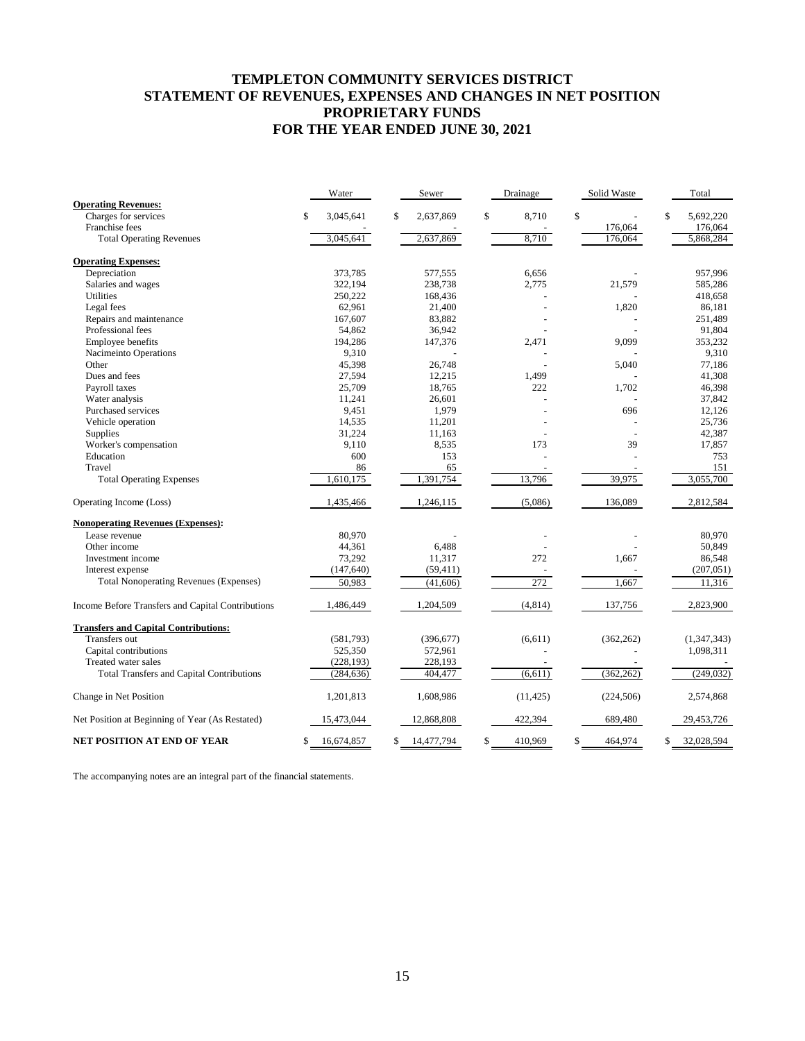## **TEMPLETON COMMUNITY SERVICES DISTRICT STATEMENT OF REVENUES, EXPENSES AND CHANGES IN NET POSITION PROPRIETARY FUNDS FOR THE YEAR ENDED JUNE 30, 2021**

|                                                   | Water            | Sewer            | Drainage      | Solid Waste   | Total            |
|---------------------------------------------------|------------------|------------------|---------------|---------------|------------------|
| <b>Operating Revenues:</b>                        |                  |                  |               |               |                  |
| Charges for services                              | \$<br>3,045,641  | \$<br>2,637,869  | \$<br>8,710   | \$            | 5,692,220<br>S   |
| Franchise fees                                    |                  |                  |               | 176,064       | 176,064          |
| <b>Total Operating Revenues</b>                   | 3,045,641        | 2,637,869        | 8,710         | 176,064       | 5,868,284        |
| <b>Operating Expenses:</b>                        |                  |                  |               |               |                  |
| Depreciation                                      | 373,785          | 577,555          | 6,656         |               | 957,996          |
| Salaries and wages                                | 322,194          | 238,738          | 2,775         | 21,579        | 585,286          |
| <b>Utilities</b>                                  | 250,222          | 168,436          |               |               | 418,658          |
| Legal fees                                        | 62,961           | 21,400           |               | 1,820         | 86,181           |
| Repairs and maintenance                           | 167,607          | 83,882           |               |               | 251,489          |
| Professional fees                                 | 54,862           | 36,942           |               |               | 91,804           |
| Employee benefits                                 | 194,286          | 147,376          | 2,471         | 9,099         | 353,232          |
| Nacimeinto Operations                             | 9,310            |                  |               |               | 9,310            |
| Other                                             | 45,398           | 26,748           |               | 5,040         | 77.186           |
| Dues and fees                                     | 27,594           | 12,215           | 1,499         |               | 41,308           |
| Payroll taxes                                     | 25,709           | 18,765           | 222           | 1,702         | 46,398           |
| Water analysis                                    | 11,241           | 26,601           |               |               | 37,842           |
| Purchased services                                | 9,451            | 1,979            |               | 696           | 12,126           |
| Vehicle operation                                 | 14,535           | 11,201           |               |               | 25,736           |
| Supplies                                          | 31,224           | 11,163           |               |               | 42,387           |
| Worker's compensation                             | 9,110            | 8,535            | 173           | 39            | 17,857           |
| Education                                         | 600              | 153              |               |               | 753              |
| Travel                                            | 86               | 65               | $\sim$        |               | 151              |
| <b>Total Operating Expenses</b>                   | 1,610,175        | 1,391,754        | 13,796        | 39,975        | 3,055,700        |
| Operating Income (Loss)                           | 1,435,466        | 1,246,115        | (5,086)       | 136,089       | 2,812,584        |
| <b>Nonoperating Revenues (Expenses):</b>          |                  |                  |               |               |                  |
| Lease revenue                                     | 80.970           |                  |               |               | 80.970           |
| Other income                                      | 44,361           | 6,488            |               |               | 50,849           |
| Investment income                                 | 73,292           | 11,317           | 272           | 1,667         | 86,548           |
| Interest expense                                  | (147, 640)       | (59, 411)        |               |               | (207, 051)       |
| <b>Total Nonoperating Revenues (Expenses)</b>     | 50,983           | (41,606)         | 272           | 1,667         | 11,316           |
| Income Before Transfers and Capital Contributions | 1,486,449        | 1,204,509        | (4, 814)      | 137,756       | 2,823,900        |
| <b>Transfers and Capital Contributions:</b>       |                  |                  |               |               |                  |
| <b>Transfers</b> out                              | (581,793)        | (396, 677)       | (6,611)       | (362, 262)    | (1, 347, 343)    |
| Capital contributions                             | 525,350          | 572,961          |               |               | 1,098,311        |
| Treated water sales                               | (228, 193)       | 228,193          |               |               |                  |
| <b>Total Transfers and Capital Contributions</b>  | (284, 636)       | 404,477          | (6,611)       | (362, 262)    | (249, 032)       |
| Change in Net Position                            | 1,201,813        | 1,608,986        | (11, 425)     | (224, 506)    | 2,574,868        |
| Net Position at Beginning of Year (As Restated)   | 15,473,044       | 12,868,808       | 422,394       | 689,480       | 29,453,726       |
| NET POSITION AT END OF YEAR                       | \$<br>16,674,857 | \$<br>14,477,794 | \$<br>410,969 | \$<br>464,974 | 32,028,594<br>\$ |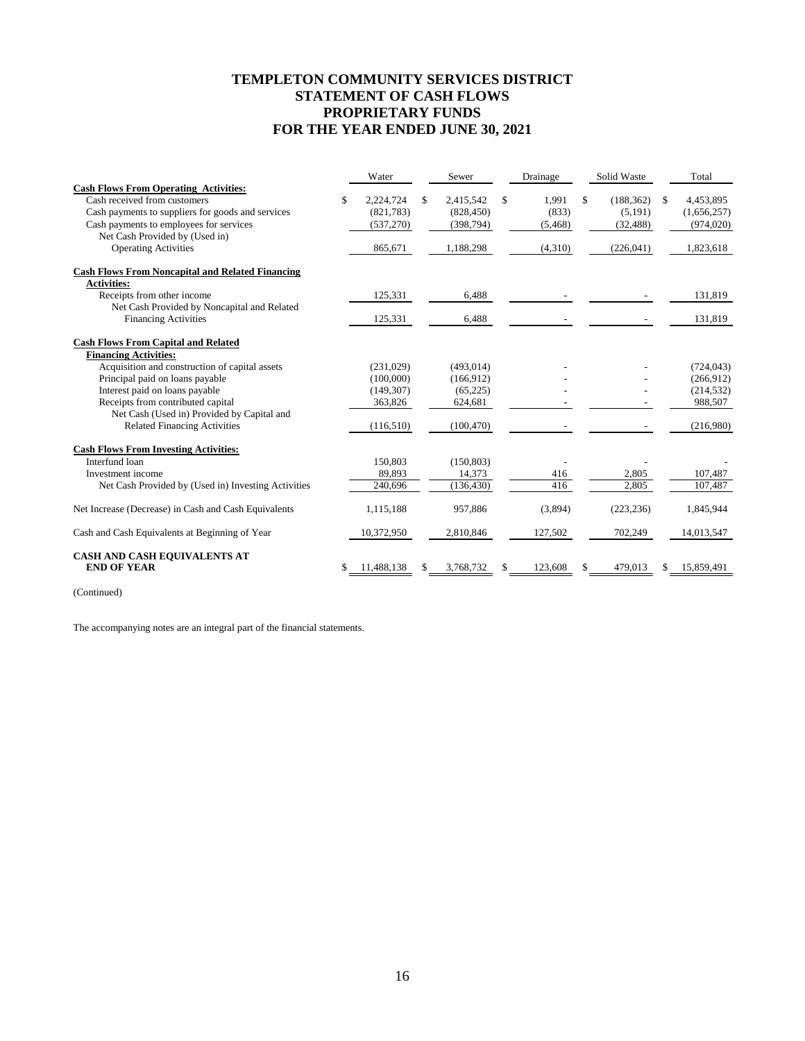## **TEMPLETON COMMUNITY SERVICES DISTRICT STATEMENT OF CASH FLOWS PROPRIETARY FUNDS FOR THE YEAR ENDED JUNE 30, 2021**

|                                                         |     | Water      | Sewer           |     | Drainage |     | Solid Waste |     | Total       |
|---------------------------------------------------------|-----|------------|-----------------|-----|----------|-----|-------------|-----|-------------|
| <b>Cash Flows From Operating Activities:</b>            |     |            |                 |     |          |     |             |     |             |
| Cash received from customers                            | \$. | 2,224,724  | \$<br>2,415,542 | \$  | 1,991    | \$  | (188, 362)  | \$  | 4,453,895   |
| Cash payments to suppliers for goods and services       |     | (821, 783) | (828.450)       |     | (833)    |     | (5,191)     |     | (1,656,257) |
| Cash payments to employees for services                 |     | (537, 270) | (398, 794)      |     | (5, 468) |     | (32, 488)   |     | (974, 020)  |
| Net Cash Provided by (Used in)                          |     |            |                 |     |          |     |             |     |             |
| <b>Operating Activities</b>                             |     | 865,671    | 1,188,298       |     | (4,310)  |     | (226, 041)  |     | 1,823,618   |
|                                                         |     |            |                 |     |          |     |             |     |             |
| <b>Cash Flows From Noncapital and Related Financing</b> |     |            |                 |     |          |     |             |     |             |
| <b>Activities:</b>                                      |     |            |                 |     |          |     |             |     |             |
| Receipts from other income                              |     | 125,331    | 6,488           |     |          |     |             |     | 131,819     |
| Net Cash Provided by Noncapital and Related             |     |            |                 |     |          |     |             |     |             |
| <b>Financing Activities</b>                             |     | 125,331    | 6,488           |     |          |     |             |     | 131,819     |
| <b>Cash Flows From Capital and Related</b>              |     |            |                 |     |          |     |             |     |             |
| <b>Financing Activities:</b>                            |     |            |                 |     |          |     |             |     |             |
| Acquisition and construction of capital assets          |     | (231,029)  | (493, 014)      |     |          |     |             |     | (724, 043)  |
| Principal paid on loans payable                         |     | (100,000)  | (166, 912)      |     |          |     |             |     | (266,912)   |
| Interest paid on loans payable                          |     | (149, 307) | (65, 225)       |     |          |     |             |     | (214, 532)  |
| Receipts from contributed capital                       |     | 363,826    | 624,681         |     |          |     |             |     | 988,507     |
| Net Cash (Used in) Provided by Capital and              |     |            |                 |     |          |     |             |     |             |
| <b>Related Financing Activities</b>                     |     | (116, 510) | (100, 470)      |     |          |     |             |     | (216,980)   |
| <b>Cash Flows From Investing Activities:</b>            |     |            |                 |     |          |     |             |     |             |
| Interfund loan                                          |     | 150,803    | (150, 803)      |     |          |     |             |     |             |
| Investment income                                       |     | 89,893     | 14,373          |     | 416      |     | 2,805       |     | 107,487     |
| Net Cash Provided by (Used in) Investing Activities     |     | 240,696    | (136, 430)      |     | 416      |     | 2,805       |     | 107,487     |
|                                                         |     |            |                 |     |          |     |             |     |             |
| Net Increase (Decrease) in Cash and Cash Equivalents    |     | 1,115,188  | 957,886         |     | (3,894)  |     | (223, 236)  |     | 1,845,944   |
| Cash and Cash Equivalents at Beginning of Year          |     | 10,372,950 | 2,810,846       |     | 127,502  |     | 702,249     |     | 14,013,547  |
| CASH AND CASH EQUIVALENTS AT<br><b>END OF YEAR</b>      | \$. | 11,488,138 | \$<br>3,768,732 | \$. | 123,608  | \$. | 479,013     | \$. | 15,859,491  |

(Continued)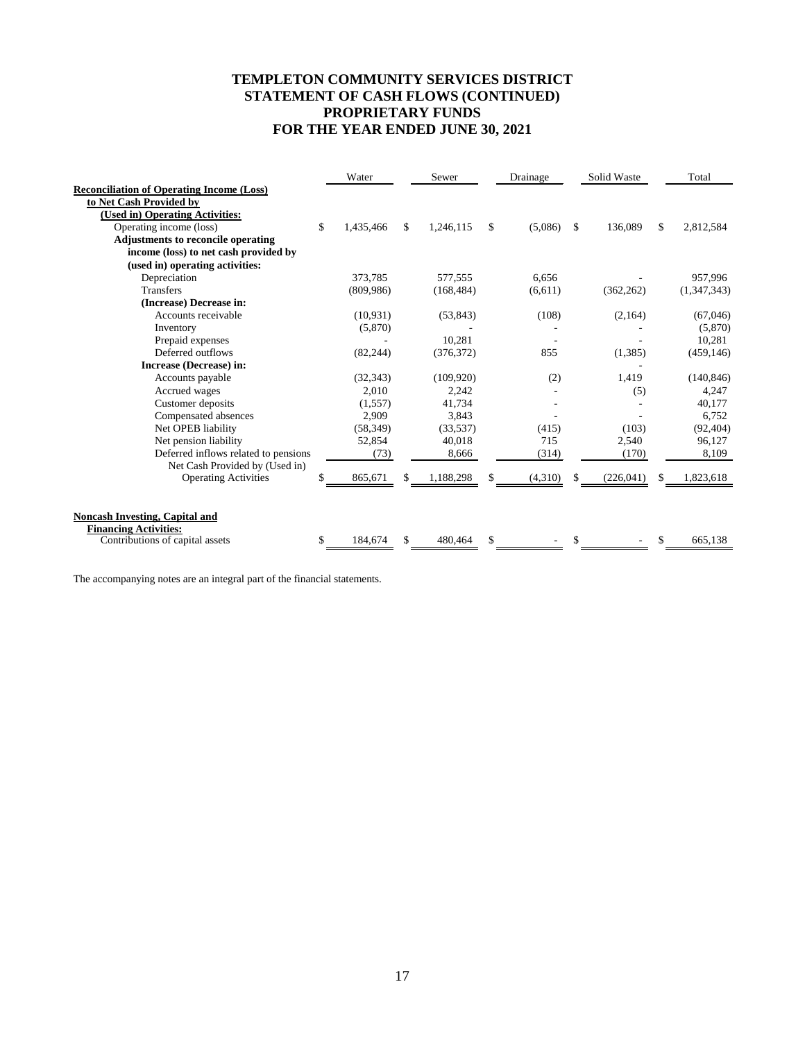## **TEMPLETON COMMUNITY SERVICES DISTRICT STATEMENT OF CASH FLOWS (CONTINUED) PROPRIETARY FUNDS FOR THE YEAR ENDED JUNE 30, 2021**

|                                                  | Water           |     | Sewer      | Drainage |         | Solid Waste  |            |     | Total       |
|--------------------------------------------------|-----------------|-----|------------|----------|---------|--------------|------------|-----|-------------|
| <b>Reconciliation of Operating Income (Loss)</b> |                 |     |            |          |         |              |            |     |             |
| to Net Cash Provided by                          |                 |     |            |          |         |              |            |     |             |
| (Used in) Operating Activities:                  |                 |     |            |          |         |              |            |     |             |
| Operating income (loss)                          | \$<br>1,435,466 | \$  | 1,246,115  | \$       | (5,086) | $\mathbb{S}$ | 136,089    | \$  | 2,812,584   |
| Adjustments to reconcile operating               |                 |     |            |          |         |              |            |     |             |
| income (loss) to net cash provided by            |                 |     |            |          |         |              |            |     |             |
| (used in) operating activities:                  |                 |     |            |          |         |              |            |     |             |
| Depreciation                                     | 373,785         |     | 577,555    |          | 6,656   |              |            |     | 957,996     |
| Transfers                                        | (809, 986)      |     | (168, 484) |          | (6,611) |              | (362, 262) |     | (1,347,343) |
| (Increase) Decrease in:                          |                 |     |            |          |         |              |            |     |             |
| Accounts receivable                              | (10, 931)       |     | (53, 843)  |          | (108)   |              | (2,164)    |     | (67,046)    |
| Inventory                                        | (5,870)         |     |            |          |         |              |            |     | (5,870)     |
| Prepaid expenses                                 |                 |     | 10,281     |          |         |              |            |     | 10,281      |
| Deferred outflows                                | (82, 244)       |     | (376, 372) |          | 855     |              | (1,385)    |     | (459, 146)  |
| Increase (Decrease) in:                          |                 |     |            |          |         |              |            |     |             |
| Accounts payable                                 | (32, 343)       |     | (109, 920) |          | (2)     |              | 1,419      |     | (140, 846)  |
| Accrued wages                                    | 2,010           |     | 2,242      |          |         |              | (5)        |     | 4,247       |
| Customer deposits                                | (1,557)         |     | 41,734     |          |         |              |            |     | 40,177      |
| Compensated absences                             | 2,909           |     | 3,843      |          |         |              |            |     | 6,752       |
| Net OPEB liability                               | (58, 349)       |     | (33, 537)  |          | (415)   |              | (103)      |     | (92, 404)   |
| Net pension liability                            | 52,854          |     | 40,018     |          | 715     |              | 2,540      |     | 96,127      |
| Deferred inflows related to pensions             | (73)            |     | 8,666      |          | (314)   |              | (170)      |     | 8,109       |
| Net Cash Provided by (Used in)                   |                 |     |            |          |         |              |            |     |             |
| <b>Operating Activities</b>                      | 865,671         | \$. | 1,188,298  | \$.      | (4,310) | S            | (226, 041) | \$. | 1,823,618   |
|                                                  |                 |     |            |          |         |              |            |     |             |
| <b>Noncash Investing, Capital and</b>            |                 |     |            |          |         |              |            |     |             |
| <b>Financing Activities:</b>                     |                 |     |            |          |         |              |            |     |             |
| Contributions of capital assets                  | \$.<br>184,674  | \$  | 480,464    | \$       |         |              |            |     | 665,138     |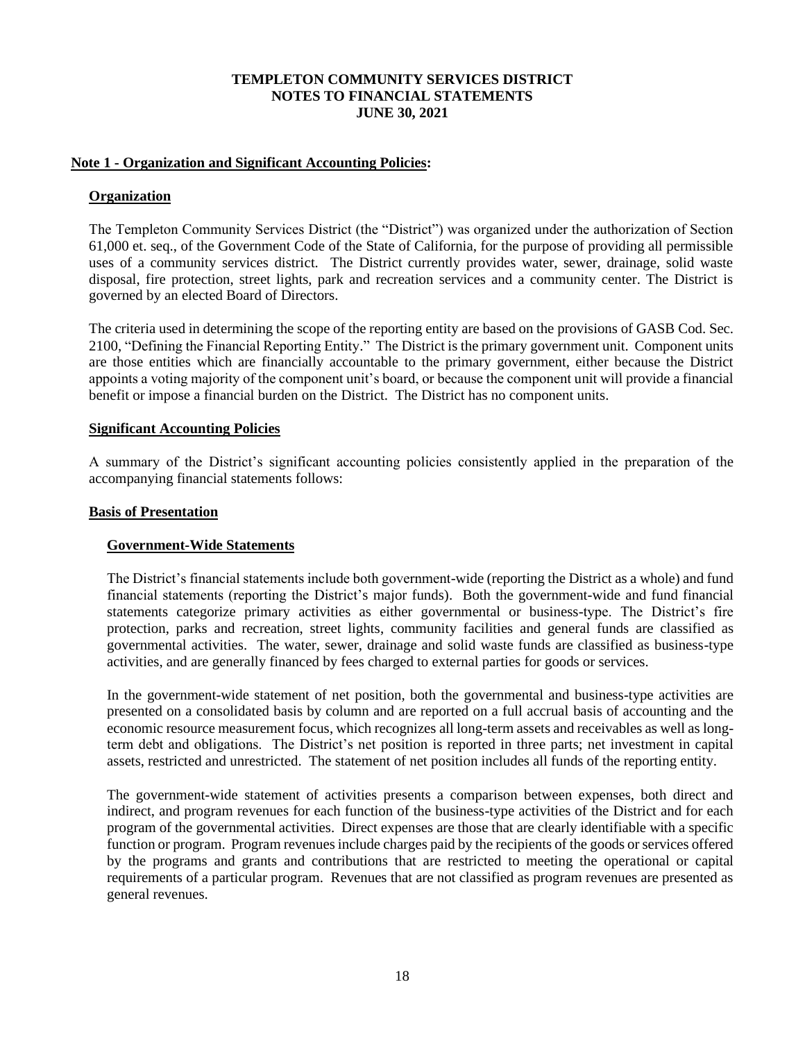### **Note 1 - Organization and Significant Accounting Policies:**

### **Organization**

The Templeton Community Services District (the "District") was organized under the authorization of Section 61,000 et. seq., of the Government Code of the State of California, for the purpose of providing all permissible uses of a community services district. The District currently provides water, sewer, drainage, solid waste disposal, fire protection, street lights, park and recreation services and a community center. The District is governed by an elected Board of Directors.

The criteria used in determining the scope of the reporting entity are based on the provisions of GASB Cod. Sec. 2100, "Defining the Financial Reporting Entity." The District is the primary government unit. Component units are those entities which are financially accountable to the primary government, either because the District appoints a voting majority of the component unit's board, or because the component unit will provide a financial benefit or impose a financial burden on the District. The District has no component units.

### **Significant Accounting Policies**

A summary of the District's significant accounting policies consistently applied in the preparation of the accompanying financial statements follows:

### **Basis of Presentation**

# **Government-Wide Statements**

The District's financial statements include both government-wide (reporting the District as a whole) and fund financial statements (reporting the District's major funds). Both the government-wide and fund financial statements categorize primary activities as either governmental or business-type. The District's fire protection, parks and recreation, street lights, community facilities and general funds are classified as governmental activities. The water, sewer, drainage and solid waste funds are classified as business-type activities, and are generally financed by fees charged to external parties for goods or services.

In the government-wide statement of net position, both the governmental and business-type activities are presented on a consolidated basis by column and are reported on a full accrual basis of accounting and the economic resource measurement focus, which recognizes all long-term assets and receivables as well as longterm debt and obligations. The District's net position is reported in three parts; net investment in capital assets, restricted and unrestricted. The statement of net position includes all funds of the reporting entity.

The government-wide statement of activities presents a comparison between expenses, both direct and indirect, and program revenues for each function of the business-type activities of the District and for each program of the governmental activities. Direct expenses are those that are clearly identifiable with a specific function or program. Program revenues include charges paid by the recipients of the goods or services offered by the programs and grants and contributions that are restricted to meeting the operational or capital requirements of a particular program. Revenues that are not classified as program revenues are presented as general revenues.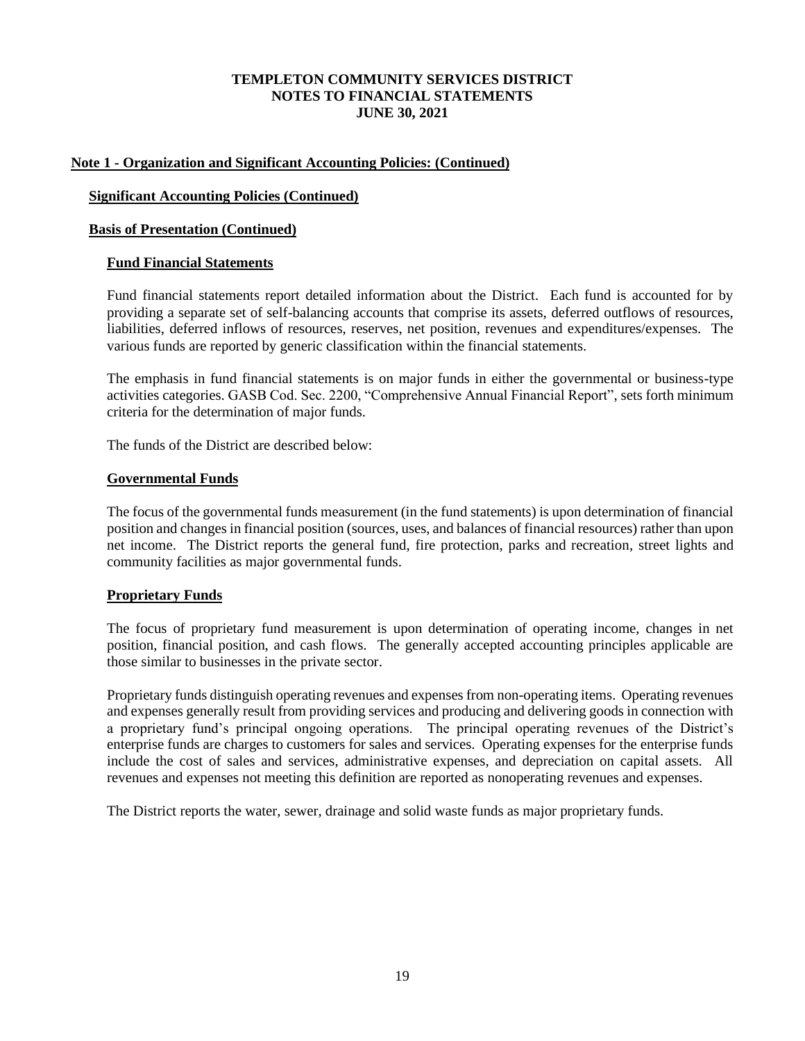### **Note 1 - Organization and Significant Accounting Policies: (Continued)**

### **Significant Accounting Policies (Continued)**

### **Basis of Presentation (Continued)**

### **Fund Financial Statements**

Fund financial statements report detailed information about the District. Each fund is accounted for by providing a separate set of self-balancing accounts that comprise its assets, deferred outflows of resources, liabilities, deferred inflows of resources, reserves, net position, revenues and expenditures/expenses. The various funds are reported by generic classification within the financial statements.

The emphasis in fund financial statements is on major funds in either the governmental or business-type activities categories. GASB Cod. Sec. 2200, "Comprehensive Annual Financial Report", sets forth minimum criteria for the determination of major funds.

The funds of the District are described below:

### **Governmental Funds**

The focus of the governmental funds measurement (in the fund statements) is upon determination of financial position and changes in financial position (sources, uses, and balances of financial resources) rather than upon net income. The District reports the general fund, fire protection, parks and recreation, street lights and community facilities as major governmental funds.

### **Proprietary Funds**

The focus of proprietary fund measurement is upon determination of operating income, changes in net position, financial position, and cash flows. The generally accepted accounting principles applicable are those similar to businesses in the private sector.

Proprietary funds distinguish operating revenues and expenses from non-operating items. Operating revenues and expenses generally result from providing services and producing and delivering goods in connection with a proprietary fund's principal ongoing operations. The principal operating revenues of the District's enterprise funds are charges to customers for sales and services. Operating expenses for the enterprise funds include the cost of sales and services, administrative expenses, and depreciation on capital assets. All revenues and expenses not meeting this definition are reported as nonoperating revenues and expenses.

The District reports the water, sewer, drainage and solid waste funds as major proprietary funds.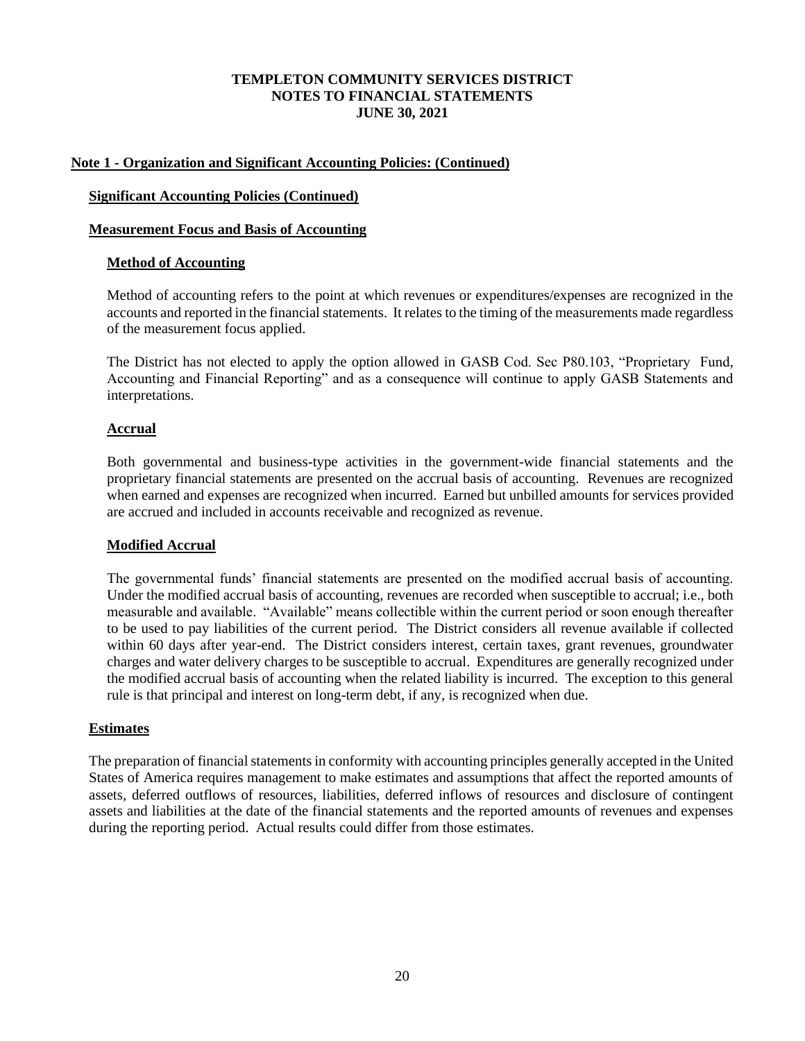### **Note 1 - Organization and Significant Accounting Policies: (Continued)**

### **Significant Accounting Policies (Continued)**

### **Measurement Focus and Basis of Accounting**

### **Method of Accounting**

Method of accounting refers to the point at which revenues or expenditures/expenses are recognized in the accounts and reported in the financial statements. It relates to the timing of the measurements made regardless of the measurement focus applied.

The District has not elected to apply the option allowed in GASB Cod. Sec P80.103, "Proprietary Fund, Accounting and Financial Reporting" and as a consequence will continue to apply GASB Statements and interpretations.

### **Accrual**

Both governmental and business-type activities in the government-wide financial statements and the proprietary financial statements are presented on the accrual basis of accounting. Revenues are recognized when earned and expenses are recognized when incurred. Earned but unbilled amounts for services provided are accrued and included in accounts receivable and recognized as revenue.

### **Modified Accrual**

The governmental funds' financial statements are presented on the modified accrual basis of accounting. Under the modified accrual basis of accounting, revenues are recorded when susceptible to accrual; i.e., both measurable and available. "Available" means collectible within the current period or soon enough thereafter to be used to pay liabilities of the current period. The District considers all revenue available if collected within 60 days after year-end. The District considers interest, certain taxes, grant revenues, groundwater charges and water delivery charges to be susceptible to accrual. Expenditures are generally recognized under the modified accrual basis of accounting when the related liability is incurred. The exception to this general rule is that principal and interest on long-term debt, if any, is recognized when due.

#### **Estimates**

The preparation of financial statements in conformity with accounting principles generally accepted in the United States of America requires management to make estimates and assumptions that affect the reported amounts of assets, deferred outflows of resources, liabilities, deferred inflows of resources and disclosure of contingent assets and liabilities at the date of the financial statements and the reported amounts of revenues and expenses during the reporting period. Actual results could differ from those estimates.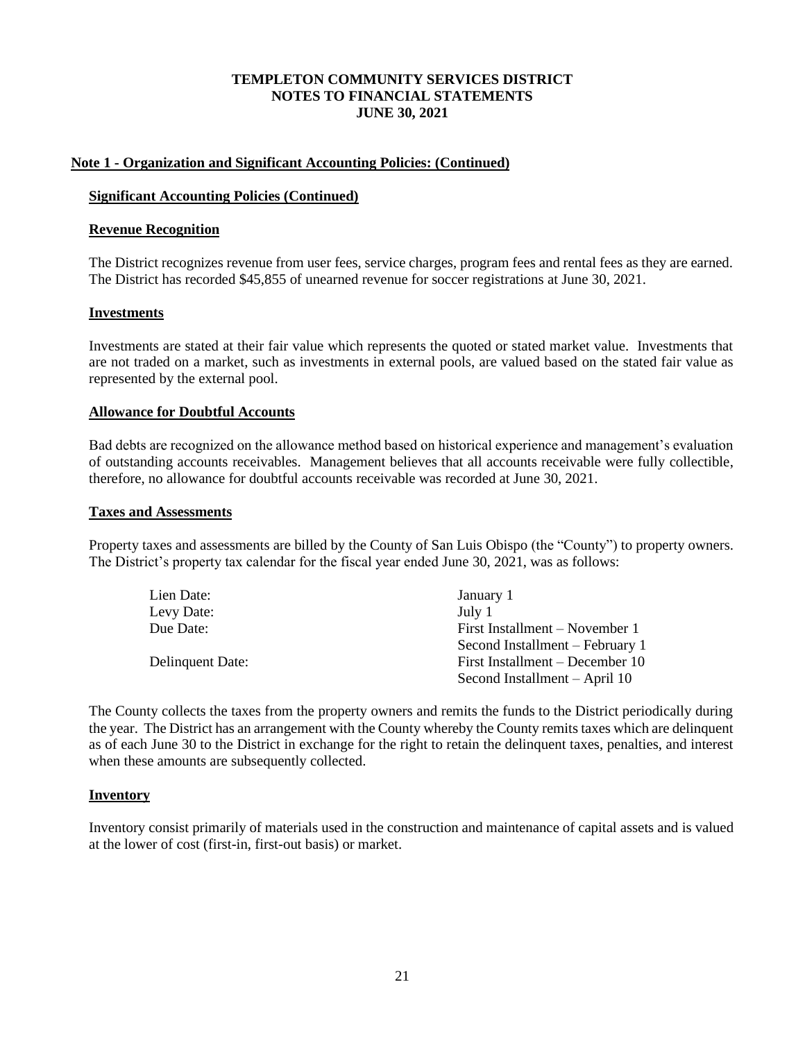### **Note 1 - Organization and Significant Accounting Policies: (Continued)**

#### **Significant Accounting Policies (Continued)**

#### **Revenue Recognition**

The District recognizes revenue from user fees, service charges, program fees and rental fees as they are earned. The District has recorded \$45,855 of unearned revenue for soccer registrations at June 30, 2021.

#### **Investments**

Investments are stated at their fair value which represents the quoted or stated market value. Investments that are not traded on a market, such as investments in external pools, are valued based on the stated fair value as represented by the external pool.

### **Allowance for Doubtful Accounts**

Bad debts are recognized on the allowance method based on historical experience and management's evaluation of outstanding accounts receivables. Management believes that all accounts receivable were fully collectible, therefore, no allowance for doubtful accounts receivable was recorded at June 30, 2021.

#### **Taxes and Assessments**

Property taxes and assessments are billed by the County of San Luis Obispo (the "County") to property owners. The District's property tax calendar for the fiscal year ended June 30, 2021, was as follows:

| Lien Date:       | January 1                       |
|------------------|---------------------------------|
| Levy Date:       | July 1                          |
| Due Date:        | First Installment – November 1  |
|                  | Second Installment – February 1 |
| Delinquent Date: | First Installment – December 10 |
|                  | Second Installment – April 10   |

The County collects the taxes from the property owners and remits the funds to the District periodically during the year. The District has an arrangement with the County whereby the County remits taxes which are delinquent as of each June 30 to the District in exchange for the right to retain the delinquent taxes, penalties, and interest when these amounts are subsequently collected.

#### **Inventory**

Inventory consist primarily of materials used in the construction and maintenance of capital assets and is valued at the lower of cost (first-in, first-out basis) or market.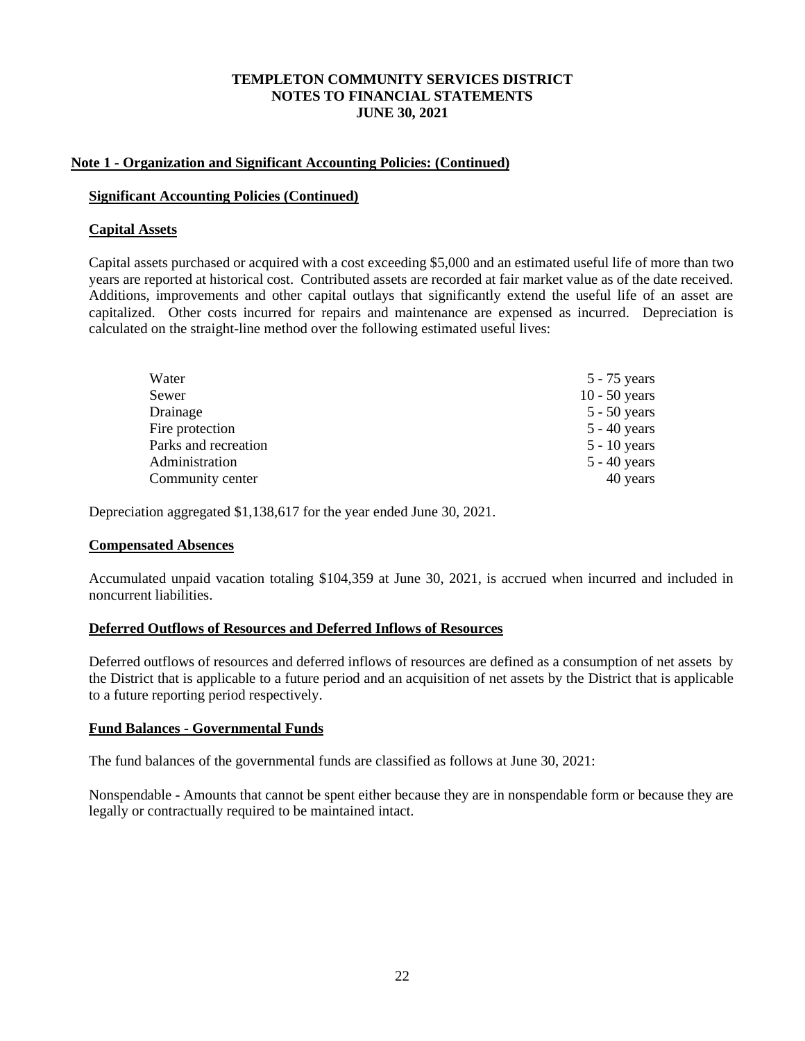### **Note 1 - Organization and Significant Accounting Policies: (Continued)**

### **Significant Accounting Policies (Continued)**

### **Capital Assets**

Capital assets purchased or acquired with a cost exceeding \$5,000 and an estimated useful life of more than two years are reported at historical cost. Contributed assets are recorded at fair market value as of the date received. Additions, improvements and other capital outlays that significantly extend the useful life of an asset are capitalized. Other costs incurred for repairs and maintenance are expensed as incurred. Depreciation is calculated on the straight-line method over the following estimated useful lives:

| Water                | $5 - 75$ years  |
|----------------------|-----------------|
| Sewer                | $10 - 50$ years |
| Drainage             | $5 - 50$ years  |
| Fire protection      | $5 - 40$ years  |
| Parks and recreation | $5 - 10$ years  |
| Administration       | $5 - 40$ years  |
| Community center     | 40 years        |

Depreciation aggregated \$1,138,617 for the year ended June 30, 2021.

### **Compensated Absences**

Accumulated unpaid vacation totaling \$104,359 at June 30, 2021, is accrued when incurred and included in noncurrent liabilities.

### **Deferred Outflows of Resources and Deferred Inflows of Resources**

Deferred outflows of resources and deferred inflows of resources are defined as a consumption of net assets by the District that is applicable to a future period and an acquisition of net assets by the District that is applicable to a future reporting period respectively.

### **Fund Balances - Governmental Funds**

The fund balances of the governmental funds are classified as follows at June 30, 2021:

Nonspendable - Amounts that cannot be spent either because they are in nonspendable form or because they are legally or contractually required to be maintained intact.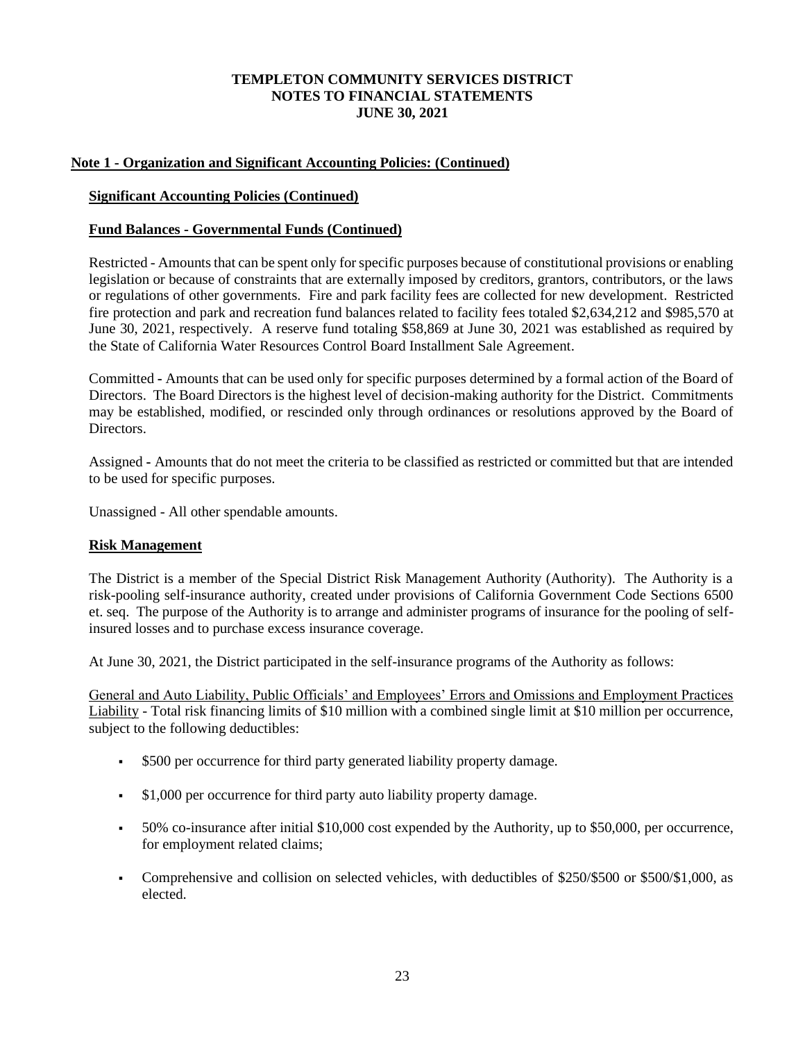## **Note 1 - Organization and Significant Accounting Policies: (Continued)**

### **Significant Accounting Policies (Continued)**

### **Fund Balances - Governmental Funds (Continued)**

Restricted - Amounts that can be spent only for specific purposes because of constitutional provisions or enabling legislation or because of constraints that are externally imposed by creditors, grantors, contributors, or the laws or regulations of other governments. Fire and park facility fees are collected for new development. Restricted fire protection and park and recreation fund balances related to facility fees totaled \$2,634,212 and \$985,570 at June 30, 2021, respectively. A reserve fund totaling \$58,869 at June 30, 2021 was established as required by the State of California Water Resources Control Board Installment Sale Agreement.

Committed **-** Amounts that can be used only for specific purposes determined by a formal action of the Board of Directors. The Board Directors is the highest level of decision-making authority for the District. Commitments may be established, modified, or rescinded only through ordinances or resolutions approved by the Board of Directors.

Assigned **-** Amounts that do not meet the criteria to be classified as restricted or committed but that are intended to be used for specific purposes.

Unassigned - All other spendable amounts.

### **Risk Management**

The District is a member of the Special District Risk Management Authority (Authority). The Authority is a risk-pooling self-insurance authority, created under provisions of California Government Code Sections 6500 et. seq. The purpose of the Authority is to arrange and administer programs of insurance for the pooling of selfinsured losses and to purchase excess insurance coverage.

At June 30, 2021, the District participated in the self-insurance programs of the Authority as follows:

General and Auto Liability, Public Officials' and Employees' Errors and Omissions and Employment Practices Liability - Total risk financing limits of \$10 million with a combined single limit at \$10 million per occurrence, subject to the following deductibles:

- \$500 per occurrence for third party generated liability property damage.
- \$1,000 per occurrence for third party auto liability property damage.
- 50% co-insurance after initial \$10,000 cost expended by the Authority, up to \$50,000, per occurrence, for employment related claims;
- Comprehensive and collision on selected vehicles, with deductibles of \$250/\$500 or \$500/\$1,000, as elected.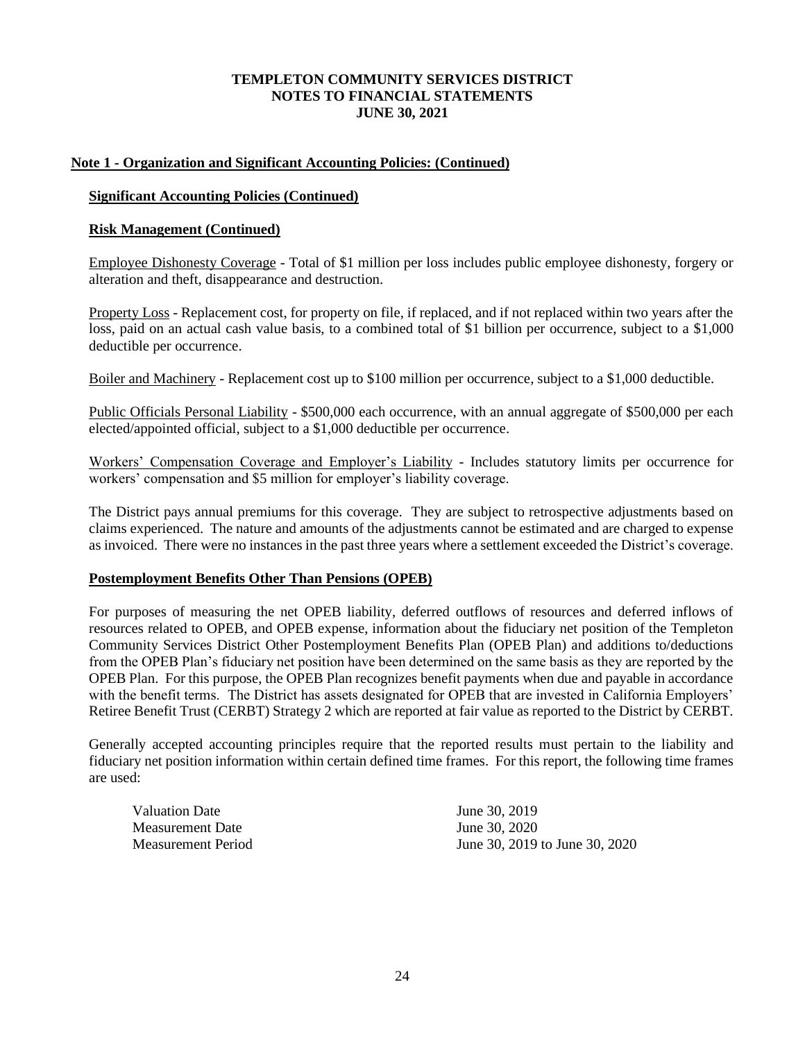### **Note 1 - Organization and Significant Accounting Policies: (Continued)**

### **Significant Accounting Policies (Continued)**

### **Risk Management (Continued)**

Employee Dishonesty Coverage - Total of \$1 million per loss includes public employee dishonesty, forgery or alteration and theft, disappearance and destruction.

Property Loss - Replacement cost, for property on file, if replaced, and if not replaced within two years after the loss, paid on an actual cash value basis, to a combined total of \$1 billion per occurrence, subject to a \$1,000 deductible per occurrence.

Boiler and Machinery - Replacement cost up to \$100 million per occurrence, subject to a \$1,000 deductible.

Public Officials Personal Liability - \$500,000 each occurrence, with an annual aggregate of \$500,000 per each elected/appointed official, subject to a \$1,000 deductible per occurrence.

Workers' Compensation Coverage and Employer's Liability - Includes statutory limits per occurrence for workers' compensation and \$5 million for employer's liability coverage.

The District pays annual premiums for this coverage. They are subject to retrospective adjustments based on claims experienced. The nature and amounts of the adjustments cannot be estimated and are charged to expense as invoiced. There were no instances in the past three years where a settlement exceeded the District's coverage.

### **Postemployment Benefits Other Than Pensions (OPEB)**

For purposes of measuring the net OPEB liability, deferred outflows of resources and deferred inflows of resources related to OPEB, and OPEB expense, information about the fiduciary net position of the Templeton Community Services District Other Postemployment Benefits Plan (OPEB Plan) and additions to/deductions from the OPEB Plan's fiduciary net position have been determined on the same basis as they are reported by the OPEB Plan. For this purpose, the OPEB Plan recognizes benefit payments when due and payable in accordance with the benefit terms. The District has assets designated for OPEB that are invested in California Employers' Retiree Benefit Trust (CERBT) Strategy 2 which are reported at fair value as reported to the District by CERBT.

Generally accepted accounting principles require that the reported results must pertain to the liability and fiduciary net position information within certain defined time frames. For this report, the following time frames are used:

| Valuation Date     | June 30, 2019                  |
|--------------------|--------------------------------|
| Measurement Date   | June 30, 2020                  |
| Measurement Period | June 30, 2019 to June 30, 2020 |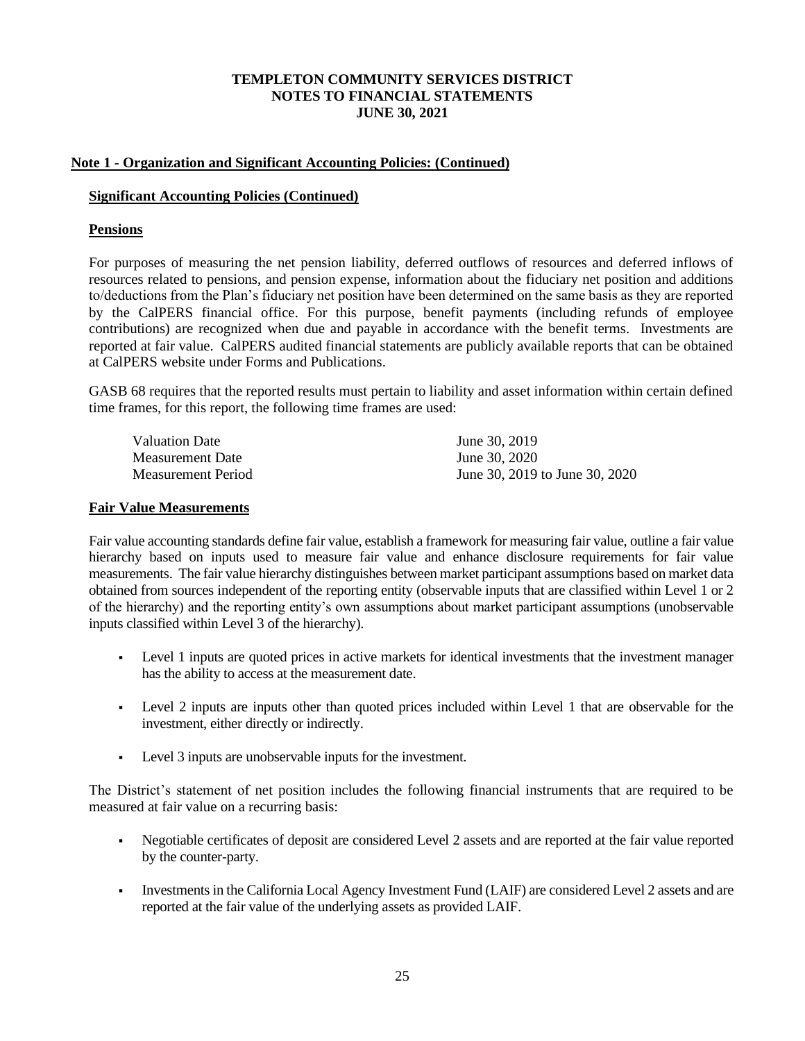### **Note 1 - Organization and Significant Accounting Policies: (Continued)**

### **Significant Accounting Policies (Continued)**

### **Pensions**

For purposes of measuring the net pension liability, deferred outflows of resources and deferred inflows of resources related to pensions, and pension expense, information about the fiduciary net position and additions to/deductions from the Plan's fiduciary net position have been determined on the same basis as they are reported by the CalPERS financial office. For this purpose, benefit payments (including refunds of employee contributions) are recognized when due and payable in accordance with the benefit terms. Investments are reported at fair value. CalPERS audited financial statements are publicly available reports that can be obtained at CalPERS website under Forms and Publications.

GASB 68 requires that the reported results must pertain to liability and asset information within certain defined time frames, for this report, the following time frames are used:

| June 30, 2019                  |
|--------------------------------|
| June 30, 2020                  |
| June 30, 2019 to June 30, 2020 |
|                                |

#### **Fair Value Measurements**

Fair value accounting standards define fair value, establish a framework for measuring fair value, outline a fair value hierarchy based on inputs used to measure fair value and enhance disclosure requirements for fair value measurements. The fair value hierarchy distinguishes between market participant assumptions based on market data obtained from sources independent of the reporting entity (observable inputs that are classified within Level 1 or 2 of the hierarchy) and the reporting entity's own assumptions about market participant assumptions (unobservable inputs classified within Level 3 of the hierarchy).

- Level 1 inputs are quoted prices in active markets for identical investments that the investment manager has the ability to access at the measurement date.
- Level 2 inputs are inputs other than quoted prices included within Level 1 that are observable for the investment, either directly or indirectly.
- Level 3 inputs are unobservable inputs for the investment.

The District's statement of net position includes the following financial instruments that are required to be measured at fair value on a recurring basis:

- Negotiable certificates of deposit are considered Level 2 assets and are reported at the fair value reported by the counter-party.
- Investments in the California Local Agency Investment Fund (LAIF) are considered Level 2 assets and are reported at the fair value of the underlying assets as provided LAIF.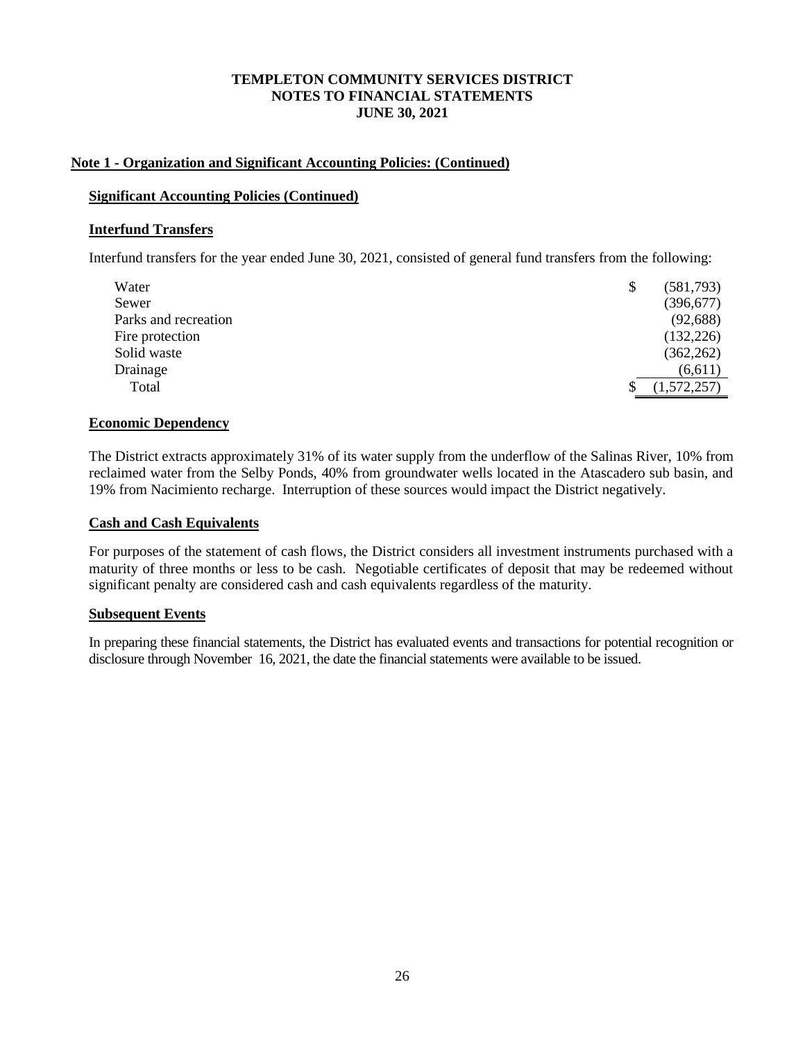### **Note 1 - Organization and Significant Accounting Policies: (Continued)**

#### **Significant Accounting Policies (Continued)**

### **Interfund Transfers**

Interfund transfers for the year ended June 30, 2021, consisted of general fund transfers from the following:

| Water                | (581,793)   |
|----------------------|-------------|
| Sewer                | (396, 677)  |
| Parks and recreation | (92, 688)   |
| Fire protection      | (132, 226)  |
| Solid waste          | (362, 262)  |
| Drainage             | (6,611)     |
| Total                | (1,572,257) |

### **Economic Dependency**

The District extracts approximately 31% of its water supply from the underflow of the Salinas River, 10% from reclaimed water from the Selby Ponds, 40% from groundwater wells located in the Atascadero sub basin, and 19% from Nacimiento recharge. Interruption of these sources would impact the District negatively.

#### **Cash and Cash Equivalents**

For purposes of the statement of cash flows, the District considers all investment instruments purchased with a maturity of three months or less to be cash. Negotiable certificates of deposit that may be redeemed without significant penalty are considered cash and cash equivalents regardless of the maturity.

### **Subsequent Events**

In preparing these financial statements, the District has evaluated events and transactions for potential recognition or disclosure through November 16, 2021, the date the financial statements were available to be issued.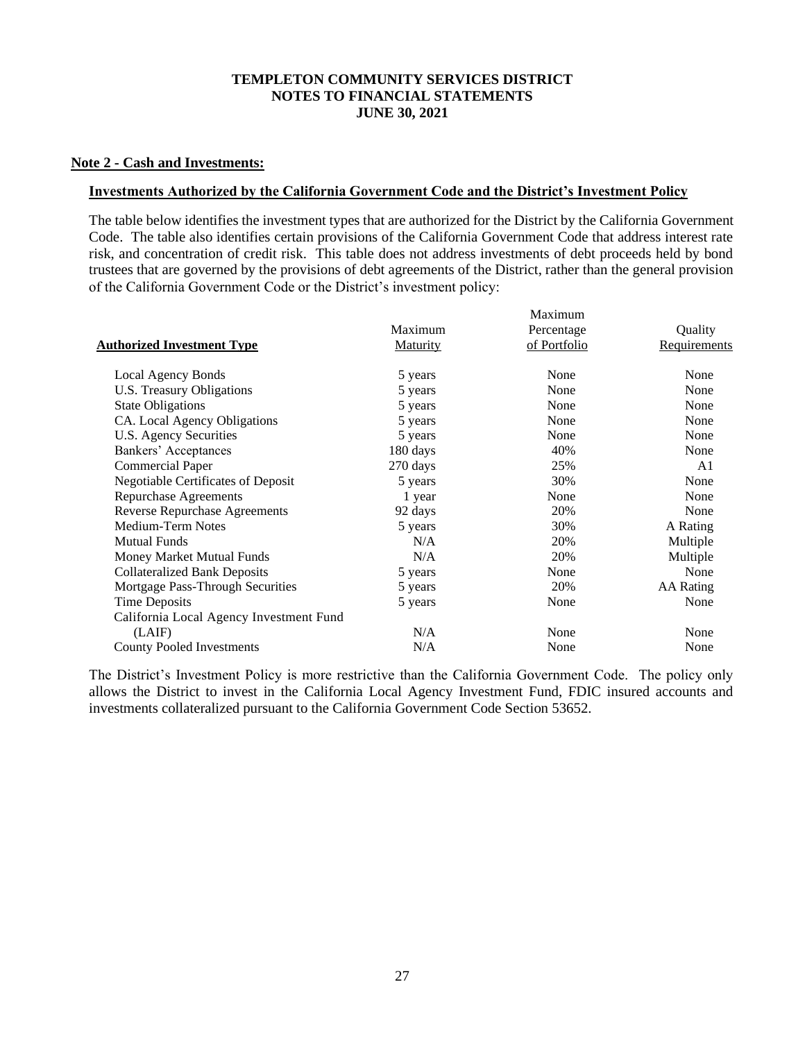### **Note 2 - Cash and Investments:**

### **Investments Authorized by the California Government Code and the District's Investment Policy**

The table below identifies the investment types that are authorized for the District by the California Government Code. The table also identifies certain provisions of the California Government Code that address interest rate risk, and concentration of credit risk. This table does not address investments of debt proceeds held by bond trustees that are governed by the provisions of debt agreements of the District, rather than the general provision of the California Government Code or the District's investment policy:

| Maximum  |              |                  |  |  |  |  |  |  |
|----------|--------------|------------------|--|--|--|--|--|--|
| Maximum  | Percentage   | Quality          |  |  |  |  |  |  |
| Maturity | of Portfolio | Requirements     |  |  |  |  |  |  |
| 5 years  | None         | None             |  |  |  |  |  |  |
| 5 years  | None         | None             |  |  |  |  |  |  |
| 5 years  | None         | None             |  |  |  |  |  |  |
| 5 years  | None         | None             |  |  |  |  |  |  |
| 5 years  | None         | None             |  |  |  |  |  |  |
| 180 days | 40%          | None             |  |  |  |  |  |  |
| 270 days | 25%          | A1               |  |  |  |  |  |  |
| 5 years  | 30%          | None             |  |  |  |  |  |  |
| 1 year   | None         | None             |  |  |  |  |  |  |
| 92 days  | 20%          | None             |  |  |  |  |  |  |
| 5 years  | 30%          | A Rating         |  |  |  |  |  |  |
| N/A      | 20%          | Multiple         |  |  |  |  |  |  |
| N/A      | 20%          | Multiple         |  |  |  |  |  |  |
| 5 years  | None         | None             |  |  |  |  |  |  |
|          | 20%          | <b>AA</b> Rating |  |  |  |  |  |  |
| 5 years  | None         | None             |  |  |  |  |  |  |
|          |              |                  |  |  |  |  |  |  |
| N/A      | None         | None             |  |  |  |  |  |  |
| N/A      | None         | None             |  |  |  |  |  |  |
|          | 5 years      |                  |  |  |  |  |  |  |

The District's Investment Policy is more restrictive than the California Government Code. The policy only allows the District to invest in the California Local Agency Investment Fund, FDIC insured accounts and investments collateralized pursuant to the California Government Code Section 53652.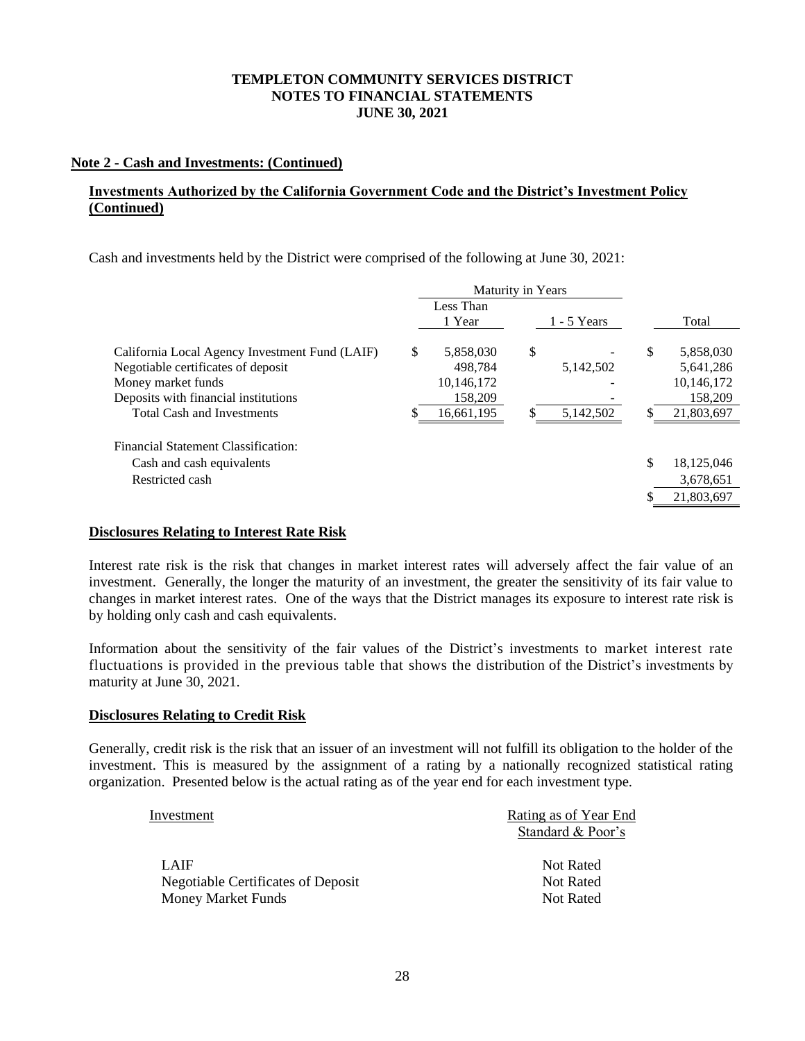### **Note 2 - Cash and Investments: (Continued)**

# **Investments Authorized by the California Government Code and the District's Investment Policy (Continued)**

Cash and investments held by the District were comprised of the following at June 30, 2021:

|                                                | <b>Maturity in Years</b> |            |    |             |    |            |
|------------------------------------------------|--------------------------|------------|----|-------------|----|------------|
|                                                |                          | Less Than  |    |             |    |            |
|                                                |                          | 1 Year     |    | 1 - 5 Years |    | Total      |
| California Local Agency Investment Fund (LAIF) | \$                       | 5,858,030  | \$ |             | \$ | 5,858,030  |
| Negotiable certificates of deposit             |                          | 498.784    |    | 5,142,502   |    | 5,641,286  |
| Money market funds                             |                          | 10,146,172 |    |             |    | 10,146,172 |
| Deposits with financial institutions           |                          | 158,209    |    |             |    | 158,209    |
| <b>Total Cash and Investments</b>              |                          | 16,661,195 | J. | 5,142,502   | J. | 21,803,697 |
| Financial Statement Classification:            |                          |            |    |             |    |            |
| Cash and cash equivalents                      |                          |            |    |             | \$ | 18,125,046 |
| Restricted cash                                |                          |            |    |             |    | 3,678,651  |
|                                                |                          |            |    |             |    | 21,803,697 |

### **Disclosures Relating to Interest Rate Risk**

Interest rate risk is the risk that changes in market interest rates will adversely affect the fair value of an investment. Generally, the longer the maturity of an investment, the greater the sensitivity of its fair value to changes in market interest rates. One of the ways that the District manages its exposure to interest rate risk is by holding only cash and cash equivalents.

Information about the sensitivity of the fair values of the District's investments to market interest rate fluctuations is provided in the previous table that shows the distribution of the District's investments by maturity at June 30, 2021.

### **Disclosures Relating to Credit Risk**

Generally, credit risk is the risk that an issuer of an investment will not fulfill its obligation to the holder of the investment. This is measured by the assignment of a rating by a nationally recognized statistical rating organization. Presented below is the actual rating as of the year end for each investment type.

| Investment                         | Rating as of Year End |
|------------------------------------|-----------------------|
|                                    | Standard & Poor's     |
| $L$ AIF                            | Not Rated             |
| Negotiable Certificates of Deposit | Not Rated             |
| <b>Money Market Funds</b>          | Not Rated             |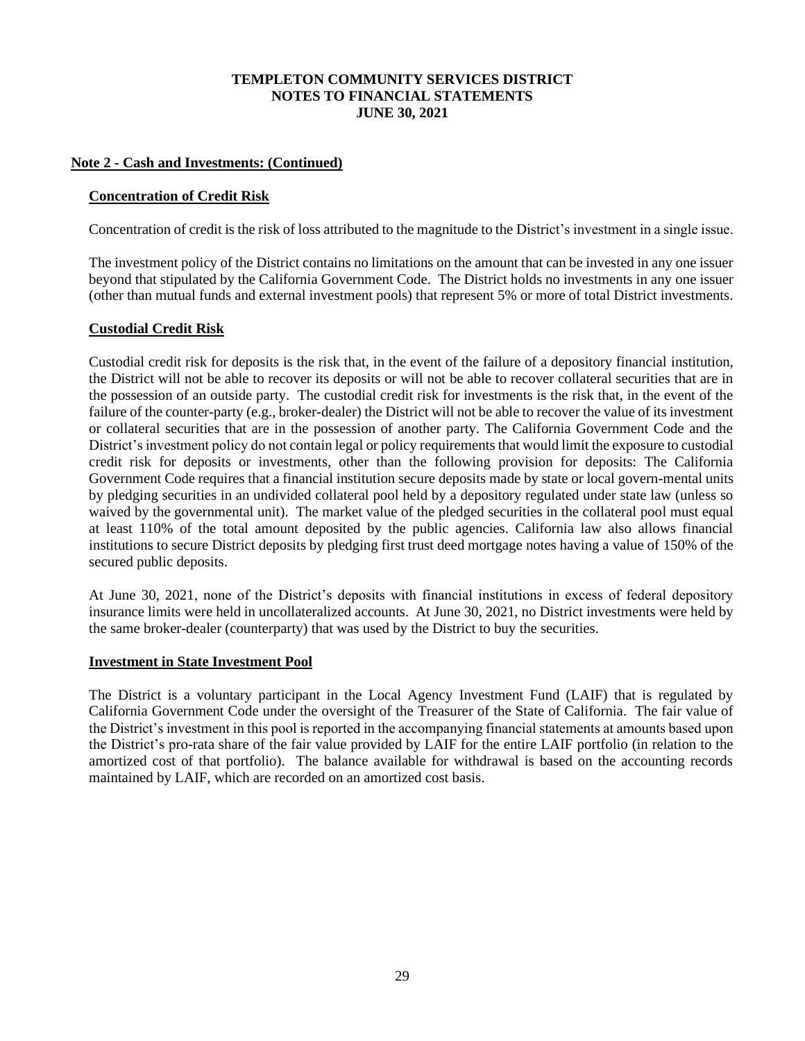## **Note 2 - Cash and Investments: (Continued)**

### **Concentration of Credit Risk**

Concentration of credit is the risk of loss attributed to the magnitude to the District's investment in a single issue.

The investment policy of the District contains no limitations on the amount that can be invested in any one issuer beyond that stipulated by the California Government Code. The District holds no investments in any one issuer (other than mutual funds and external investment pools) that represent 5% or more of total District investments.

## **Custodial Credit Risk**

Custodial credit risk for deposits is the risk that, in the event of the failure of a depository financial institution, the District will not be able to recover its deposits or will not be able to recover collateral securities that are in the possession of an outside party. The custodial credit risk for investments is the risk that, in the event of the failure of the counter-party (e.g., broker-dealer) the District will not be able to recover the value of its investment or collateral securities that are in the possession of another party. The California Government Code and the District's investment policy do not contain legal or policy requirements that would limit the exposure to custodial credit risk for deposits or investments, other than the following provision for deposits: The California Government Code requires that a financial institution secure deposits made by state or local govern-mental units by pledging securities in an undivided collateral pool held by a depository regulated under state law (unless so waived by the governmental unit). The market value of the pledged securities in the collateral pool must equal at least 110% of the total amount deposited by the public agencies. California law also allows financial institutions to secure District deposits by pledging first trust deed mortgage notes having a value of 150% of the secured public deposits.

At June 30, 2021, none of the District's deposits with financial institutions in excess of federal depository insurance limits were held in uncollateralized accounts. At June 30, 2021, no District investments were held by the same broker-dealer (counterparty) that was used by the District to buy the securities.

### **Investment in State Investment Pool**

The District is a voluntary participant in the Local Agency Investment Fund (LAIF) that is regulated by California Government Code under the oversight of the Treasurer of the State of California. The fair value of the District's investment in this pool is reported in the accompanying financial statements at amounts based upon the District's pro-rata share of the fair value provided by LAIF for the entire LAIF portfolio (in relation to the amortized cost of that portfolio). The balance available for withdrawal is based on the accounting records maintained by LAIF, which are recorded on an amortized cost basis.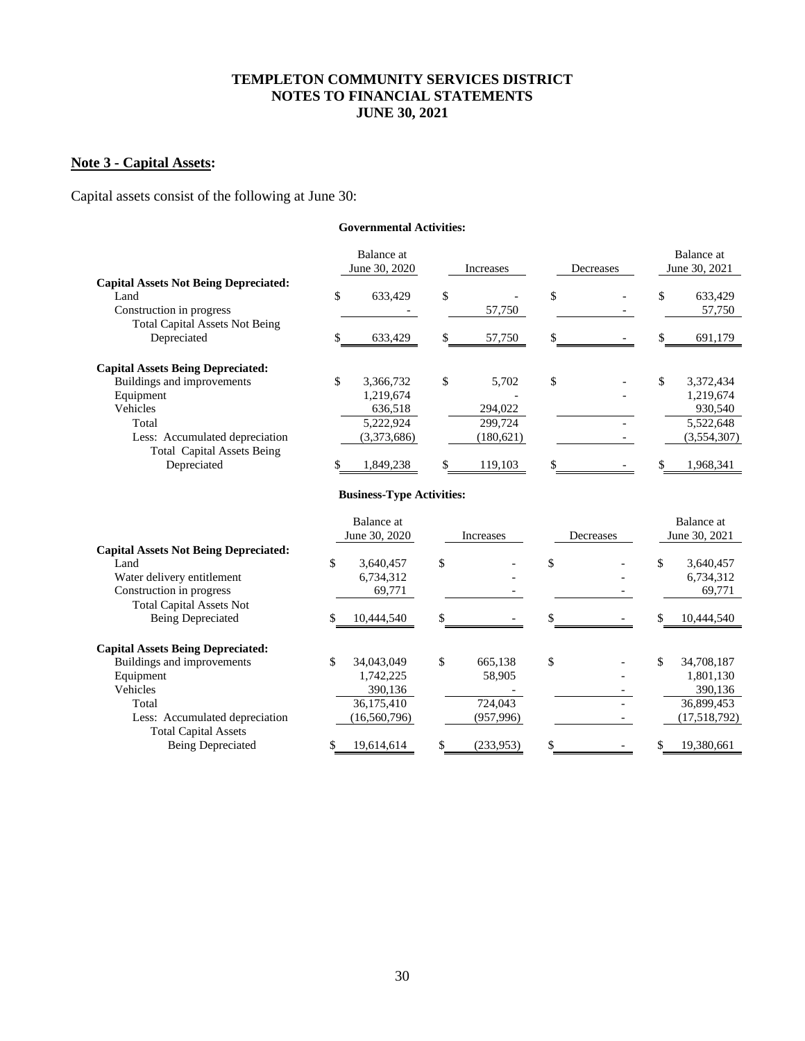# **Note 3 - Capital Assets:**

Capital assets consist of the following at June 30:

#### **Governmental Activities:**

|                                              | Balance at<br>June 30, 2020 |             | Increases |            | Decreases |  | Balance at<br>June 30, 2021 |             |
|----------------------------------------------|-----------------------------|-------------|-----------|------------|-----------|--|-----------------------------|-------------|
| <b>Capital Assets Not Being Depreciated:</b> |                             |             |           |            |           |  |                             |             |
| Land                                         | \$                          | 633,429     | \$        |            | S         |  | \$                          | 633,429     |
| Construction in progress                     |                             |             |           | 57,750     |           |  |                             | 57,750      |
| <b>Total Capital Assets Not Being</b>        |                             |             |           |            |           |  |                             |             |
| Depreciated                                  |                             | 633,429     | \$        | 57,750     | S         |  |                             | 691,179     |
| <b>Capital Assets Being Depreciated:</b>     |                             |             |           |            |           |  |                             |             |
| Buildings and improvements                   |                             | 3,366,732   | \$        | 5.702      | \$        |  | \$                          | 3,372,434   |
| Equipment                                    |                             | 1,219,674   |           |            |           |  |                             | 1,219,674   |
| Vehicles                                     |                             | 636,518     |           | 294,022    |           |  |                             | 930,540     |
| Total                                        |                             | 5,222,924   |           | 299.724    |           |  |                             | 5,522,648   |
| Less: Accumulated depreciation               |                             | (3,373,686) |           | (180, 621) |           |  |                             | (3,554,307) |
| <b>Total Capital Assets Being</b>            |                             |             |           |            |           |  |                             |             |
| Depreciated                                  |                             | 1,849,238   | \$        | 119,103    |           |  |                             | 1,968,341   |

### **Business-Type Activities:**

|                                              | Balance at<br>June 30, 2020 |     | Increases  | Decreases |    | Balance at<br>June 30, 2021 |
|----------------------------------------------|-----------------------------|-----|------------|-----------|----|-----------------------------|
| <b>Capital Assets Not Being Depreciated:</b> |                             |     |            |           |    |                             |
| Land                                         | \$<br>3,640,457             | \$  |            |           | S  | 3,640,457                   |
| Water delivery entitlement                   | 6,734,312                   |     |            |           |    | 6,734,312                   |
| Construction in progress                     | 69,771                      |     |            |           |    | 69,771                      |
| <b>Total Capital Assets Not</b>              |                             |     |            |           |    |                             |
| <b>Being Depreciated</b>                     | 10,444,540                  | \$. |            |           |    | 10,444,540                  |
| <b>Capital Assets Being Depreciated:</b>     |                             |     |            |           |    |                             |
| Buildings and improvements                   | \$<br>34,043,049            | \$  | 665,138    | \$        | \$ | 34,708,187                  |
| Equipment                                    | 1,742,225                   |     | 58,905     |           |    | 1,801,130                   |
| Vehicles                                     | 390,136                     |     |            |           |    | 390,136                     |
| Total                                        | 36,175,410                  |     | 724,043    |           |    | 36,899,453                  |
| Less: Accumulated depreciation               | (16, 560, 796)              |     | (957, 996) |           |    | (17,518,792)                |
| <b>Total Capital Assets</b>                  |                             |     |            |           |    |                             |
| Being Depreciated                            | 19,614,614                  |     | (233,953)  |           |    | 19,380,661                  |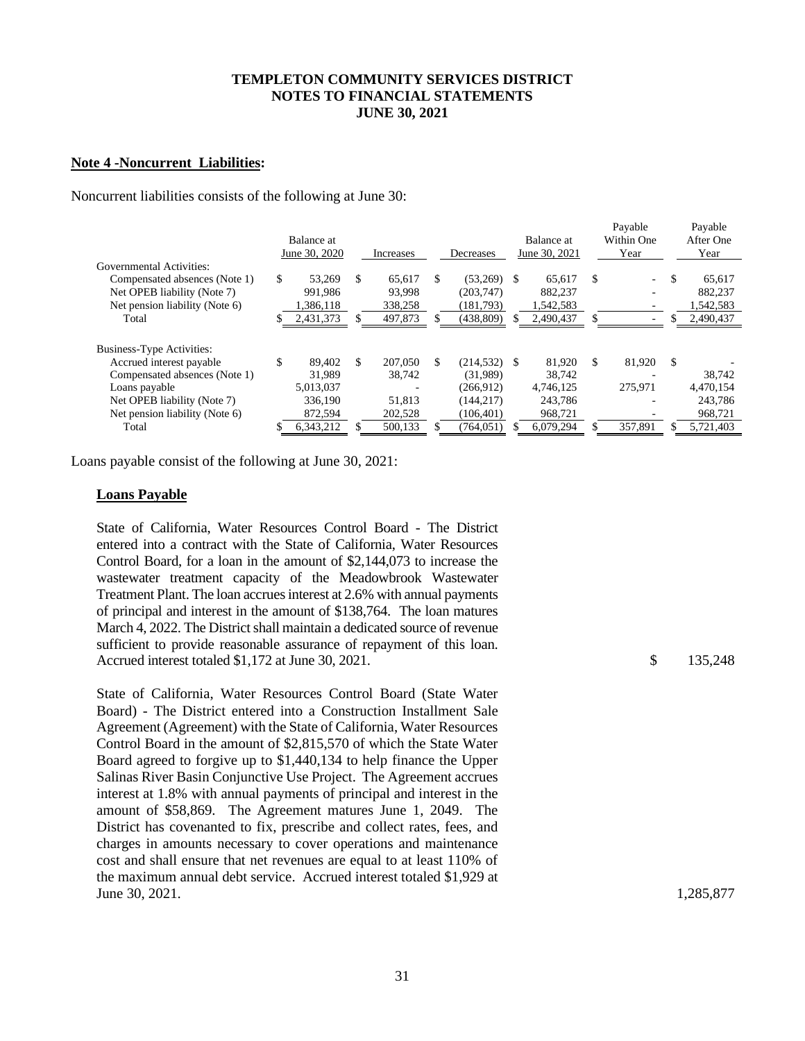#### **Note 4 -Noncurrent Liabilities:**

Noncurrent liabilities consists of the following at June 30:

|                                                       |    | Balance at<br>June 30, 2020 |     | Increases |     | Decreases      | Balance at<br>June 30, 2021 |     | Payable<br>Within One<br>Year |    | Payable<br>After One<br>Year |
|-------------------------------------------------------|----|-----------------------------|-----|-----------|-----|----------------|-----------------------------|-----|-------------------------------|----|------------------------------|
| Governmental Activities:                              |    |                             |     |           |     |                |                             |     |                               |    |                              |
| Compensated absences (Note 1)                         | S  | 53.269                      | \$. | 65.617    | \$. | $(53,269)$ \$  | 65.617                      | S   | $\sim$ 10 $\pm$               | -S | 65,617                       |
| Net OPEB liability (Note 7)                           |    | 991.986                     |     | 93.998    |     | (203.747)      | 882,237                     |     |                               |    | 882,237                      |
| Net pension liability (Note 6)                        |    | 1,386,118                   |     | 338,258   |     | (181,793)      | 1,542,583                   |     |                               |    | 1,542,583                    |
| Total                                                 |    | 2,431,373                   |     | 497,873   |     | (438, 809)     | 2,490,437                   | \$. |                               |    | 2,490,437                    |
| Business-Type Activities:<br>Accrued interest payable | \$ | 89.402                      | \$. | 207,050   | \$  | $(214.532)$ \$ | 81,920                      | \$  | 81,920                        | \$ |                              |
| Compensated absences (Note 1)                         |    | 31.989                      |     | 38.742    |     | (31,989)       | 38.742                      |     |                               |    | 38.742                       |
| Loans payable                                         |    | 5,013,037                   |     |           |     | (266.912)      | 4.746.125                   |     | 275,971                       |    | 4,470,154                    |
| Net OPEB liability (Note 7)                           |    | 336,190                     |     | 51,813    |     | (144, 217)     | 243,786                     |     |                               |    | 243,786                      |
| Net pension liability (Note 6)                        |    | 872,594                     |     | 202,528   |     | (106, 401)     | 968,721                     |     |                               |    | 968,721                      |
| Total                                                 |    | 6,343,212                   |     | 500.133   |     | (764.051)      | 6,079,294                   |     | 357.891                       |    | 5.721.403                    |

Loans payable consist of the following at June 30, 2021:

#### **Loans Payable**

State of California, Water Resources Control Board - The District entered into a contract with the State of California, Water Resources Control Board, for a loan in the amount of \$2,144,073 to increase the wastewater treatment capacity of the Meadowbrook Wastewater Treatment Plant. The loan accrues interest at 2.6% with annual payments of principal and interest in the amount of \$138,764. The loan matures March 4, 2022. The District shall maintain a dedicated source of revenue sufficient to provide reasonable assurance of repayment of this loan. Accrued interest totaled \$1,172 at June 30, 2021. \$ 135,248

State of California, Water Resources Control Board (State Water Board) - The District entered into a Construction Installment Sale Agreement (Agreement) with the State of California, Water Resources Control Board in the amount of \$2,815,570 of which the State Water Board agreed to forgive up to \$1,440,134 to help finance the Upper Salinas River Basin Conjunctive Use Project. The Agreement accrues interest at 1.8% with annual payments of principal and interest in the amount of \$58,869. The Agreement matures June 1, 2049. The District has covenanted to fix, prescribe and collect rates, fees, and charges in amounts necessary to cover operations and maintenance cost and shall ensure that net revenues are equal to at least 110% of the maximum annual debt service. Accrued interest totaled \$1,929 at June 30, 2021.  $1,285,877$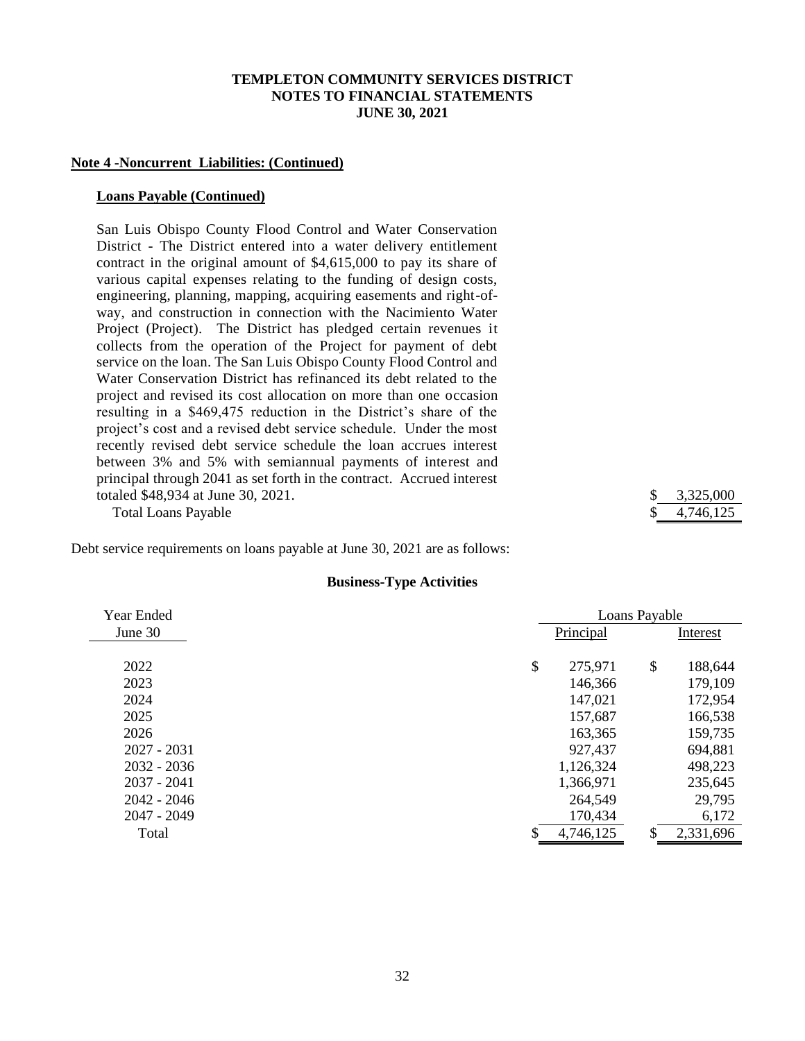#### **Note 4 -Noncurrent Liabilities: (Continued)**

#### **Loans Payable (Continued)**

San Luis Obispo County Flood Control and Water Conservation District - The District entered into a water delivery entitlement contract in the original amount of \$4,615,000 to pay its share of various capital expenses relating to the funding of design costs, engineering, planning, mapping, acquiring easements and right-ofway, and construction in connection with the Nacimiento Water Project (Project). The District has pledged certain revenues it collects from the operation of the Project for payment of debt service on the loan. The San Luis Obispo County Flood Control and Water Conservation District has refinanced its debt related to the project and revised its cost allocation on more than one occasion resulting in a \$469,475 reduction in the District's share of the project's cost and a revised debt service schedule. Under the most recently revised debt service schedule the loan accrues interest between 3% and 5% with semiannual payments of interest and principal through 2041 as set forth in the contract. Accrued interest totaled \$48,934 at June 30, 2021. \$ 3,325,000

Total Loans Payable  $\qquad \qquad$  4,746,125

Debt service requirements on loans payable at June 30, 2021 are as follows:

#### **Business-Type Activities**

| Year Ended    | Loans Payable |          |           |  |  |
|---------------|---------------|----------|-----------|--|--|
| June 30       | Principal     | Interest |           |  |  |
|               |               |          |           |  |  |
| 2022          | \$<br>275,971 | \$       | 188,644   |  |  |
| 2023          | 146,366       |          | 179,109   |  |  |
| 2024          | 147,021       |          | 172,954   |  |  |
| 2025          | 157,687       |          | 166,538   |  |  |
| 2026          | 163,365       |          | 159,735   |  |  |
| $2027 - 2031$ | 927,437       |          | 694,881   |  |  |
| $2032 - 2036$ | 1,126,324     |          | 498,223   |  |  |
| $2037 - 2041$ | 1,366,971     |          | 235,645   |  |  |
| $2042 - 2046$ | 264,549       |          | 29,795    |  |  |
| 2047 - 2049   | 170,434       |          | 6,172     |  |  |
| Total         | 4,746,125     | \$       | 2,331,696 |  |  |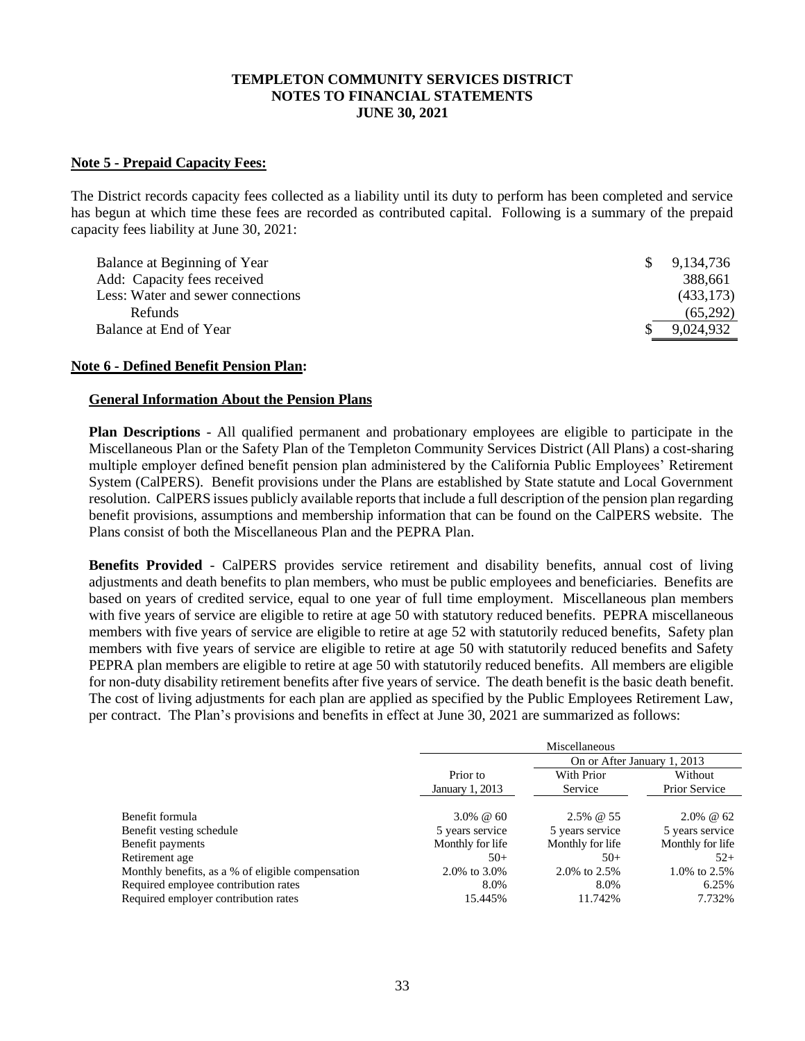### **Note 5 - Prepaid Capacity Fees:**

The District records capacity fees collected as a liability until its duty to perform has been completed and service has begun at which time these fees are recorded as contributed capital. Following is a summary of the prepaid capacity fees liability at June 30, 2021:

| Balance at Beginning of Year      | -SS | 9.134.736  |
|-----------------------------------|-----|------------|
| Add: Capacity fees received       |     | 388,661    |
| Less: Water and sewer connections |     | (433, 173) |
| Refunds                           |     | (65,292)   |
| Balance at End of Year            |     | 9.024.932  |

#### **Note 6 - Defined Benefit Pension Plan:**

#### **General Information About the Pension Plans**

**Plan Descriptions** - All qualified permanent and probationary employees are eligible to participate in the Miscellaneous Plan or the Safety Plan of the Templeton Community Services District (All Plans) a cost-sharing multiple employer defined benefit pension plan administered by the California Public Employees' Retirement System (CalPERS). Benefit provisions under the Plans are established by State statute and Local Government resolution. CalPERS issues publicly available reports that include a full description of the pension plan regarding benefit provisions, assumptions and membership information that can be found on the CalPERS website. The Plans consist of both the Miscellaneous Plan and the PEPRA Plan.

**Benefits Provided** - CalPERS provides service retirement and disability benefits, annual cost of living adjustments and death benefits to plan members, who must be public employees and beneficiaries. Benefits are based on years of credited service, equal to one year of full time employment. Miscellaneous plan members with five years of service are eligible to retire at age 50 with statutory reduced benefits. PEPRA miscellaneous members with five years of service are eligible to retire at age 52 with statutorily reduced benefits, Safety plan members with five years of service are eligible to retire at age 50 with statutorily reduced benefits and Safety PEPRA plan members are eligible to retire at age 50 with statutorily reduced benefits. All members are eligible for non-duty disability retirement benefits after five years of service. The death benefit is the basic death benefit. The cost of living adjustments for each plan are applied as specified by the Public Employees Retirement Law, per contract. The Plan's provisions and benefits in effect at June 30, 2021 are summarized as follows:

|                                                   | Miscellaneous               |                  |                  |  |  |  |
|---------------------------------------------------|-----------------------------|------------------|------------------|--|--|--|
|                                                   | On or After January 1, 2013 |                  |                  |  |  |  |
|                                                   | Prior to                    | With Prior       | Without          |  |  |  |
|                                                   | January 1, 2013             | Service          | Prior Service    |  |  |  |
| Benefit formula                                   | $3.0\% \ @ 60$              | 2.5% @ 55        | $2.0\% \ @ \ 62$ |  |  |  |
| Benefit vesting schedule                          | 5 years service             | 5 years service  | 5 years service  |  |  |  |
| Benefit payments                                  | Monthly for life            | Monthly for life | Monthly for life |  |  |  |
| Retirement age                                    | $50+$                       | 50+              | $52+$            |  |  |  |
| Monthly benefits, as a % of eligible compensation | 2.0% to 3.0%                | 2.0% to 2.5%     | 1.0% to 2.5%     |  |  |  |
| Required employee contribution rates              | 8.0%                        | 8.0%             | 6.25%            |  |  |  |
| Required employer contribution rates              | 15.445%                     | 11.742%          | 7.732%           |  |  |  |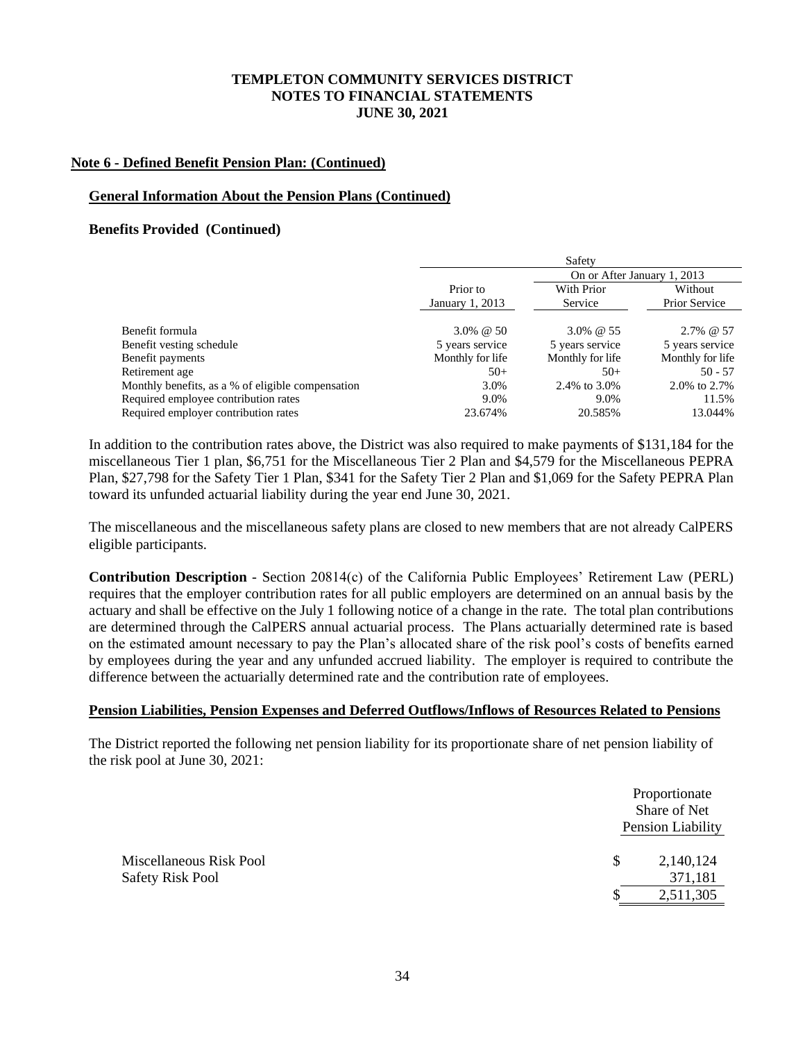### **Note 6 - Defined Benefit Pension Plan: (Continued)**

### **General Information About the Pension Plans (Continued)**

### **Benefits Provided (Continued)**

|                                                   |                  | Safety                      |                  |  |  |  |
|---------------------------------------------------|------------------|-----------------------------|------------------|--|--|--|
|                                                   |                  | On or After January 1, 2013 |                  |  |  |  |
|                                                   | Prior to         | With Prior                  | Without          |  |  |  |
|                                                   | January 1, 2013  | Service                     | Prior Service    |  |  |  |
|                                                   |                  |                             |                  |  |  |  |
| Benefit formula                                   | $3.0\% \ @ \ 50$ | $3.0\% \ @ \ 55$            | $2.7\%$ @ 57     |  |  |  |
| Benefit vesting schedule                          | 5 years service  | 5 years service             | 5 years service  |  |  |  |
| Benefit payments                                  | Monthly for life | Monthly for life            | Monthly for life |  |  |  |
| Retirement age                                    | $50+$            | $50+$                       | $50 - 57$        |  |  |  |
| Monthly benefits, as a % of eligible compensation | 3.0%             | 2.4% to 3.0%                | 2.0% to 2.7%     |  |  |  |
| Required employee contribution rates              | 9.0%             | $9.0\%$                     | 11.5%            |  |  |  |
| Required employer contribution rates              | 23.674%          | 20.585%                     | 13.044%          |  |  |  |

In addition to the contribution rates above, the District was also required to make payments of \$131,184 for the miscellaneous Tier 1 plan, \$6,751 for the Miscellaneous Tier 2 Plan and \$4,579 for the Miscellaneous PEPRA Plan, \$27,798 for the Safety Tier 1 Plan, \$341 for the Safety Tier 2 Plan and \$1,069 for the Safety PEPRA Plan toward its unfunded actuarial liability during the year end June 30, 2021.

The miscellaneous and the miscellaneous safety plans are closed to new members that are not already CalPERS eligible participants.

**Contribution Description** *-* Section 20814(c) of the California Public Employees' Retirement Law (PERL) requires that the employer contribution rates for all public employers are determined on an annual basis by the actuary and shall be effective on the July 1 following notice of a change in the rate. The total plan contributions are determined through the CalPERS annual actuarial process. The Plans actuarially determined rate is based on the estimated amount necessary to pay the Plan's allocated share of the risk pool's costs of benefits earned by employees during the year and any unfunded accrued liability. The employer is required to contribute the difference between the actuarially determined rate and the contribution rate of employees.

### **Pension Liabilities, Pension Expenses and Deferred Outflows/Inflows of Resources Related to Pensions**

The District reported the following net pension liability for its proportionate share of net pension liability of the risk pool at June 30, 2021:

|                                                    |    | Proportionate<br>Share of Net<br>Pension Liability |
|----------------------------------------------------|----|----------------------------------------------------|
| Miscellaneous Risk Pool<br><b>Safety Risk Pool</b> | S. | 2,140,124<br>371,181                               |
|                                                    |    | 2,511,305                                          |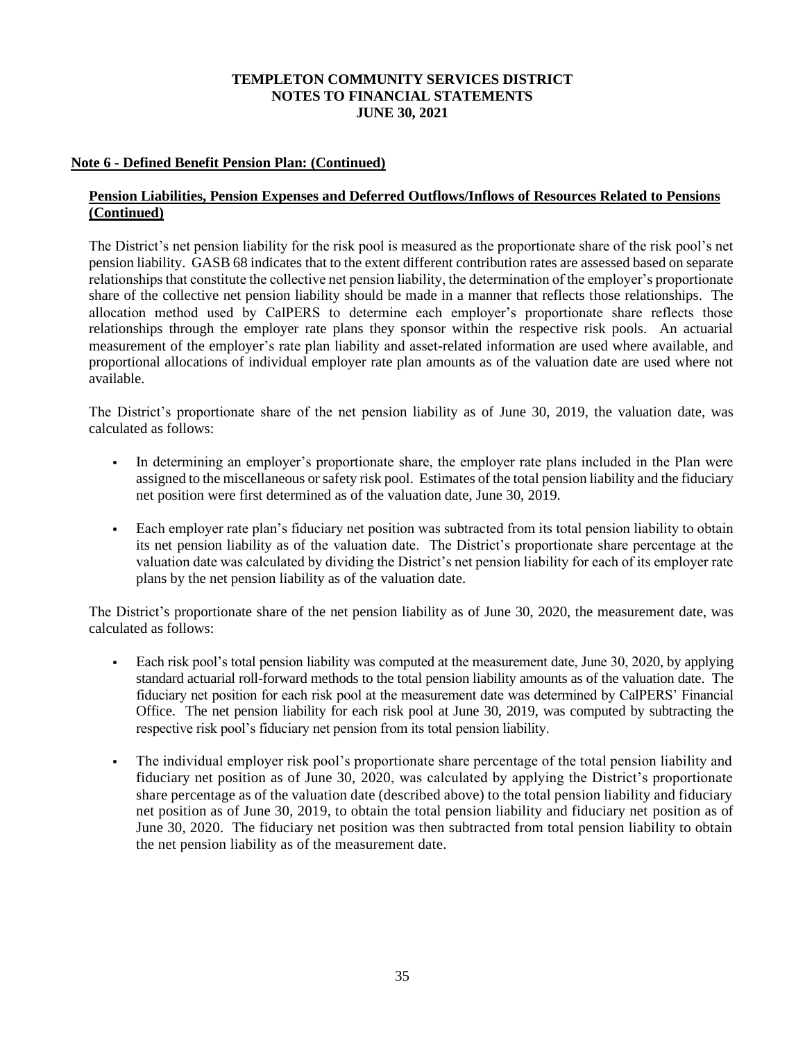# **Note 6 - Defined Benefit Pension Plan: (Continued)**

## **Pension Liabilities, Pension Expenses and Deferred Outflows/Inflows of Resources Related to Pensions (Continued)**

The District's net pension liability for the risk pool is measured as the proportionate share of the risk pool's net pension liability. GASB 68 indicates that to the extent different contribution rates are assessed based on separate relationships that constitute the collective net pension liability, the determination of the employer's proportionate share of the collective net pension liability should be made in a manner that reflects those relationships. The allocation method used by CalPERS to determine each employer's proportionate share reflects those relationships through the employer rate plans they sponsor within the respective risk pools. An actuarial measurement of the employer's rate plan liability and asset-related information are used where available, and proportional allocations of individual employer rate plan amounts as of the valuation date are used where not available.

The District's proportionate share of the net pension liability as of June 30, 2019, the valuation date, was calculated as follows:

- In determining an employer's proportionate share, the employer rate plans included in the Plan were assigned to the miscellaneous or safety risk pool. Estimates of the total pension liability and the fiduciary net position were first determined as of the valuation date, June 30, 2019.
- Each employer rate plan's fiduciary net position was subtracted from its total pension liability to obtain its net pension liability as of the valuation date. The District's proportionate share percentage at the valuation date was calculated by dividing the District's net pension liability for each of its employer rate plans by the net pension liability as of the valuation date.

The District's proportionate share of the net pension liability as of June 30, 2020, the measurement date, was calculated as follows:

- Each risk pool's total pension liability was computed at the measurement date, June 30, 2020, by applying standard actuarial roll-forward methods to the total pension liability amounts as of the valuation date. The fiduciary net position for each risk pool at the measurement date was determined by CalPERS' Financial Office. The net pension liability for each risk pool at June 30, 2019, was computed by subtracting the respective risk pool's fiduciary net pension from its total pension liability.
- The individual employer risk pool's proportionate share percentage of the total pension liability and fiduciary net position as of June 30, 2020, was calculated by applying the District's proportionate share percentage as of the valuation date (described above) to the total pension liability and fiduciary net position as of June 30, 2019, to obtain the total pension liability and fiduciary net position as of June 30, 2020. The fiduciary net position was then subtracted from total pension liability to obtain the net pension liability as of the measurement date.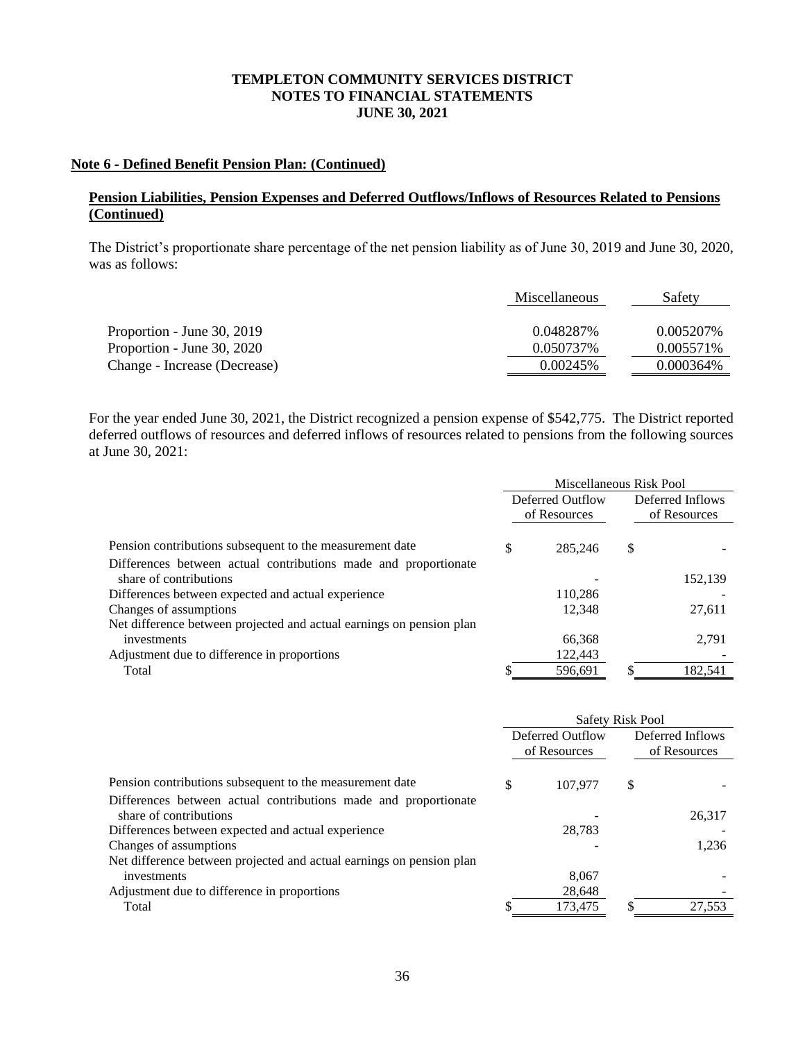### **Note 6 - Defined Benefit Pension Plan: (Continued)**

### **Pension Liabilities, Pension Expenses and Deferred Outflows/Inflows of Resources Related to Pensions (Continued)**

The District's proportionate share percentage of the net pension liability as of June 30, 2019 and June 30, 2020, was as follows:

|                              | <b>Miscellaneous</b> | Safety     |
|------------------------------|----------------------|------------|
|                              |                      |            |
| Proportion - June 30, 2019   | 0.048287%            | 0.005207\% |
| Proportion - June 30, 2020   | 0.050737%            | 0.005571\% |
| Change - Increase (Decrease) | 0.00245\%            | 0.000364%  |

For the year ended June 30, 2021, the District recognized a pension expense of \$542,775. The District reported deferred outflows of resources and deferred inflows of resources related to pensions from the following sources at June 30, 2021:

|                                                                                           | Miscellaneous Risk Pool          |         |    |                                  |  |
|-------------------------------------------------------------------------------------------|----------------------------------|---------|----|----------------------------------|--|
|                                                                                           | Deferred Outflow<br>of Resources |         |    | Deferred Inflows<br>of Resources |  |
| Pension contributions subsequent to the measurement date                                  | \$                               | 285,246 | \$ |                                  |  |
| Differences between actual contributions made and proportionate<br>share of contributions |                                  |         |    | 152,139                          |  |
| Differences between expected and actual experience                                        |                                  | 110,286 |    |                                  |  |
| Changes of assumptions                                                                    |                                  | 12,348  |    | 27,611                           |  |
| Net difference between projected and actual earnings on pension plan                      |                                  |         |    |                                  |  |
| investments                                                                               |                                  | 66,368  |    | 2,791                            |  |
| Adjustment due to difference in proportions                                               |                                  | 122,443 |    |                                  |  |
| Total                                                                                     |                                  | 596,691 |    | 182.541                          |  |

|                                                                      | Safety Risk Pool |                                  |    |                                  |  |
|----------------------------------------------------------------------|------------------|----------------------------------|----|----------------------------------|--|
|                                                                      |                  | Deferred Outflow<br>of Resources |    | Deferred Inflows<br>of Resources |  |
| Pension contributions subsequent to the measurement date             | \$               | 107.977                          | \$ |                                  |  |
| Differences between actual contributions made and proportionate      |                  |                                  |    |                                  |  |
| share of contributions                                               |                  |                                  |    | 26,317                           |  |
| Differences between expected and actual experience                   |                  | 28,783                           |    |                                  |  |
| Changes of assumptions                                               |                  |                                  |    | 1,236                            |  |
| Net difference between projected and actual earnings on pension plan |                  |                                  |    |                                  |  |
| investments                                                          |                  | 8.067                            |    |                                  |  |
| Adjustment due to difference in proportions                          |                  | 28,648                           |    |                                  |  |
| Total                                                                |                  | 173,475                          |    | 27,553                           |  |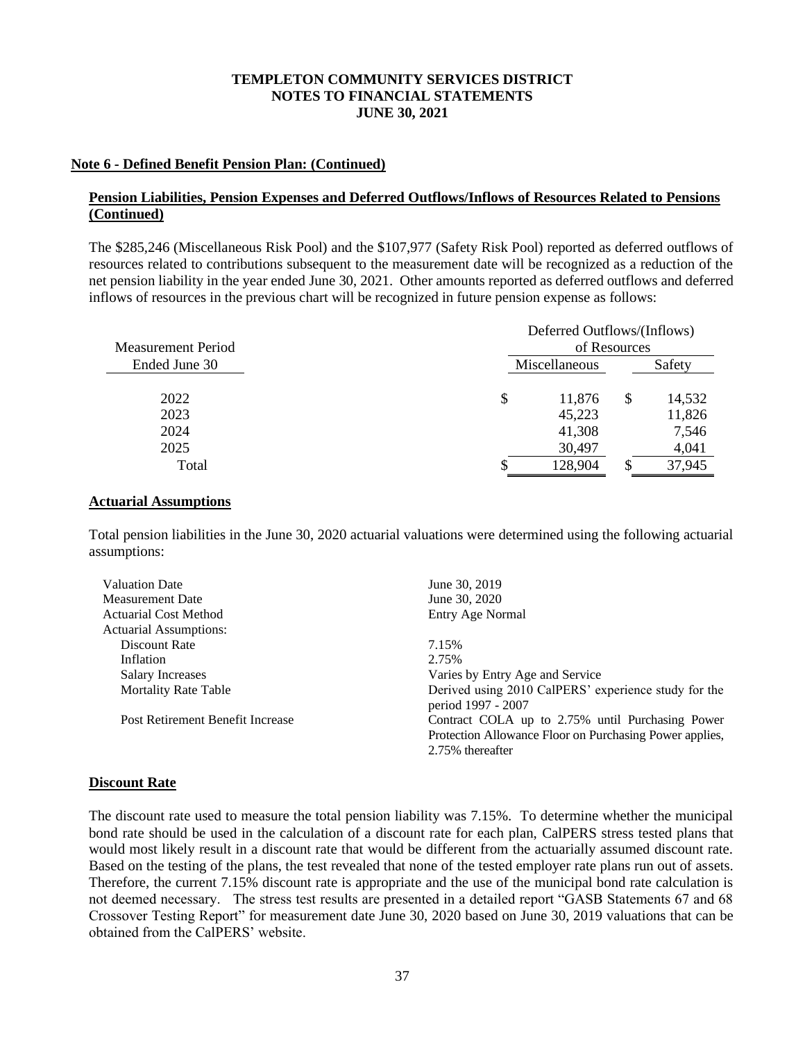#### **Note 6 - Defined Benefit Pension Plan: (Continued)**

### **Pension Liabilities, Pension Expenses and Deferred Outflows/Inflows of Resources Related to Pensions (Continued)**

The \$285,246 (Miscellaneous Risk Pool) and the \$107,977 (Safety Risk Pool) reported as deferred outflows of resources related to contributions subsequent to the measurement date will be recognized as a reduction of the net pension liability in the year ended June 30, 2021. Other amounts reported as deferred outflows and deferred inflows of resources in the previous chart will be recognized in future pension expense as follows:

|                    | Deferred Outflows/(Inflows) |               |    |        |  |  |  |
|--------------------|-----------------------------|---------------|----|--------|--|--|--|
| Measurement Period | of Resources                |               |    |        |  |  |  |
| Ended June 30      |                             | Miscellaneous |    |        |  |  |  |
| 2022               | \$                          | 11,876        | \$ | 14,532 |  |  |  |
| 2023               |                             | 45,223        |    | 11,826 |  |  |  |
| 2024               |                             | 41,308        |    | 7,546  |  |  |  |
| 2025               |                             | 30,497        |    | 4,041  |  |  |  |
| Total              | \$                          | 128,904       | \$ | 37,945 |  |  |  |

### **Actuarial Assumptions**

Total pension liabilities in the June 30, 2020 actuarial valuations were determined using the following actuarial assumptions:

| <b>Valuation Date</b><br><b>Measurement Date</b><br><b>Actuarial Cost Method</b> | June 30, 2019<br>June 30, 2020<br>Entry Age Normal                                                                              |
|----------------------------------------------------------------------------------|---------------------------------------------------------------------------------------------------------------------------------|
| <b>Actuarial Assumptions:</b>                                                    |                                                                                                                                 |
| Discount Rate                                                                    | 7.15%                                                                                                                           |
| Inflation                                                                        | 2.75%                                                                                                                           |
| <b>Salary Increases</b>                                                          | Varies by Entry Age and Service                                                                                                 |
| <b>Mortality Rate Table</b>                                                      | Derived using 2010 CalPERS' experience study for the<br>period 1997 - 2007                                                      |
| Post Retirement Benefit Increase                                                 | Contract COLA up to 2.75% until Purchasing Power<br>Protection Allowance Floor on Purchasing Power applies,<br>2.75% thereafter |

### **Discount Rate**

The discount rate used to measure the total pension liability was 7.15%. To determine whether the municipal bond rate should be used in the calculation of a discount rate for each plan, CalPERS stress tested plans that would most likely result in a discount rate that would be different from the actuarially assumed discount rate. Based on the testing of the plans, the test revealed that none of the tested employer rate plans run out of assets. Therefore, the current 7.15% discount rate is appropriate and the use of the municipal bond rate calculation is not deemed necessary. The stress test results are presented in a detailed report "GASB Statements 67 and 68 Crossover Testing Report" for measurement date June 30, 2020 based on June 30, 2019 valuations that can be obtained from the CalPERS' website.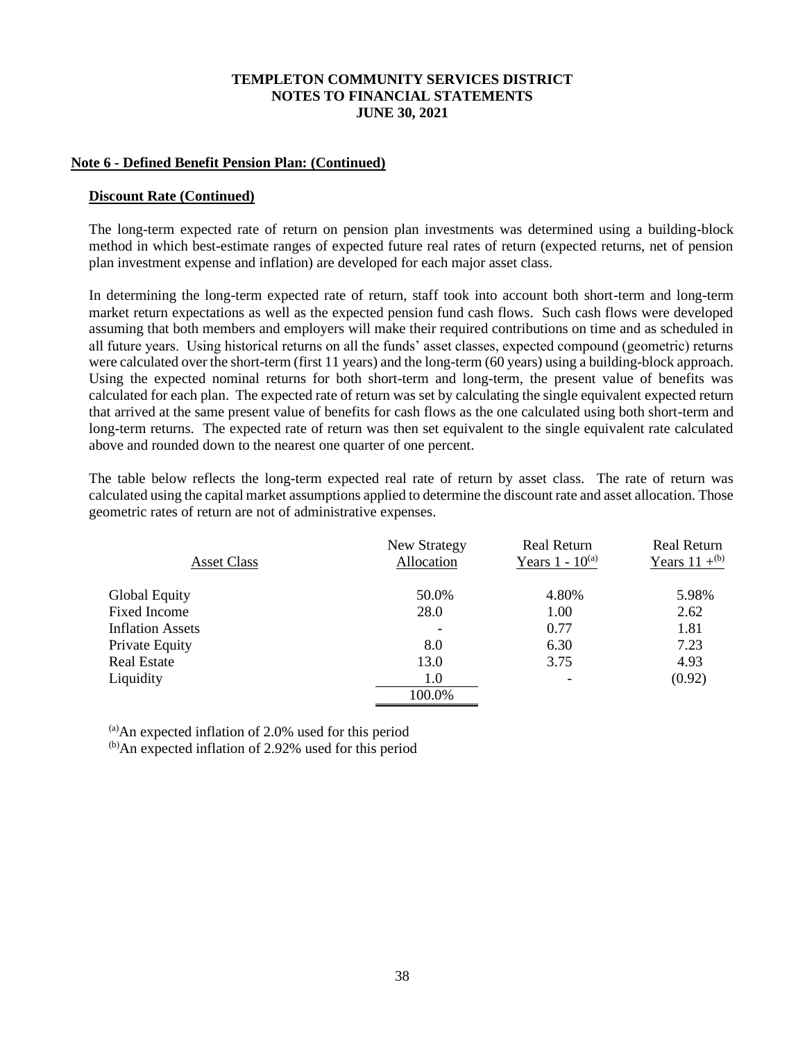### **Note 6 - Defined Benefit Pension Plan: (Continued)**

#### **Discount Rate (Continued)**

The long-term expected rate of return on pension plan investments was determined using a building-block method in which best-estimate ranges of expected future real rates of return (expected returns, net of pension plan investment expense and inflation) are developed for each major asset class.

In determining the long-term expected rate of return, staff took into account both short-term and long-term market return expectations as well as the expected pension fund cash flows. Such cash flows were developed assuming that both members and employers will make their required contributions on time and as scheduled in all future years. Using historical returns on all the funds' asset classes, expected compound (geometric) returns were calculated over the short-term (first 11 years) and the long-term (60 years) using a building-block approach. Using the expected nominal returns for both short-term and long-term, the present value of benefits was calculated for each plan. The expected rate of return was set by calculating the single equivalent expected return that arrived at the same present value of benefits for cash flows as the one calculated using both short-term and long-term returns. The expected rate of return was then set equivalent to the single equivalent rate calculated above and rounded down to the nearest one quarter of one percent.

The table below reflects the long-term expected real rate of return by asset class. The rate of return was calculated using the capital market assumptions applied to determine the discount rate and asset allocation. Those geometric rates of return are not of administrative expenses.

| <b>Asset Class</b> | New Strategy<br>Allocation | Real Return<br>Years $1 - 10^{(a)}$ | Real Return<br>Years $11 +$ <sup>(b)</sup> |
|--------------------|----------------------------|-------------------------------------|--------------------------------------------|
| Global Equity      | 50.0%                      | 4.80%                               | 5.98%                                      |
| Fixed Income       | 28.0                       | 1.00                                | 2.62                                       |
| Inflation Assets   |                            | 0.77                                | 1.81                                       |
| Private Equity     | 8.0                        | 6.30                                | 7.23                                       |
| <b>Real Estate</b> | 13.0                       | 3.75                                | 4.93                                       |
| Liquidity          | 1.0                        |                                     | (0.92)                                     |
|                    | 100.0%                     |                                     |                                            |

 $(a)$ An expected inflation of 2.0% used for this period

(b)An expected inflation of 2.92% used for this period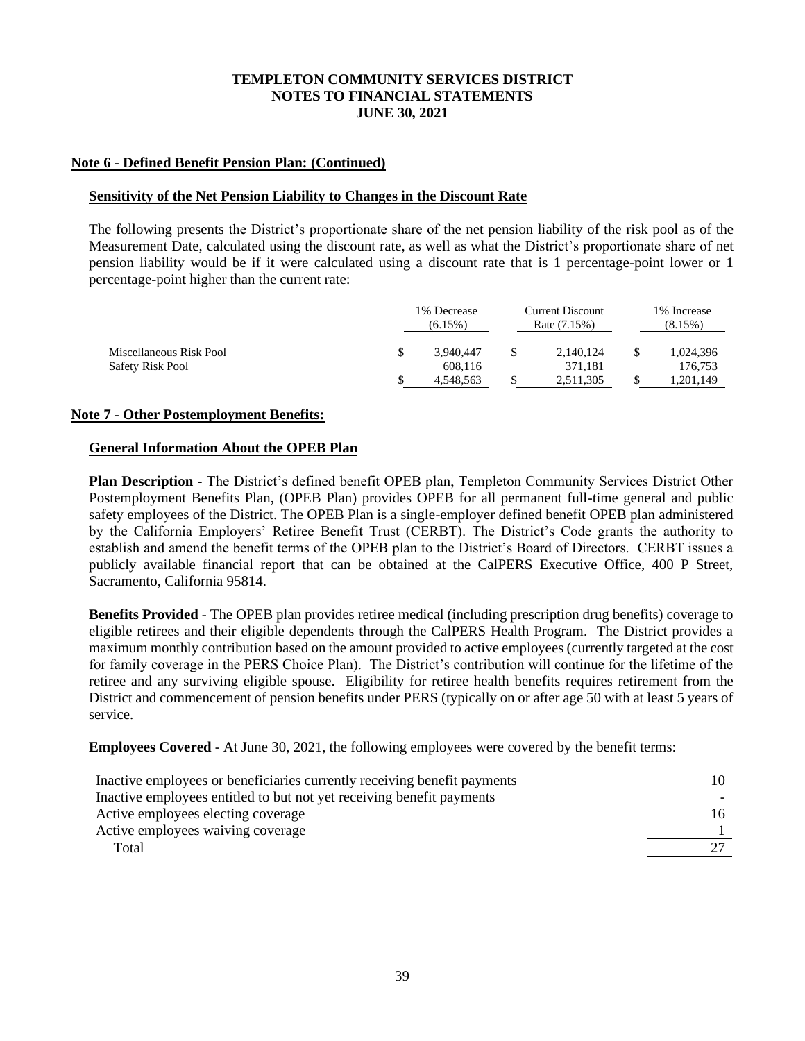### **Note 6 - Defined Benefit Pension Plan: (Continued)**

### **Sensitivity of the Net Pension Liability to Changes in the Discount Rate**

The following presents the District's proportionate share of the net pension liability of the risk pool as of the Measurement Date, calculated using the discount rate, as well as what the District's proportionate share of net pension liability would be if it were calculated using a discount rate that is 1 percentage-point lower or 1 percentage-point higher than the current rate:

|                         |  | 1% Decrease<br>$(6.15\%)$ | Current Discount<br>Rate (7.15%) |   | 1% Increase<br>(8.15%) |
|-------------------------|--|---------------------------|----------------------------------|---|------------------------|
| Miscellaneous Risk Pool |  | 3.940.447                 | 2.140.124                        | S | 1,024,396              |
| Safety Risk Pool        |  | 608.116                   | 371.181                          |   | 176,753                |
|                         |  | 4.548.563                 | 2,511,305                        |   | 1.201.149              |

### **Note 7 - Other Postemployment Benefits:**

### **General Information About the OPEB Plan**

**Plan Description -** The District's defined benefit OPEB plan, Templeton Community Services District Other Postemployment Benefits Plan, (OPEB Plan) provides OPEB for all permanent full-time general and public safety employees of the District. The OPEB Plan is a single-employer defined benefit OPEB plan administered by the California Employers' Retiree Benefit Trust (CERBT). The District's Code grants the authority to establish and amend the benefit terms of the OPEB plan to the District's Board of Directors. CERBT issues a publicly available financial report that can be obtained at the CalPERS Executive Office, 400 P Street, Sacramento, California 95814.

**Benefits Provided** - The OPEB plan provides retiree medical (including prescription drug benefits) coverage to eligible retirees and their eligible dependents through the CalPERS Health Program. The District provides a maximum monthly contribution based on the amount provided to active employees (currently targeted at the cost for family coverage in the PERS Choice Plan). The District's contribution will continue for the lifetime of the retiree and any surviving eligible spouse. Eligibility for retiree health benefits requires retirement from the District and commencement of pension benefits under PERS (typically on or after age 50 with at least 5 years of service.

**Employees Covered** - At June 30, 2021, the following employees were covered by the benefit terms:

| Inactive employees or beneficiaries currently receiving benefit payments |  |
|--------------------------------------------------------------------------|--|
| Inactive employees entitled to but not yet receiving benefit payments    |  |
| Active employees electing coverage                                       |  |
| Active employees waiving coverage                                        |  |
| Total                                                                    |  |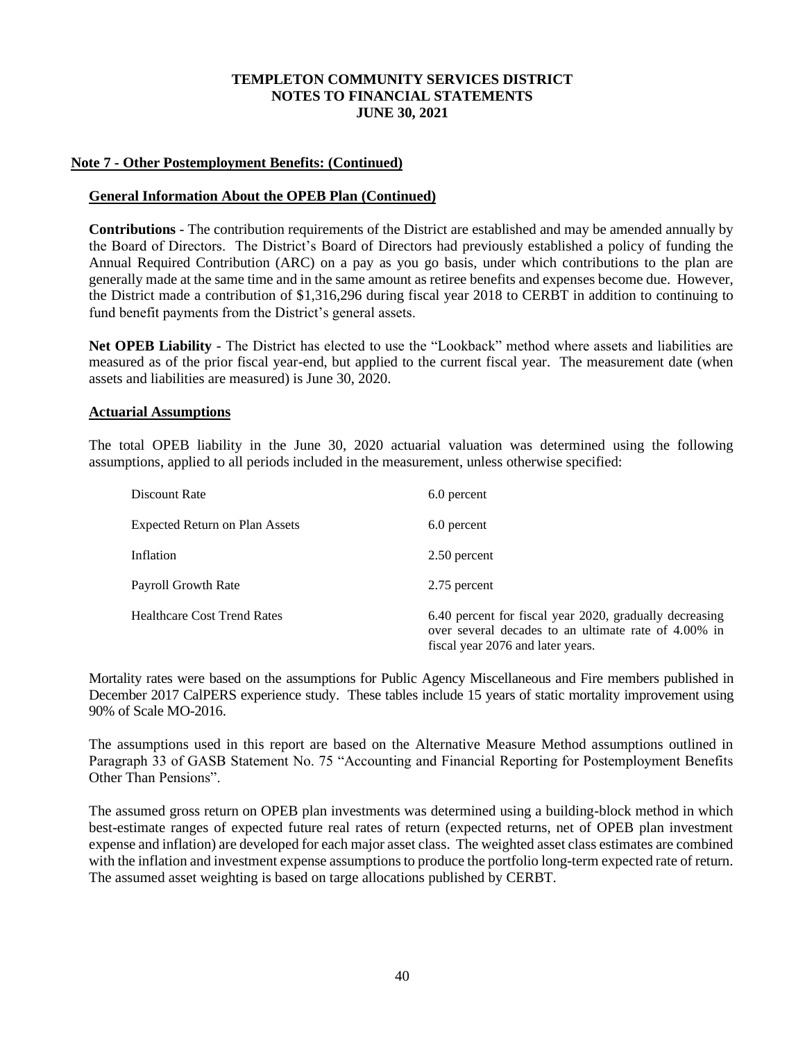### **Note 7 - Other Postemployment Benefits: (Continued)**

#### **General Information About the OPEB Plan (Continued)**

**Contributions** - The contribution requirements of the District are established and may be amended annually by the Board of Directors. The District's Board of Directors had previously established a policy of funding the Annual Required Contribution (ARC) on a pay as you go basis, under which contributions to the plan are generally made at the same time and in the same amount as retiree benefits and expenses become due. However, the District made a contribution of \$1,316,296 during fiscal year 2018 to CERBT in addition to continuing to fund benefit payments from the District's general assets.

**Net OPEB Liability** - The District has elected to use the "Lookback" method where assets and liabilities are measured as of the prior fiscal year-end, but applied to the current fiscal year. The measurement date (when assets and liabilities are measured) is June 30, 2020.

#### **Actuarial Assumptions**

The total OPEB liability in the June 30, 2020 actuarial valuation was determined using the following assumptions, applied to all periods included in the measurement, unless otherwise specified:

| Discount Rate                         | 6.0 percent                                                                                                                                          |
|---------------------------------------|------------------------------------------------------------------------------------------------------------------------------------------------------|
| <b>Expected Return on Plan Assets</b> | 6.0 percent                                                                                                                                          |
| Inflation                             | 2.50 percent                                                                                                                                         |
| Payroll Growth Rate                   | 2.75 percent                                                                                                                                         |
| <b>Healthcare Cost Trend Rates</b>    | 6.40 percent for fiscal year 2020, gradually decreasing<br>over several decades to an ultimate rate of 4.00% in<br>fiscal year 2076 and later years. |

Mortality rates were based on the assumptions for Public Agency Miscellaneous and Fire members published in December 2017 CalPERS experience study. These tables include 15 years of static mortality improvement using 90% of Scale MO-2016.

The assumptions used in this report are based on the Alternative Measure Method assumptions outlined in Paragraph 33 of GASB Statement No. 75 "Accounting and Financial Reporting for Postemployment Benefits Other Than Pensions".

The assumed gross return on OPEB plan investments was determined using a building-block method in which best-estimate ranges of expected future real rates of return (expected returns, net of OPEB plan investment expense and inflation) are developed for each major asset class. The weighted asset class estimates are combined with the inflation and investment expense assumptions to produce the portfolio long-term expected rate of return. The assumed asset weighting is based on targe allocations published by CERBT.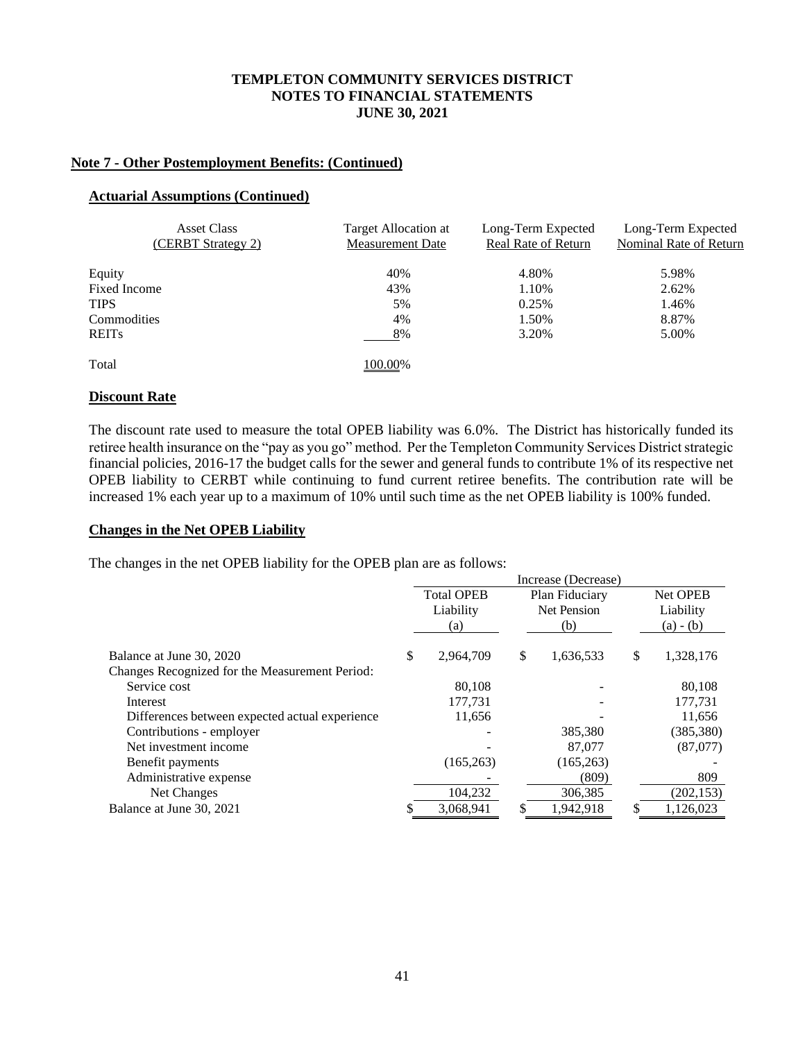### **Note 7 - Other Postemployment Benefits: (Continued)**

#### **Actuarial Assumptions (Continued)**

| Target Allocation at<br><b>Measurement Date</b> | Long-Term Expected<br><b>Real Rate of Return</b> | Long-Term Expected<br>Nominal Rate of Return |
|-------------------------------------------------|--------------------------------------------------|----------------------------------------------|
| 40%                                             | 4.80%                                            | 5.98%                                        |
| 43%                                             | 1.10%                                            | 2.62%                                        |
| 5%                                              | 0.25%                                            | 1.46%                                        |
| 4%                                              | 1.50%                                            | 8.87%                                        |
| 8%                                              | 3.20%                                            | 5.00%                                        |
| 100.00%                                         |                                                  |                                              |
|                                                 |                                                  |                                              |

### **Discount Rate**

The discount rate used to measure the total OPEB liability was 6.0%. The District has historically funded its retiree health insurance on the "pay as you go" method. Per the Templeton Community Services District strategic financial policies, 2016-17 the budget calls for the sewer and general funds to contribute 1% of its respective net OPEB liability to CERBT while continuing to fund current retiree benefits. The contribution rate will be increased 1% each year up to a maximum of 10% until such time as the net OPEB liability is 100% funded.

### **Changes in the Net OPEB Liability**

The changes in the net OPEB liability for the OPEB plan are as follows:

|                                                | Increase (Decrease) |                                       |    |                                      |    |                                      |  |  |
|------------------------------------------------|---------------------|---------------------------------------|----|--------------------------------------|----|--------------------------------------|--|--|
|                                                |                     | <b>Total OPEB</b><br>Liability<br>(a) |    | Plan Fiduciary<br>Net Pension<br>(b) |    | Net OPEB<br>Liability<br>$(a) - (b)$ |  |  |
| Balance at June 30, 2020                       | \$                  | 2,964,709                             | \$ | 1,636,533                            | \$ | 1,328,176                            |  |  |
| Changes Recognized for the Measurement Period: |                     |                                       |    |                                      |    |                                      |  |  |
| Service cost                                   |                     | 80,108                                |    |                                      |    | 80,108                               |  |  |
| Interest                                       |                     | 177.731                               |    |                                      |    | 177.731                              |  |  |
| Differences between expected actual experience |                     | 11,656                                |    |                                      |    | 11,656                               |  |  |
| Contributions - employer                       |                     |                                       |    | 385,380                              |    | (385, 380)                           |  |  |
| Net investment income                          |                     |                                       |    | 87,077                               |    | (87,077)                             |  |  |
| Benefit payments                               |                     | (165, 263)                            |    | (165, 263)                           |    |                                      |  |  |
| Administrative expense                         |                     |                                       |    | (809)                                |    | 809                                  |  |  |
| Net Changes                                    |                     | 104,232                               |    | 306,385                              |    | (202, 153)                           |  |  |
| Balance at June 30, 2021                       |                     | 3,068,941                             | \$ | 1,942,918                            |    | 1,126,023                            |  |  |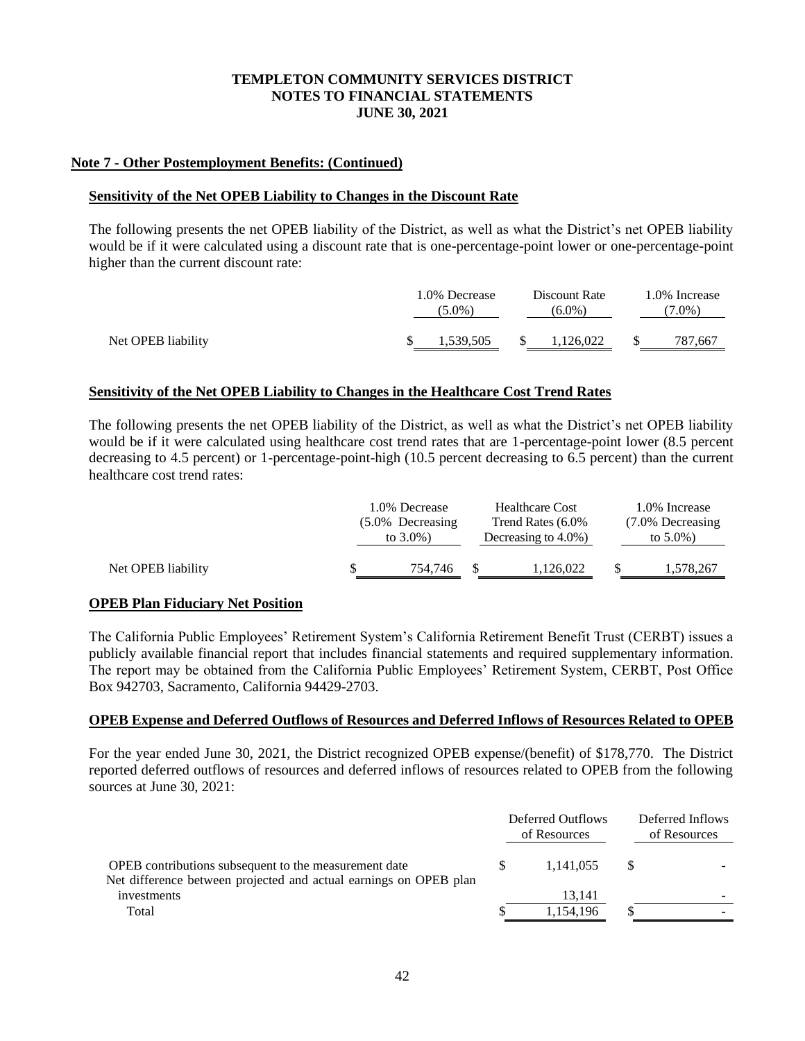### **Note 7 - Other Postemployment Benefits: (Continued)**

### **Sensitivity of the Net OPEB Liability to Changes in the Discount Rate**

The following presents the net OPEB liability of the District, as well as what the District's net OPEB liability would be if it were calculated using a discount rate that is one-percentage-point lower or one-percentage-point higher than the current discount rate:

|                    | 1.0% Decrease<br>$(5.0\%)$ | Discount Rate<br>$(6.0\%)$ |           | 1.0% Increase<br>$7.0\%$ ) |  |
|--------------------|----------------------------|----------------------------|-----------|----------------------------|--|
| Net OPEB liability | 1,539,505                  |                            | 1.126.022 | 787,667                    |  |

### **Sensitivity of the Net OPEB Liability to Changes in the Healthcare Cost Trend Rates**

The following presents the net OPEB liability of the District, as well as what the District's net OPEB liability would be if it were calculated using healthcare cost trend rates that are 1-percentage-point lower (8.5 percent decreasing to 4.5 percent) or 1-percentage-point-high (10.5 percent decreasing to 6.5 percent) than the current healthcare cost trend rates:

|                    |  | 1.0% Decrease       |  | <b>Healthcare Cost</b> |  | 1.0% Increase |  |                   |  |  |  |                     |
|--------------------|--|---------------------|--|------------------------|--|---------------|--|-------------------|--|--|--|---------------------|
|                    |  | $(5.0\%$ Decreasing |  |                        |  |               |  | Trend Rates (6.0% |  |  |  | $(7.0\%$ Decreasing |
|                    |  | to $3.0\%$ )        |  | Decreasing to 4.0%)    |  | to $5.0\%$ )  |  |                   |  |  |  |                     |
| Net OPEB liability |  | 754.746             |  | 1,126,022              |  | 1,578,267     |  |                   |  |  |  |                     |
|                    |  |                     |  |                        |  |               |  |                   |  |  |  |                     |

### **OPEB Plan Fiduciary Net Position**

The California Public Employees' Retirement System's California Retirement Benefit Trust (CERBT) issues a publicly available financial report that includes financial statements and required supplementary information. The report may be obtained from the California Public Employees' Retirement System, CERBT, Post Office Box 942703, Sacramento, California 94429-2703.

### **OPEB Expense and Deferred Outflows of Resources and Deferred Inflows of Resources Related to OPEB**

For the year ended June 30, 2021, the District recognized OPEB expense/(benefit) of \$178,770. The District reported deferred outflows of resources and deferred inflows of resources related to OPEB from the following sources at June 30, 2021:

|                                                                                                                                   | Deferred Outflows<br>of Resources |           |  | Deferred Inflows<br>of Resources |
|-----------------------------------------------------------------------------------------------------------------------------------|-----------------------------------|-----------|--|----------------------------------|
| <b>OPEB</b> contributions subsequent to the measurement date<br>Net difference between projected and actual earnings on OPEB plan |                                   | 1.141.055 |  |                                  |
| investments                                                                                                                       |                                   | 13,141    |  |                                  |
| Total                                                                                                                             |                                   | 1,154,196 |  |                                  |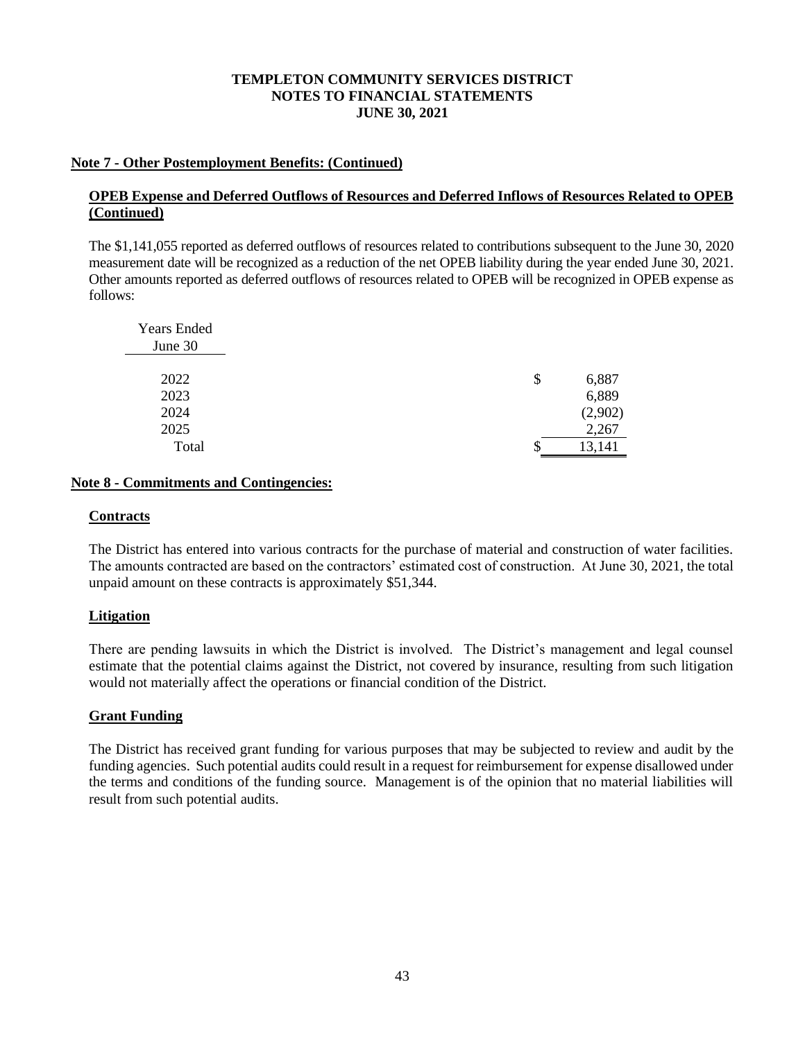### **Note 7 - Other Postemployment Benefits: (Continued)**

### **OPEB Expense and Deferred Outflows of Resources and Deferred Inflows of Resources Related to OPEB (Continued)**

The \$1,141,055 reported as deferred outflows of resources related to contributions subsequent to the June 30, 2020 measurement date will be recognized as a reduction of the net OPEB liability during the year ended June 30, 2021. Other amounts reported as deferred outflows of resources related to OPEB will be recognized in OPEB expense as follows:

| <b>Years Ended</b> |             |
|--------------------|-------------|
| June 30            |             |
|                    |             |
| 2022               | \$<br>6,887 |
| 2023               | 6,889       |
| 2024               | (2,902)     |
| 2025               | 2,267       |
| Total              | 13,141      |

### **Note 8 - Commitments and Contingencies:**

### **Contracts**

The District has entered into various contracts for the purchase of material and construction of water facilities. The amounts contracted are based on the contractors' estimated cost of construction. At June 30, 2021, the total unpaid amount on these contracts is approximately \$51,344.

### **Litigation**

There are pending lawsuits in which the District is involved. The District's management and legal counsel estimate that the potential claims against the District, not covered by insurance, resulting from such litigation would not materially affect the operations or financial condition of the District.

### **Grant Funding**

The District has received grant funding for various purposes that may be subjected to review and audit by the funding agencies. Such potential audits could result in a request for reimbursement for expense disallowed under the terms and conditions of the funding source. Management is of the opinion that no material liabilities will result from such potential audits.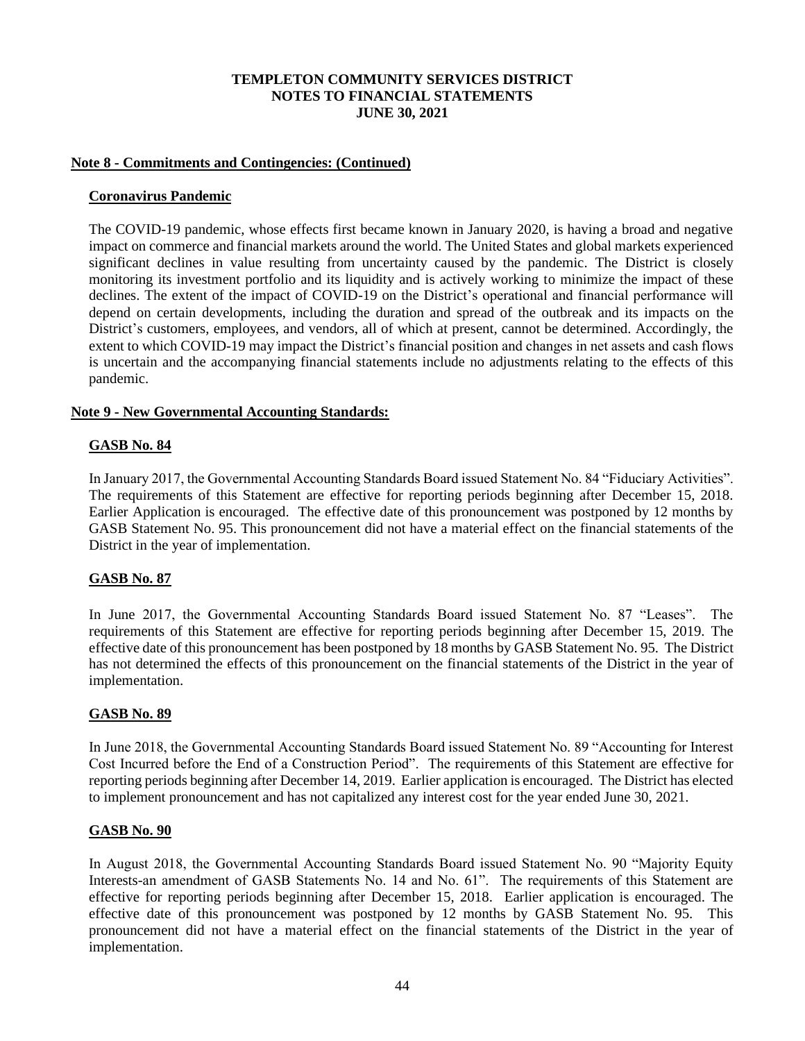### **Note 8 - Commitments and Contingencies: (Continued)**

### **Coronavirus Pandemic**

The COVID-19 pandemic, whose effects first became known in January 2020, is having a broad and negative impact on commerce and financial markets around the world. The United States and global markets experienced significant declines in value resulting from uncertainty caused by the pandemic. The District is closely monitoring its investment portfolio and its liquidity and is actively working to minimize the impact of these declines. The extent of the impact of COVID-19 on the District's operational and financial performance will depend on certain developments, including the duration and spread of the outbreak and its impacts on the District's customers, employees, and vendors, all of which at present, cannot be determined. Accordingly, the extent to which COVID-19 may impact the District's financial position and changes in net assets and cash flows is uncertain and the accompanying financial statements include no adjustments relating to the effects of this pandemic.

### **Note 9 - New Governmental Accounting Standards:**

### **GASB No. 84**

In January 2017, the Governmental Accounting Standards Board issued Statement No. 84 "Fiduciary Activities". The requirements of this Statement are effective for reporting periods beginning after December 15, 2018. Earlier Application is encouraged. The effective date of this pronouncement was postponed by 12 months by GASB Statement No. 95. This pronouncement did not have a material effect on the financial statements of the District in the year of implementation.

### **GASB No. 87**

In June 2017, the Governmental Accounting Standards Board issued Statement No. 87 "Leases". The requirements of this Statement are effective for reporting periods beginning after December 15, 2019. The effective date of this pronouncement has been postponed by 18 months by GASB Statement No. 95. The District has not determined the effects of this pronouncement on the financial statements of the District in the year of implementation.

#### **GASB No. 89**

In June 2018, the Governmental Accounting Standards Board issued Statement No. 89 "Accounting for Interest Cost Incurred before the End of a Construction Period". The requirements of this Statement are effective for reporting periods beginning after December 14, 2019. Earlier application is encouraged. The District has elected to implement pronouncement and has not capitalized any interest cost for the year ended June 30, 2021.

#### **GASB No. 90**

In August 2018, the Governmental Accounting Standards Board issued Statement No. 90 "Majority Equity Interests-an amendment of GASB Statements No. 14 and No. 61". The requirements of this Statement are effective for reporting periods beginning after December 15, 2018. Earlier application is encouraged. The effective date of this pronouncement was postponed by 12 months by GASB Statement No. 95. This pronouncement did not have a material effect on the financial statements of the District in the year of implementation.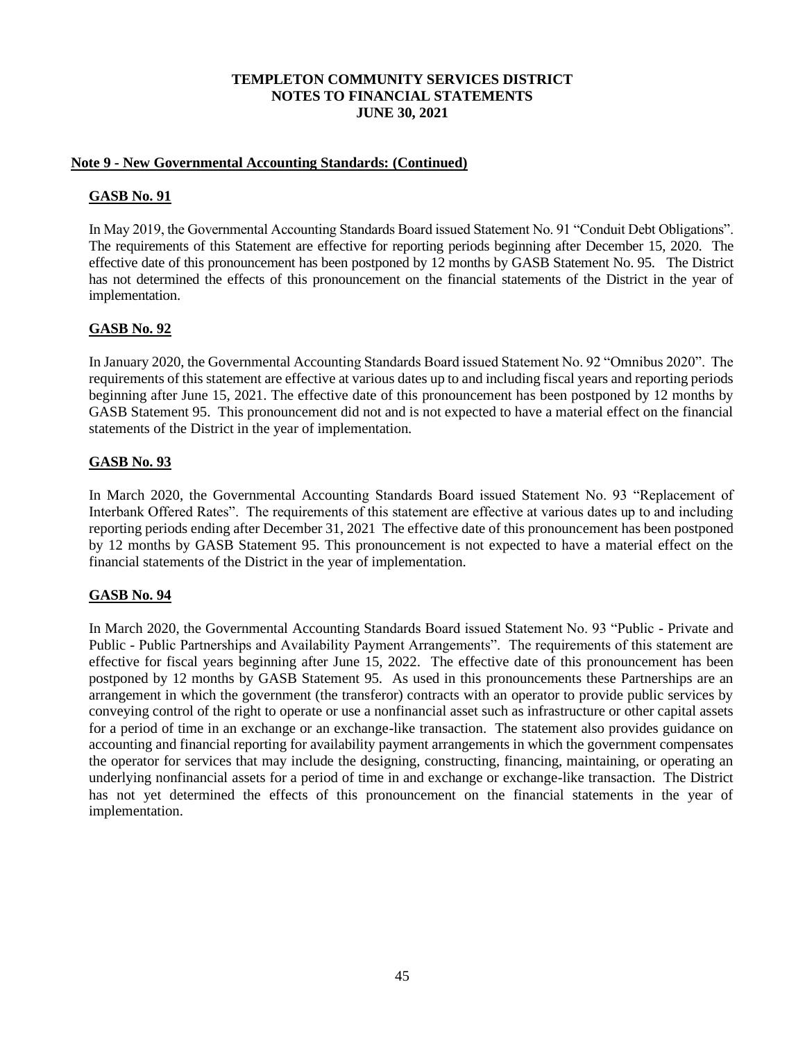### **Note 9 - New Governmental Accounting Standards: (Continued)**

# **GASB No. 91**

In May 2019, the Governmental Accounting Standards Board issued Statement No. 91 "Conduit Debt Obligations". The requirements of this Statement are effective for reporting periods beginning after December 15, 2020. The effective date of this pronouncement has been postponed by 12 months by GASB Statement No. 95. The District has not determined the effects of this pronouncement on the financial statements of the District in the year of implementation.

# **GASB No. 92**

In January 2020, the Governmental Accounting Standards Board issued Statement No. 92 "Omnibus 2020". The requirements of this statement are effective at various dates up to and including fiscal years and reporting periods beginning after June 15, 2021. The effective date of this pronouncement has been postponed by 12 months by GASB Statement 95. This pronouncement did not and is not expected to have a material effect on the financial statements of the District in the year of implementation.

# **GASB No. 93**

In March 2020, the Governmental Accounting Standards Board issued Statement No. 93 "Replacement of Interbank Offered Rates". The requirements of this statement are effective at various dates up to and including reporting periods ending after December 31, 2021 The effective date of this pronouncement has been postponed by 12 months by GASB Statement 95. This pronouncement is not expected to have a material effect on the financial statements of the District in the year of implementation.

### **GASB No. 94**

In March 2020, the Governmental Accounting Standards Board issued Statement No. 93 "Public - Private and Public - Public Partnerships and Availability Payment Arrangements". The requirements of this statement are effective for fiscal years beginning after June 15, 2022. The effective date of this pronouncement has been postponed by 12 months by GASB Statement 95. As used in this pronouncements these Partnerships are an arrangement in which the government (the transferor) contracts with an operator to provide public services by conveying control of the right to operate or use a nonfinancial asset such as infrastructure or other capital assets for a period of time in an exchange or an exchange-like transaction. The statement also provides guidance on accounting and financial reporting for availability payment arrangements in which the government compensates the operator for services that may include the designing, constructing, financing, maintaining, or operating an underlying nonfinancial assets for a period of time in and exchange or exchange-like transaction. The District has not yet determined the effects of this pronouncement on the financial statements in the year of implementation.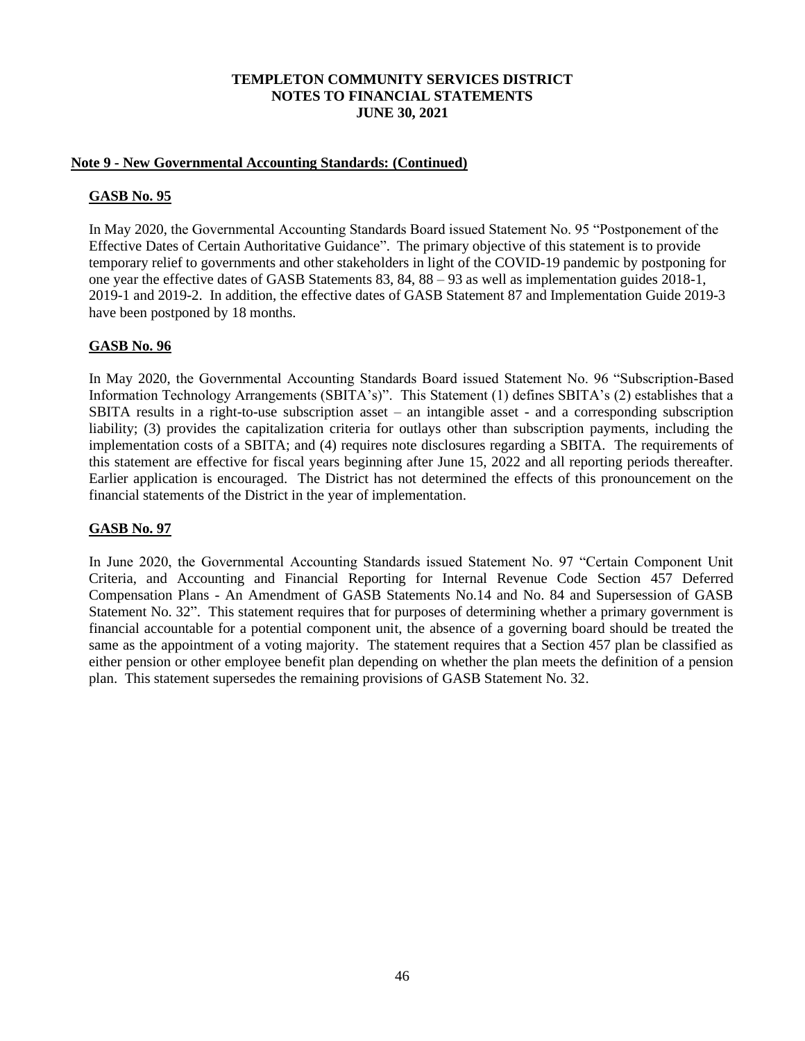### **Note 9 - New Governmental Accounting Standards: (Continued)**

### **GASB No. 95**

In May 2020, the Governmental Accounting Standards Board issued Statement No. 95 "Postponement of the Effective Dates of Certain Authoritative Guidance". The primary objective of this statement is to provide temporary relief to governments and other stakeholders in light of the COVID-19 pandemic by postponing for one year the effective dates of GASB Statements 83, 84, 88 – 93 as well as implementation guides 2018-1, 2019-1 and 2019-2. In addition, the effective dates of GASB Statement 87 and Implementation Guide 2019-3 have been postponed by 18 months.

### **GASB No. 96**

In May 2020, the Governmental Accounting Standards Board issued Statement No. 96 "Subscription-Based Information Technology Arrangements (SBITA's)". This Statement (1) defines SBITA's (2) establishes that a SBITA results in a right-to-use subscription asset – an intangible asset - and a corresponding subscription liability; (3) provides the capitalization criteria for outlays other than subscription payments, including the implementation costs of a SBITA; and (4) requires note disclosures regarding a SBITA. The requirements of this statement are effective for fiscal years beginning after June 15, 2022 and all reporting periods thereafter. Earlier application is encouraged. The District has not determined the effects of this pronouncement on the financial statements of the District in the year of implementation.

### **GASB No. 97**

In June 2020, the Governmental Accounting Standards issued Statement No. 97 "Certain Component Unit Criteria, and Accounting and Financial Reporting for Internal Revenue Code Section 457 Deferred Compensation Plans - An Amendment of GASB Statements No.14 and No. 84 and Supersession of GASB Statement No. 32". This statement requires that for purposes of determining whether a primary government is financial accountable for a potential component unit, the absence of a governing board should be treated the same as the appointment of a voting majority. The statement requires that a Section 457 plan be classified as either pension or other employee benefit plan depending on whether the plan meets the definition of a pension plan. This statement supersedes the remaining provisions of GASB Statement No. 32.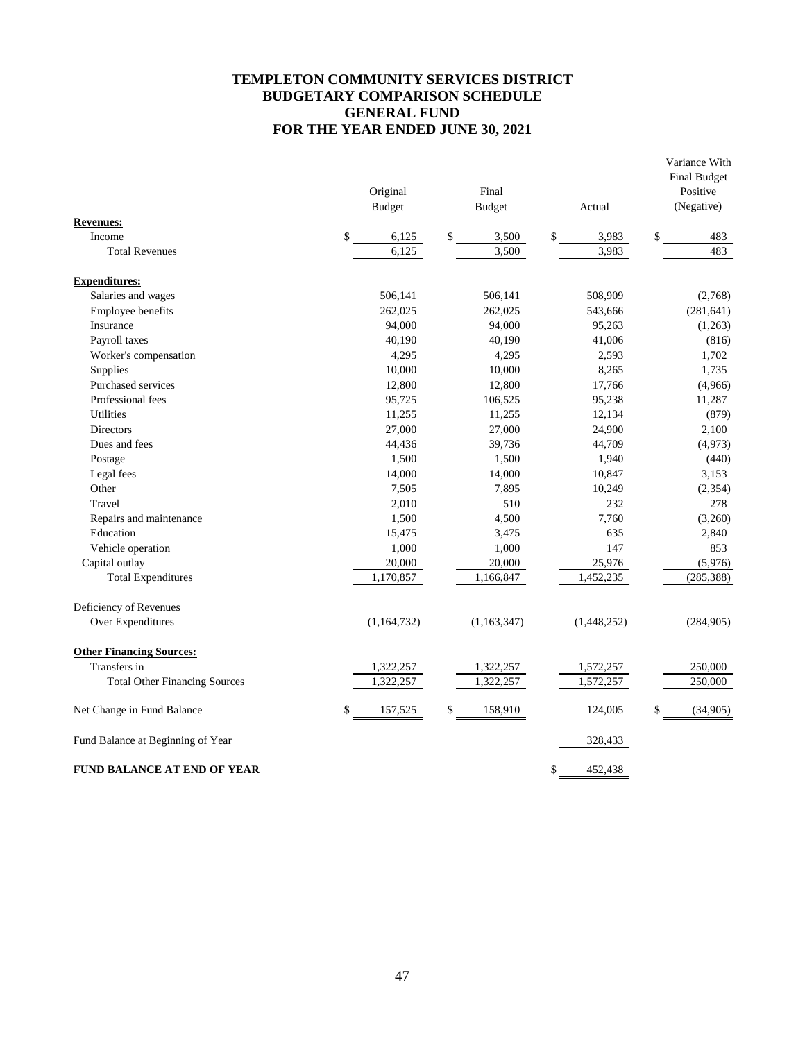## **TEMPLETON COMMUNITY SERVICES DISTRICT BUDGETARY COMPARISON SCHEDULE GENERAL FUND FOR THE YEAR ENDED JUNE 30, 2021**

|                                      | Original      | Final         |               | Variance With<br>Final Budget<br>Positive |
|--------------------------------------|---------------|---------------|---------------|-------------------------------------------|
|                                      | <b>Budget</b> | <b>Budget</b> | Actual        | (Negative)                                |
| <b>Revenues:</b>                     |               |               |               |                                           |
| Income                               | \$<br>6,125   | \$<br>3,500   | \$<br>3,983   | \$<br>483                                 |
| <b>Total Revenues</b>                | 6,125         | 3,500         | 3,983         | 483                                       |
| <b>Expenditures:</b>                 |               |               |               |                                           |
| Salaries and wages                   | 506,141       | 506,141       | 508,909       | (2,768)                                   |
| Employee benefits                    | 262,025       | 262,025       | 543,666       | (281, 641)                                |
| Insurance                            | 94,000        | 94,000        | 95,263        | (1,263)                                   |
| Payroll taxes                        | 40,190        | 40,190        | 41,006        | (816)                                     |
| Worker's compensation                | 4,295         | 4,295         | 2,593         | 1,702                                     |
| Supplies                             | 10,000        | 10,000        | 8,265         | 1,735                                     |
| <b>Purchased services</b>            | 12,800        | 12,800        | 17,766        | (4,966)                                   |
| Professional fees                    | 95,725        | 106,525       | 95,238        | 11,287                                    |
| <b>Utilities</b>                     | 11,255        | 11,255        | 12,134        | (879)                                     |
| <b>Directors</b>                     | 27,000        | 27,000        | 24,900        | 2,100                                     |
| Dues and fees                        | 44,436        | 39,736        | 44,709        | (4,973)                                   |
| Postage                              | 1,500         | 1,500         | 1,940         | (440)                                     |
| Legal fees                           | 14,000        | 14,000        | 10,847        | 3,153                                     |
| Other                                | 7,505         | 7,895         | 10,249        | (2, 354)                                  |
| Travel                               | 2,010         | 510           | 232           | 278                                       |
| Repairs and maintenance              | 1,500         | 4,500         | 7,760         | (3,260)                                   |
| Education                            | 15,475        | 3,475         | 635           | 2,840                                     |
| Vehicle operation                    | 1,000         | 1,000         | 147           | 853                                       |
| Capital outlay                       | 20,000        | 20,000        | 25,976        | (5,976)                                   |
| <b>Total Expenditures</b>            | 1,170,857     | 1,166,847     | 1,452,235     | (285, 388)                                |
| Deficiency of Revenues               |               |               |               |                                           |
| Over Expenditures                    | (1,164,732)   | (1,163,347)   | (1,448,252)   | (284,905)                                 |
| <b>Other Financing Sources:</b>      |               |               |               |                                           |
| Transfers in                         | 1,322,257     | 1,322,257     | 1,572,257     | 250,000                                   |
| <b>Total Other Financing Sources</b> | 1,322,257     | 1,322,257     | 1,572,257     | 250,000                                   |
| Net Change in Fund Balance           | \$<br>157,525 | \$<br>158,910 | 124,005       | \$<br>(34,905)                            |
| Fund Balance at Beginning of Year    |               |               | 328,433       |                                           |
| FUND BALANCE AT END OF YEAR          |               |               | \$<br>452,438 |                                           |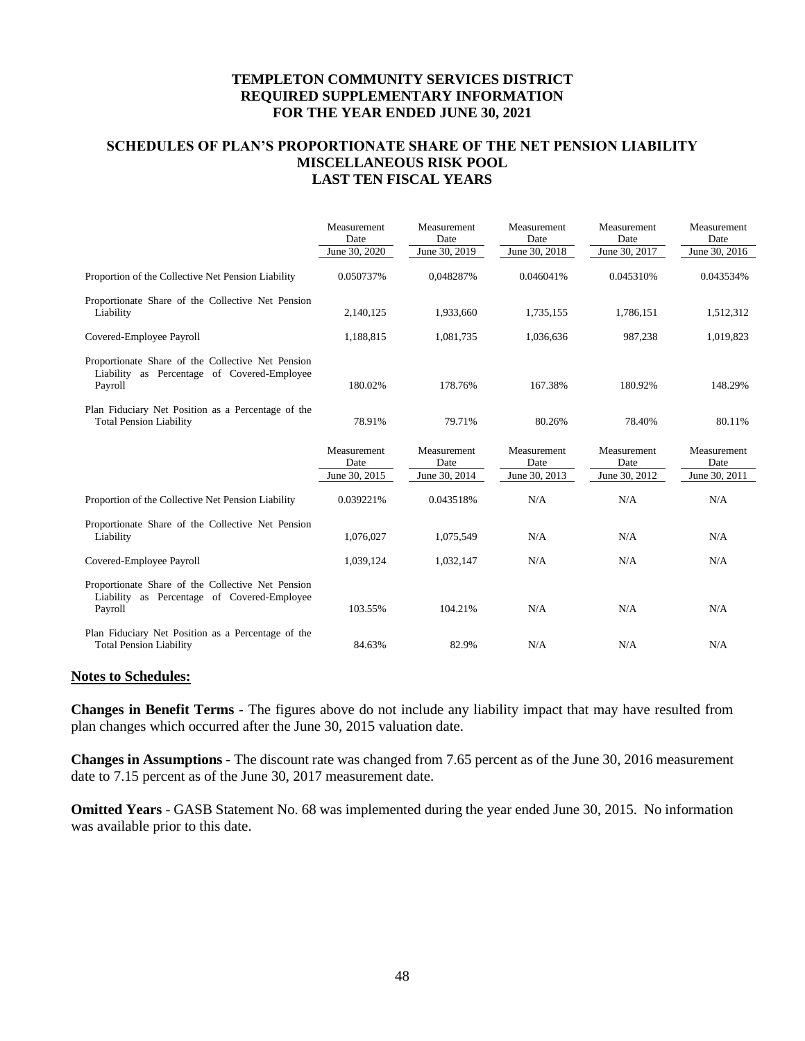### **SCHEDULES OF PLAN'S PROPORTIONATE SHARE OF THE NET PENSION LIABILITY MISCELLANEOUS RISK POOL LAST TEN FISCAL YEARS**

|                                                                                                             | Measurement<br>Date<br>June 30, 2020 | Measurement<br>Date<br>June 30, 2019 | Measurement<br>Date<br>June 30, 2018 | Measurement<br>Date<br>June 30, 2017 | Measurement<br>Date<br>June 30, 2016 |
|-------------------------------------------------------------------------------------------------------------|--------------------------------------|--------------------------------------|--------------------------------------|--------------------------------------|--------------------------------------|
| Proportion of the Collective Net Pension Liability                                                          | 0.050737%                            | 0,048287%                            | 0.046041%                            | 0.045310%                            | 0.043534%                            |
| Proportionate Share of the Collective Net Pension<br>Liability                                              | 2,140,125                            | 1,933,660                            | 1,735,155                            | 1,786,151                            | 1,512,312                            |
| Covered-Employee Payroll                                                                                    | 1,188,815                            | 1,081,735                            | 1,036,636                            | 987,238                              | 1,019,823                            |
| Proportionate Share of the Collective Net Pension<br>Liability as Percentage of Covered-Employee<br>Payroll | 180.02%                              | 178.76%                              | 167.38%                              | 180.92%                              | 148.29%                              |
| Plan Fiduciary Net Position as a Percentage of the<br><b>Total Pension Liability</b>                        | 78.91%                               | 79.71%                               | 80.26%                               | 78.40%                               | 80.11%                               |
|                                                                                                             | Measurement<br>Date                  | Measurement<br>Date                  | Measurement<br>Date                  | Measurement<br>Date                  | Measurement<br>Date                  |
|                                                                                                             | June 30, 2015                        | June 30, 2014                        | June 30, 2013                        | June 30, 2012                        | June 30, 2011                        |
| Proportion of the Collective Net Pension Liability                                                          | 0.039221%                            | 0.043518%                            | N/A                                  | N/A                                  | N/A                                  |
| Proportionate Share of the Collective Net Pension<br>Liability                                              | 1,076,027                            | 1,075,549                            | N/A                                  | N/A                                  | N/A                                  |
| Covered-Employee Payroll                                                                                    | 1,039,124                            | 1,032,147                            | N/A                                  | N/A                                  | N/A                                  |
| Proportionate Share of the Collective Net Pension<br>Liability as Percentage of Covered-Employee<br>Payroll | 103.55%                              | 104.21%                              | N/A                                  | N/A                                  | N/A                                  |
|                                                                                                             |                                      |                                      |                                      |                                      |                                      |

#### **Notes to Schedules:**

**Changes in Benefit Terms -** The figures above do not include any liability impact that may have resulted from plan changes which occurred after the June 30, 2015 valuation date.

**Changes in Assumptions -** The discount rate was changed from 7.65 percent as of the June 30, 2016 measurement date to 7.15 percent as of the June 30, 2017 measurement date.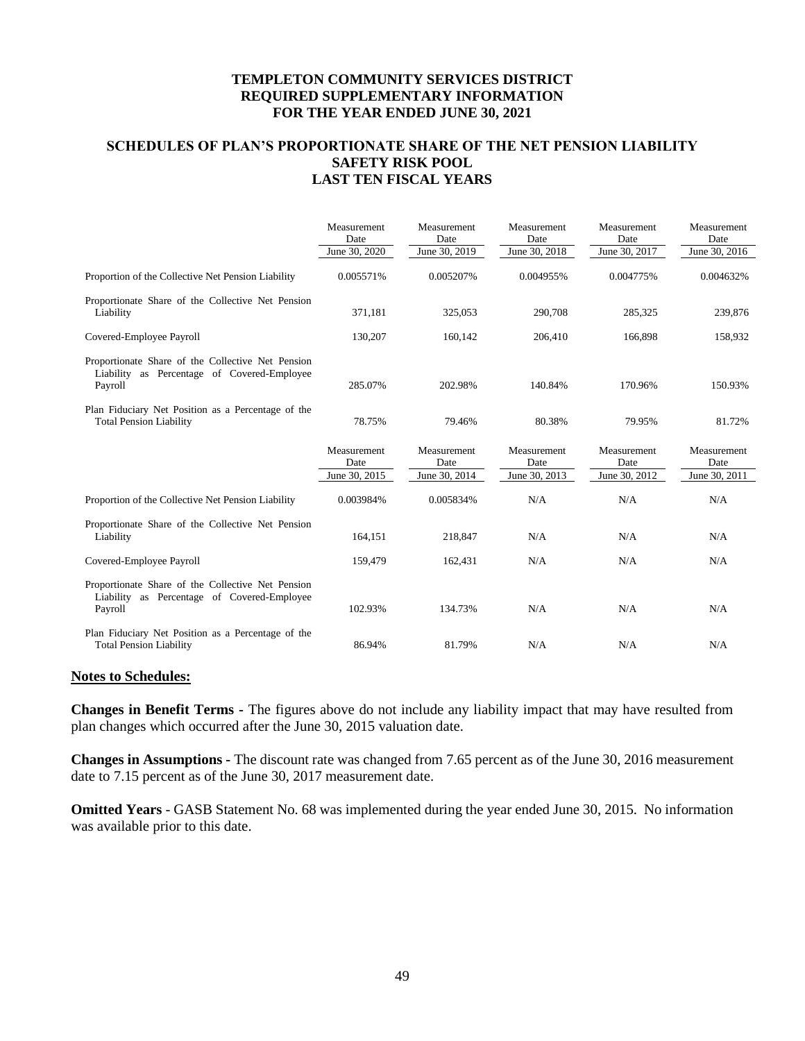### **SCHEDULES OF PLAN'S PROPORTIONATE SHARE OF THE NET PENSION LIABILITY SAFETY RISK POOL LAST TEN FISCAL YEARS**

|                                                                                                             | Measurement<br>Date<br>June 30, 2020 | Measurement<br>Date<br>June 30, 2019 | Measurement<br>Date<br>June 30, 2018 | Measurement<br>Date<br>June 30, 2017 | Measurement<br>Date<br>June 30, 2016 |
|-------------------------------------------------------------------------------------------------------------|--------------------------------------|--------------------------------------|--------------------------------------|--------------------------------------|--------------------------------------|
| Proportion of the Collective Net Pension Liability                                                          | 0.005571%                            | 0.005207%                            | 0.004955%                            | 0.004775%                            | 0.004632%                            |
| Proportionate Share of the Collective Net Pension<br>Liability                                              | 371,181                              | 325,053                              | 290,708                              | 285,325                              | 239,876                              |
| Covered-Employee Payroll                                                                                    | 130,207                              | 160,142                              | 206,410                              | 166,898                              | 158,932                              |
| Proportionate Share of the Collective Net Pension<br>Liability as Percentage of Covered-Employee<br>Payroll | 285.07%                              | 202.98%                              | 140.84%                              | 170.96%                              | 150.93%                              |
| Plan Fiduciary Net Position as a Percentage of the<br><b>Total Pension Liability</b>                        | 78.75%                               | 79.46%                               | 80.38%                               | 79.95%                               | 81.72%                               |
|                                                                                                             | Measurement<br>Date                  | Measurement<br>Date                  | Measurement<br>Date                  | Measurement<br>Date                  | Measurement<br>Date                  |
|                                                                                                             | June 30, 2015                        | June 30, 2014                        | June 30, 2013                        | June 30, 2012                        | June 30, 2011                        |
| Proportion of the Collective Net Pension Liability                                                          | 0.003984%                            | 0.005834%                            | N/A                                  | N/A                                  | N/A                                  |
| Proportionate Share of the Collective Net Pension<br>Liability                                              | 164,151                              | 218,847                              | N/A                                  | N/A                                  | N/A                                  |
| Covered-Employee Payroll                                                                                    | 159,479                              | 162,431                              | N/A                                  | N/A                                  | N/A                                  |
| Proportionate Share of the Collective Net Pension<br>Liability as Percentage of Covered-Employee<br>Payroll | 102.93%                              | 134.73%                              | N/A                                  | N/A                                  | N/A                                  |
| Plan Fiduciary Net Position as a Percentage of the<br><b>Total Pension Liability</b>                        | 86.94%                               | 81.79%                               | N/A                                  | N/A                                  | N/A                                  |

#### **Notes to Schedules:**

**Changes in Benefit Terms -** The figures above do not include any liability impact that may have resulted from plan changes which occurred after the June 30, 2015 valuation date.

**Changes in Assumptions -** The discount rate was changed from 7.65 percent as of the June 30, 2016 measurement date to 7.15 percent as of the June 30, 2017 measurement date.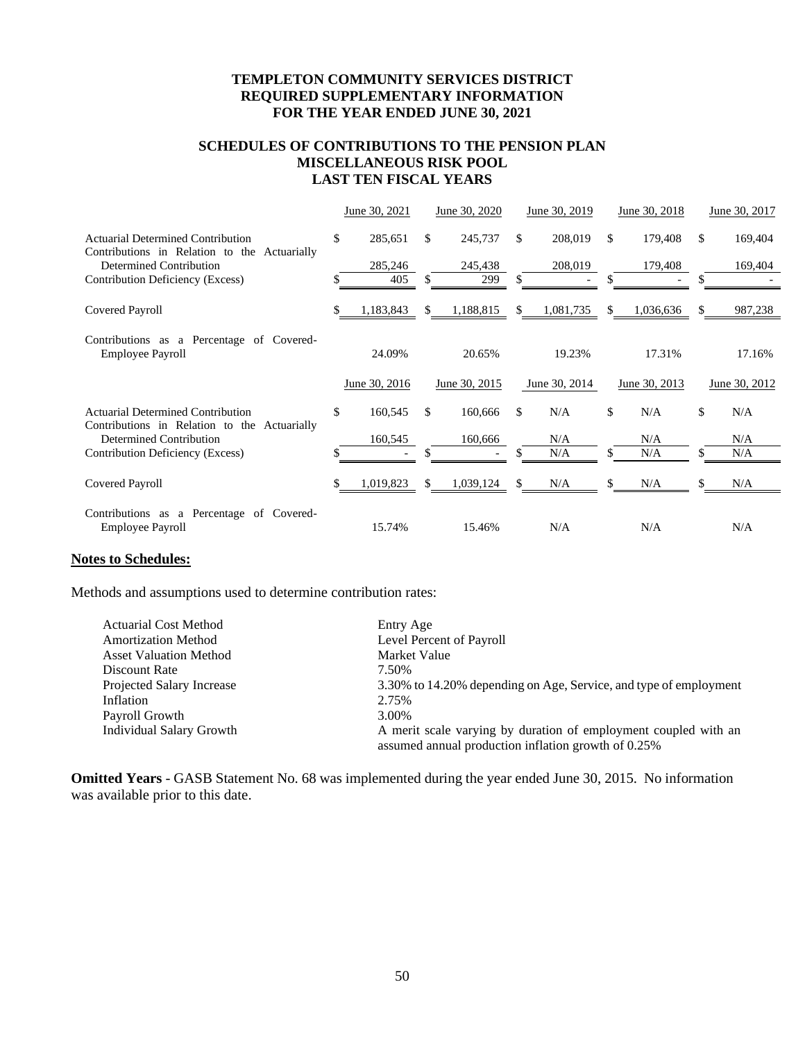### **SCHEDULES OF CONTRIBUTIONS TO THE PENSION PLAN MISCELLANEOUS RISK POOL LAST TEN FISCAL YEARS**

|                                                                                   | June 30, 2021 |               | June 30, 2020 |     | June 30, 2019 |    | June 30, 2018 |    | June 30, 2017 |
|-----------------------------------------------------------------------------------|---------------|---------------|---------------|-----|---------------|----|---------------|----|---------------|
| Actuarial Determined Contribution<br>Contributions in Relation to the Actuarially | \$<br>285,651 | \$            | 245,737       | \$. | 208,019       | \$ | 179,408       | \$ | 169,404       |
| <b>Determined Contribution</b>                                                    | 285,246       |               | 245,438       |     | 208,019       |    | 179,408       |    | 169,404       |
| Contribution Deficiency (Excess)                                                  | 405           |               | 299           |     |               |    |               |    |               |
| Covered Payroll                                                                   | 1,183,843     | <sup>\$</sup> | 1,188,815     | \$  | 1,081,735     | S. | 1,036,636     | S  | 987,238       |
| Contributions as a Percentage of Covered-<br><b>Employee Payroll</b>              | 24.09%        |               | 20.65%        |     | 19.23%        |    | 17.31%        |    | 17.16%        |
|                                                                                   | June 30, 2016 |               | June 30, 2015 |     | June 30, 2014 |    | June 30, 2013 |    | June 30, 2012 |
| Actuarial Determined Contribution<br>Contributions in Relation to the Actuarially | \$<br>160,545 | \$            | 160,666       | S.  | N/A           | \$ | N/A           | \$ | N/A           |
| Determined Contribution                                                           | 160,545       |               | 160,666       |     | N/A           |    | N/A           |    | N/A           |
| Contribution Deficiency (Excess)                                                  |               |               |               |     | N/A           | S  | N/A           | S  | N/A           |
| Covered Payroll                                                                   | 1,019,823     | \$.           | 1,039,124     | S.  | N/A           | \$ | N/A           | \$ | N/A           |
| Contributions as a Percentage of Covered-                                         |               |               |               |     |               |    |               |    |               |

#### **Notes to Schedules:**

Methods and assumptions used to determine contribution rates:

| <b>Actuarial Cost Method</b>    | Entry Age                                                         |
|---------------------------------|-------------------------------------------------------------------|
| <b>Amortization Method</b>      | Level Percent of Payroll                                          |
| <b>Asset Valuation Method</b>   | Market Value                                                      |
| Discount Rate                   | 7.50%                                                             |
| Projected Salary Increase       | 3.30% to 14.20% depending on Age, Service, and type of employment |
| Inflation                       | 2.75%                                                             |
| Payroll Growth                  | 3.00%                                                             |
| <b>Individual Salary Growth</b> | A merit scale varying by duration of employment coupled with an   |
|                                 | assumed annual production inflation growth of 0.25%               |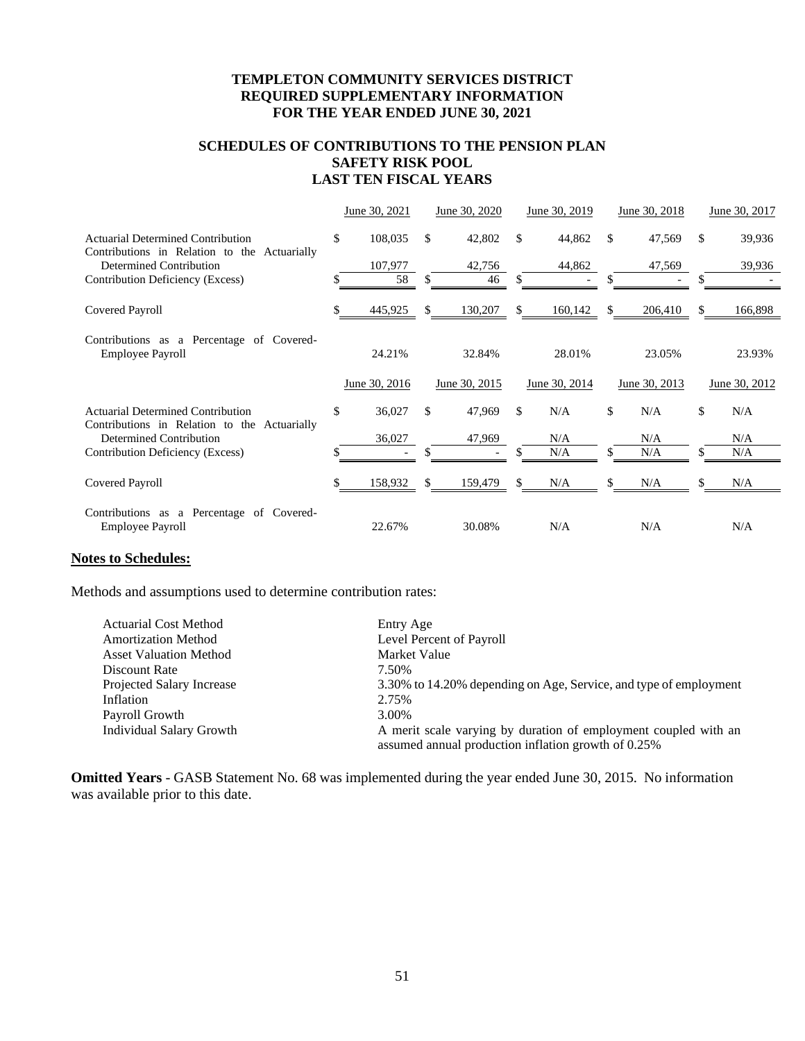### **SCHEDULES OF CONTRIBUTIONS TO THE PENSION PLAN SAFETY RISK POOL LAST TEN FISCAL YEARS**

|                                                                                          | June 30, 2021 | June 30, 2020 |               | June 30, 2019 |    | June 30, 2018 |    | June 30, 2017 |
|------------------------------------------------------------------------------------------|---------------|---------------|---------------|---------------|----|---------------|----|---------------|
| Actuarial Determined Contribution<br>Contributions in Relation to the Actuarially        | \$<br>108,035 | \$<br>42,802  | <sup>\$</sup> | 44,862        | \$ | 47,569        | \$ | 39,936        |
| Determined Contribution                                                                  | 107,977       | 42,756        |               | 44,862        |    | 47,569        |    | 39,936        |
| Contribution Deficiency (Excess)                                                         | 58            | 46            |               |               | \$ |               | \$ |               |
| Covered Payroll                                                                          | 445,925       | 130,207       | \$.           | 160,142       | S  | 206,410       | S  | 166,898       |
| Contributions as a Percentage of Covered-<br><b>Employee Payroll</b>                     | 24.21%        | 32.84%        |               | 28.01%        |    | 23.05%        |    | 23.93%        |
|                                                                                          | June 30, 2016 | June 30, 2015 |               | June 30, 2014 |    | June 30, 2013 |    | June 30, 2012 |
| <b>Actuarial Determined Contribution</b><br>Contributions in Relation to the Actuarially | \$<br>36,027  | \$<br>47,969  | \$.           | N/A           | \$ | N/A           | \$ | N/A           |
| Determined Contribution                                                                  | 36,027        | 47,969        |               | N/A           |    | N/A           |    | N/A           |
| Contribution Deficiency (Excess)                                                         |               |               |               | N/A           |    | N/A           |    | N/A           |
| Covered Payroll                                                                          | 158,932       | \$<br>159,479 | S             | N/A           | \$ | N/A           | S. | N/A           |
| Contributions as a Percentage of Covered-                                                |               |               |               |               |    |               |    |               |

### **Notes to Schedules:**

Methods and assumptions used to determine contribution rates:

| <b>Actuarial Cost Method</b>    | Entry Age                                                         |
|---------------------------------|-------------------------------------------------------------------|
| <b>Amortization Method</b>      | Level Percent of Payroll                                          |
| <b>Asset Valuation Method</b>   | Market Value                                                      |
| Discount Rate                   | 7.50%                                                             |
| Projected Salary Increase       | 3.30% to 14.20% depending on Age, Service, and type of employment |
| Inflation                       | 2.75%                                                             |
| Payroll Growth                  | 3.00%                                                             |
| <b>Individual Salary Growth</b> | A merit scale varying by duration of employment coupled with an   |
|                                 | assumed annual production inflation growth of 0.25%               |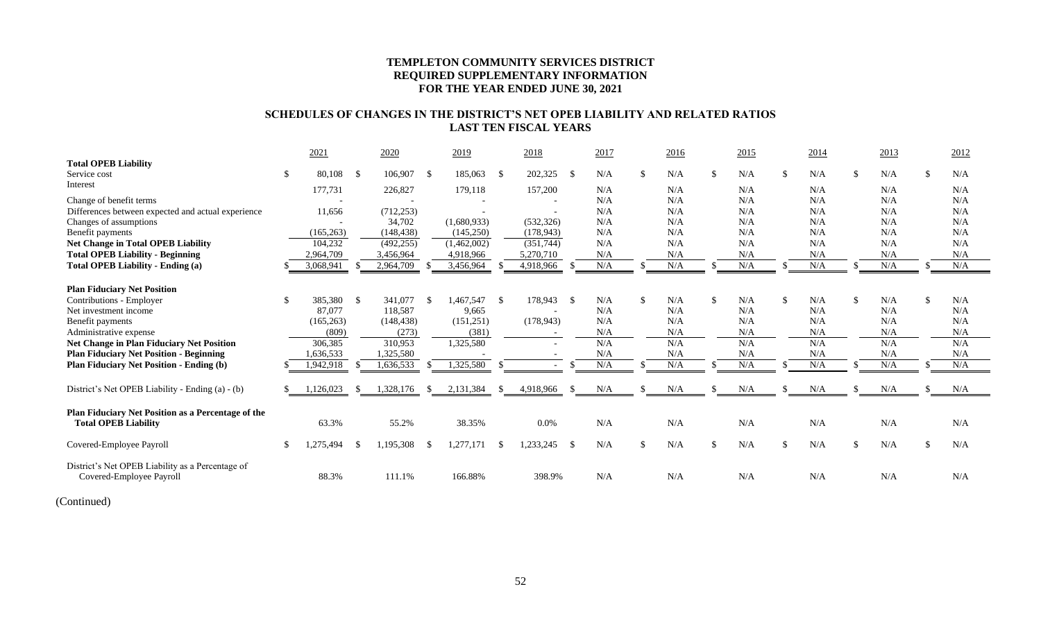# **SCHEDULES OF CHANGES IN THE DISTRICT'S NET OPEB LIABILITY AND RELATED RATIOS LAST TEN FISCAL YEARS**

|                                                                                   | 2021       |      | 2020                 |     | 2019                     |               | 2018                     |               | 2017       |               | 2016       |               | 2015       |               | 2014       |               | 2013       |               | 2012       |
|-----------------------------------------------------------------------------------|------------|------|----------------------|-----|--------------------------|---------------|--------------------------|---------------|------------|---------------|------------|---------------|------------|---------------|------------|---------------|------------|---------------|------------|
| <b>Total OPEB Liability</b>                                                       |            |      |                      |     |                          |               |                          |               |            |               |            |               |            |               |            |               |            |               |            |
| Service cost<br>Interest                                                          | 80,108     | - \$ | 106,907              | \$  | 185,063                  | \$            | 202,325                  | - \$          | N/A        | <sup>\$</sup> | N/A        | \$            | N/A        | -S            | N/A        | S.            | N/A        | -S            | N/A        |
|                                                                                   | 177,731    |      | 226,827              |     | 179,118                  |               | 157,200                  |               | N/A        |               | N/A        |               | N/A        |               | N/A        |               | N/A        |               | N/A        |
| Change of benefit terms                                                           |            |      |                      |     |                          |               |                          |               | N/A        |               | N/A        |               | N/A        |               | N/A        |               | N/A        |               | N/A        |
| Differences between expected and actual experience                                | 11,656     |      | (712, 253)           |     |                          |               |                          |               | N/A<br>N/A |               | N/A<br>N/A |               | N/A<br>N/A |               | N/A<br>N/A |               | N/A<br>N/A |               | N/A<br>N/A |
| Changes of assumptions<br>Benefit payments                                        | (165, 263) |      | 34,702<br>(148, 438) |     | (1,680,933)<br>(145,250) |               | (532, 326)<br>(178, 943) |               | N/A        |               | N/A        |               | N/A        |               | N/A        |               | N/A        |               | N/A        |
| <b>Net Change in Total OPEB Liability</b>                                         | 104,232    |      | (492, 255)           |     | (1,462,002)              |               | (351,744)                |               | N/A        |               | N/A        |               | N/A        |               | N/A        |               | N/A        |               | N/A        |
| <b>Total OPEB Liability - Beginning</b>                                           | 2,964,709  |      | 3,456,964            |     | 4,918,966                |               | 5,270,710                |               | N/A        |               | N/A        |               | N/A        |               | N/A        |               | N/A        |               | N/A        |
| <b>Total OPEB Liability - Ending (a)</b>                                          | 3,068,941  | - \$ | 2,964,709            | -\$ | 3,456,964                | -S            | 4,918,966                | -S            | N/A        |               | N/A        |               | N/A        |               | N/A        |               | N/A        |               | N/A        |
| <b>Plan Fiduciary Net Position</b>                                                |            |      |                      |     |                          |               |                          |               |            |               |            |               |            |               |            |               |            |               |            |
| Contributions - Employer                                                          | 385.380    | - \$ | 341,077              |     | 1.467.547                | -\$           | 178,943                  | - \$          | N/A        | -\$           | N/A        | \$            | N/A        | <sup>\$</sup> | N/A        |               | N/A        | $\mathcal{S}$ | N/A        |
| Net investment income                                                             | 87,077     |      | 118,587              |     | 9,665                    |               |                          |               | N/A        |               | N/A        |               | N/A        |               | N/A        |               | N/A        |               | N/A        |
| Benefit payments                                                                  | (165, 263) |      | (148, 438)           |     | (151,251)                |               | (178, 943)               |               | N/A        |               | N/A        |               | N/A        |               | N/A        |               | N/A        |               | N/A        |
| Administrative expense                                                            | (809)      |      | (273)                |     | (381)                    |               |                          |               | N/A        |               | N/A        |               | N/A        |               | N/A        |               | N/A        |               | N/A        |
| <b>Net Change in Plan Fiduciary Net Position</b>                                  | 306,385    |      | 310,953              |     | 1,325,580                |               |                          |               | N/A        |               | N/A        |               | N/A        |               | N/A        |               | N/A        |               | N/A        |
| <b>Plan Fiduciary Net Position - Beginning</b>                                    | .636,533   |      | 1,325,580            |     |                          |               |                          |               | N/A        |               | N/A        |               | N/A        |               | N/A        |               | N/A        |               | N/A        |
| <b>Plan Fiduciary Net Position - Ending (b)</b>                                   | 1,942,918  | - \$ | 1,636,533            | -S  | 1,325,580                | <sup>\$</sup> |                          | <sup>\$</sup> | N/A        |               | N/A        |               | N/A        |               | N/A        |               | N/A        |               | N/A        |
| District's Net OPEB Liability - Ending (a) - (b)                                  | 126,023    | -8   | 1,328,176            | -S  | 2,131,384                | <sup>S</sup>  | 4,918,966                | <sup>S</sup>  | N/A        | \$.           | N/A        | \$            | N/A        | -\$           | N/A        | <sup>\$</sup> | N/A        |               | N/A        |
| Plan Fiduciary Net Position as a Percentage of the<br><b>Total OPEB Liability</b> | 63.3%      |      | 55.2%                |     | 38.35%                   |               | 0.0%                     |               | N/A        |               | N/A        |               | N/A        |               | N/A        |               | N/A        |               | N/A        |
|                                                                                   |            |      |                      |     |                          |               |                          |               |            |               |            |               |            |               |            |               |            |               |            |
| Covered-Employee Payroll                                                          | .275.494   | - \$ | 1,195,308            | -\$ | 1,277,171                | .S            | 1,233,245                | $\mathbb{S}$  | N/A        | $\mathcal{S}$ | $\rm N/A$  | $\mathcal{S}$ | N/A        | <b>S</b>      | N/A        |               | N/A        | S.            | N/A        |
| District's Net OPEB Liability as a Percentage of<br>Covered-Employee Payroll      | 88.3%      |      | 111.1%               |     | 166.88%                  |               | 398.9%                   |               | N/A        |               | N/A        |               | N/A        |               | N/A        |               | N/A        |               | N/A        |

(Continued)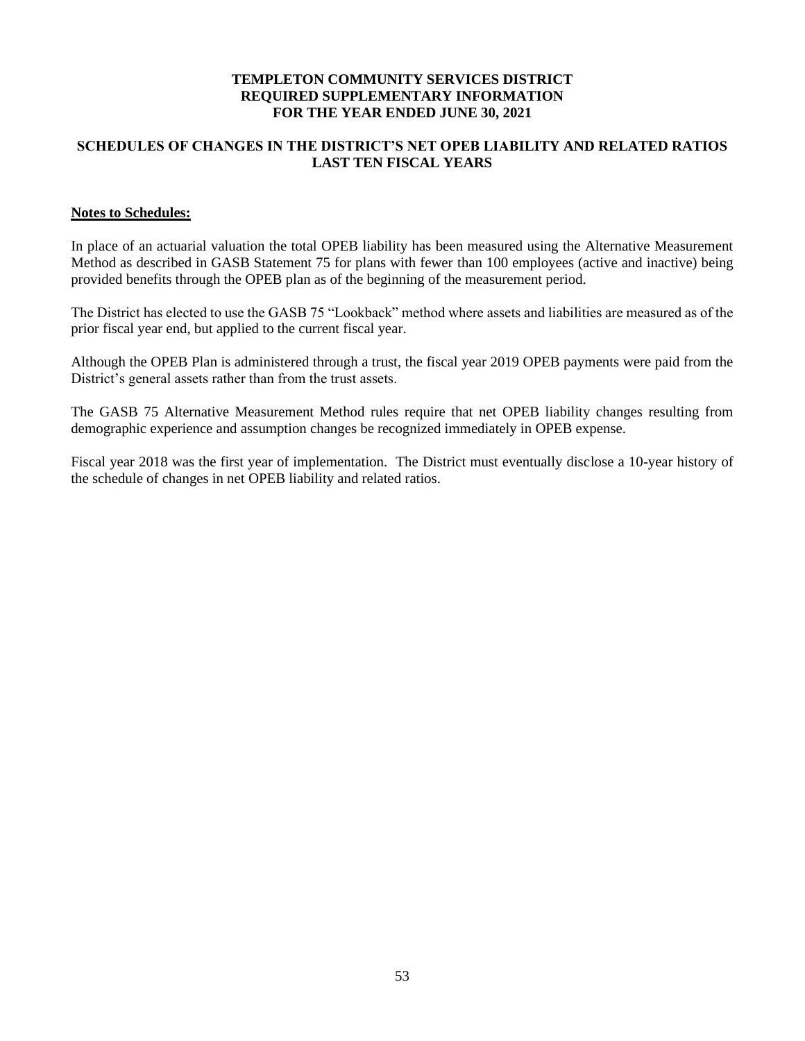# **SCHEDULES OF CHANGES IN THE DISTRICT'S NET OPEB LIABILITY AND RELATED RATIOS LAST TEN FISCAL YEARS**

### **Notes to Schedules:**

In place of an actuarial valuation the total OPEB liability has been measured using the Alternative Measurement Method as described in GASB Statement 75 for plans with fewer than 100 employees (active and inactive) being provided benefits through the OPEB plan as of the beginning of the measurement period.

The District has elected to use the GASB 75 "Lookback" method where assets and liabilities are measured as of the prior fiscal year end, but applied to the current fiscal year.

Although the OPEB Plan is administered through a trust, the fiscal year 2019 OPEB payments were paid from the District's general assets rather than from the trust assets.

The GASB 75 Alternative Measurement Method rules require that net OPEB liability changes resulting from demographic experience and assumption changes be recognized immediately in OPEB expense.

Fiscal year 2018 was the first year of implementation. The District must eventually disclose a 10-year history of the schedule of changes in net OPEB liability and related ratios.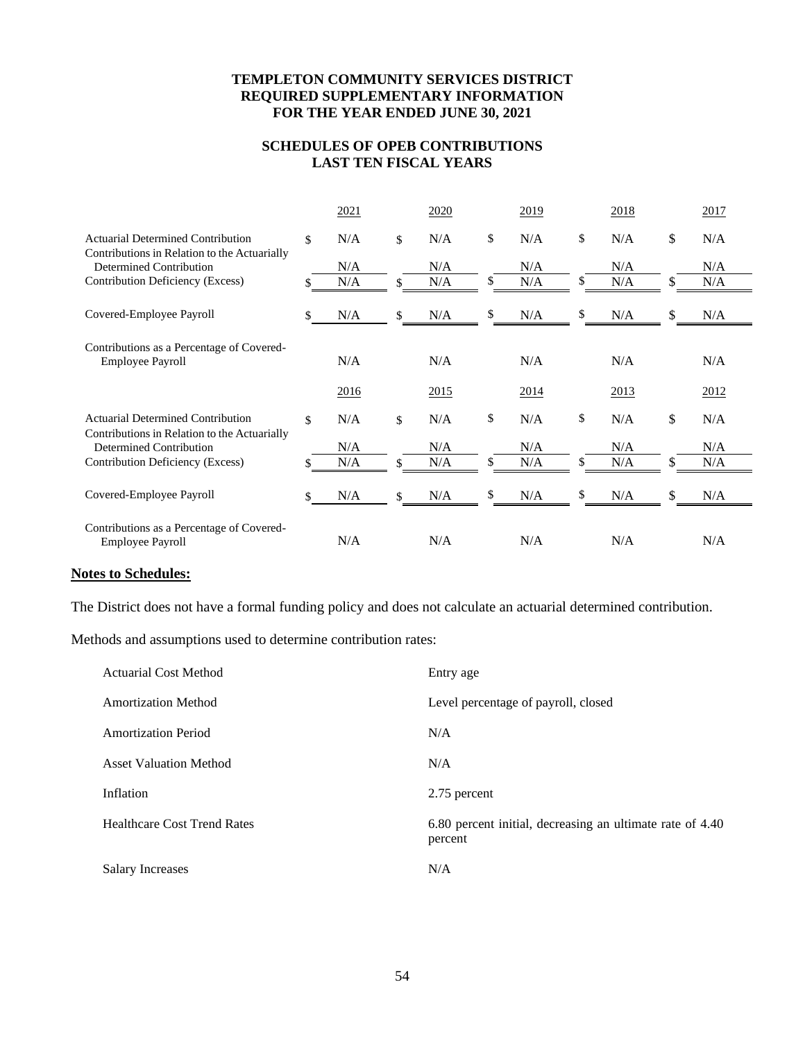## **SCHEDULES OF OPEB CONTRIBUTIONS LAST TEN FISCAL YEARS**

|                                                                                          |              | 2021 | 2020      | 2019      | 2018      | 2017        |
|------------------------------------------------------------------------------------------|--------------|------|-----------|-----------|-----------|-------------|
| <b>Actuarial Determined Contribution</b>                                                 | $\mathbb{S}$ | N/A  | \$<br>N/A | \$<br>N/A | \$<br>N/A | \$<br>N/A   |
| Contributions in Relation to the Actuarially<br>Determined Contribution                  |              | N/A  | N/A       | N/A       | N/A       | N/A         |
| Contribution Deficiency (Excess)                                                         |              | N/A  | \$<br>N/A | \$<br>N/A | \$<br>N/A | \$<br>N/A   |
| Covered-Employee Payroll                                                                 | \$           | N/A  | \$<br>N/A | \$<br>N/A | \$<br>N/A | \$<br>N/A   |
| Contributions as a Percentage of Covered-<br>Employee Payroll                            |              | N/A  | N/A       | N/A       | N/A       | N/A         |
|                                                                                          |              | 2016 | 2015      | 2014      | 2013      | <u>2012</u> |
| <b>Actuarial Determined Contribution</b><br>Contributions in Relation to the Actuarially | \$           | N/A  | \$<br>N/A | \$<br>N/A | \$<br>N/A | \$<br>N/A   |
| Determined Contribution                                                                  |              | N/A  | N/A       | N/A       | N/A       | N/A         |
| Contribution Deficiency (Excess)                                                         |              | N/A  | \$<br>N/A | \$<br>N/A | \$<br>N/A | \$<br>N/A   |
| Covered-Employee Payroll                                                                 |              | N/A  | \$<br>N/A | \$<br>N/A | \$<br>N/A | \$<br>N/A   |
| Contributions as a Percentage of Covered-<br>Employee Payroll                            |              | N/A  | N/A       | N/A       | N/A       | N/A         |

### **Notes to Schedules:**

The District does not have a formal funding policy and does not calculate an actuarial determined contribution.

Methods and assumptions used to determine contribution rates:

| <b>Actuarial Cost Method</b>       | Entry age                                                            |
|------------------------------------|----------------------------------------------------------------------|
| <b>Amortization Method</b>         | Level percentage of payroll, closed                                  |
| <b>Amortization Period</b>         | N/A                                                                  |
| <b>Asset Valuation Method</b>      | N/A                                                                  |
| Inflation                          | 2.75 percent                                                         |
| <b>Healthcare Cost Trend Rates</b> | 6.80 percent initial, decreasing an ultimate rate of 4.40<br>percent |
| <b>Salary Increases</b>            | N/A                                                                  |